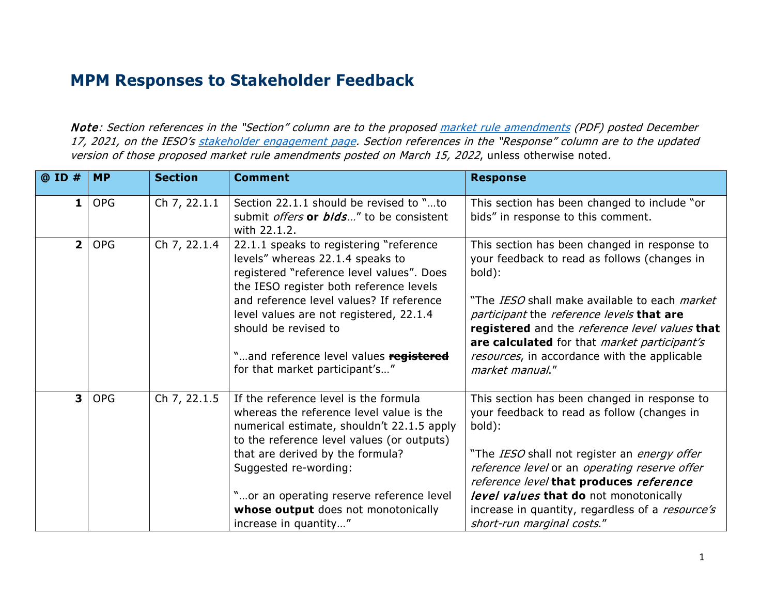## **MPM Responses to Stakeholder Feedback**

Note: Section references in the "Section" column are to the propose[d market rule amendments](https://www.ieso.ca/-/media/Files/IESO/Document-Library/engage/imrm/MR-00455-R00-Market-Power-Mitigation.ashx) (PDF) posted December 17, 2021, on the IESO's [stakeholder engagement page.](https://www.ieso.ca/en/Market-Renewal/Stakeholder-Engagements/Implementation-Engagement-Market-Rules-and-Market-Manuals) Section references in the "Response" column are to the updated version of those proposed market rule amendments posted on March 15, 2022, unless otherwise noted.

| @ ID #                  | <b>MP</b>  | <b>Section</b> | <b>Comment</b>                                                                                                                                                                                                                                                                                                                                                 | <b>Response</b>                                                                                                                                                                                                                                                                                                                                                                  |
|-------------------------|------------|----------------|----------------------------------------------------------------------------------------------------------------------------------------------------------------------------------------------------------------------------------------------------------------------------------------------------------------------------------------------------------------|----------------------------------------------------------------------------------------------------------------------------------------------------------------------------------------------------------------------------------------------------------------------------------------------------------------------------------------------------------------------------------|
| 1                       | <b>OPG</b> | Ch 7, 22.1.1   | Section 22.1.1 should be revised to "to<br>submit <i>offers</i> or <i>bids</i> " to be consistent<br>with 22.1.2.                                                                                                                                                                                                                                              | This section has been changed to include "or<br>bids" in response to this comment.                                                                                                                                                                                                                                                                                               |
| 2 <sup>1</sup>          | <b>OPG</b> | Ch 7, 22.1.4   | 22.1.1 speaks to registering "reference<br>levels" whereas 22.1.4 speaks to<br>registered "reference level values". Does<br>the IESO register both reference levels<br>and reference level values? If reference<br>level values are not registered, 22.1.4<br>should be revised to<br>"and reference level values registered<br>for that market participant's" | This section has been changed in response to<br>your feedback to read as follows (changes in<br>bold):<br>"The IESO shall make available to each <i>market</i><br>participant the reference levels that are<br>registered and the reference level values that<br>are calculated for that market participant's<br>resources, in accordance with the applicable<br>market manual." |
| $\overline{\mathbf{3}}$ | <b>OPG</b> | Ch 7, 22.1.5   | If the reference level is the formula<br>whereas the reference level value is the<br>numerical estimate, shouldn't 22.1.5 apply<br>to the reference level values (or outputs)<br>that are derived by the formula?<br>Suggested re-wording:<br>"or an operating reserve reference level<br>whose output does not monotonically<br>increase in quantity"         | This section has been changed in response to<br>your feedback to read as follow (changes in<br>bold):<br>"The IESO shall not register an energy offer<br>reference level or an operating reserve offer<br>reference level that produces reference<br>level values that do not monotonically<br>increase in quantity, regardless of a resource's<br>short-run marginal costs."    |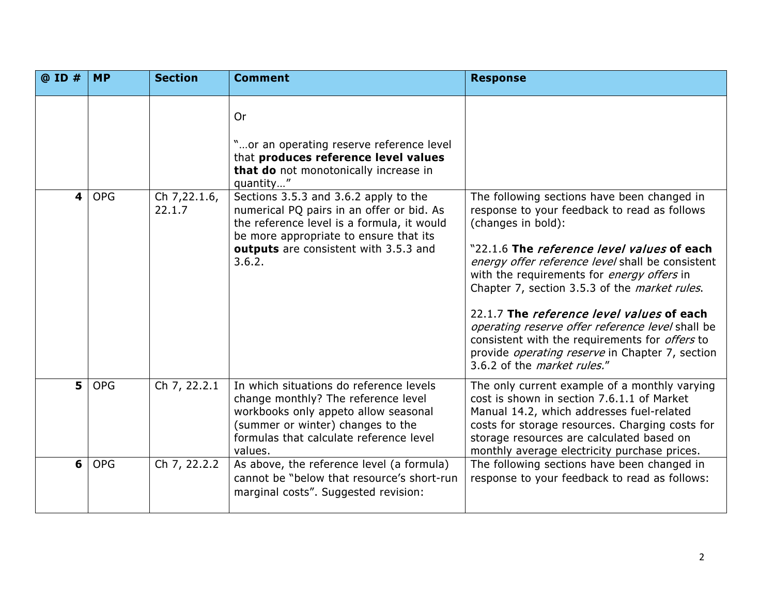| @ ID # | <b>MP</b>  | <b>Section</b>         | <b>Comment</b>                                                                                                                                                                                                                | <b>Response</b>                                                                                                                                                                                                                                                                                                                                                                                                                                                                                                                                                                                    |
|--------|------------|------------------------|-------------------------------------------------------------------------------------------------------------------------------------------------------------------------------------------------------------------------------|----------------------------------------------------------------------------------------------------------------------------------------------------------------------------------------------------------------------------------------------------------------------------------------------------------------------------------------------------------------------------------------------------------------------------------------------------------------------------------------------------------------------------------------------------------------------------------------------------|
|        |            |                        | <b>Or</b><br>"or an operating reserve reference level<br>that produces reference level values<br>that do not monotonically increase in<br>quantity"                                                                           |                                                                                                                                                                                                                                                                                                                                                                                                                                                                                                                                                                                                    |
| 4      | <b>OPG</b> | Ch 7,22.1.6,<br>22.1.7 | Sections 3.5.3 and 3.6.2 apply to the<br>numerical PQ pairs in an offer or bid. As<br>the reference level is a formula, it would<br>be more appropriate to ensure that its<br>outputs are consistent with 3.5.3 and<br>3.6.2. | The following sections have been changed in<br>response to your feedback to read as follows<br>(changes in bold):<br>"22.1.6 The <i>reference level values</i> of each<br>energy offer reference level shall be consistent<br>with the requirements for <i>energy offers</i> in<br>Chapter 7, section 3.5.3 of the <i>market rules</i> .<br>22.1.7 The <i>reference level values</i> of each<br>operating reserve offer reference level shall be<br>consistent with the requirements for <i>offers</i> to<br>provide operating reserve in Chapter 7, section<br>3.6.2 of the <i>market rules."</i> |
| 5      | <b>OPG</b> | Ch 7, 22.2.1           | In which situations do reference levels<br>change monthly? The reference level<br>workbooks only appeto allow seasonal<br>(summer or winter) changes to the<br>formulas that calculate reference level<br>values.             | The only current example of a monthly varying<br>cost is shown in section 7.6.1.1 of Market<br>Manual 14.2, which addresses fuel-related<br>costs for storage resources. Charging costs for<br>storage resources are calculated based on<br>monthly average electricity purchase prices.                                                                                                                                                                                                                                                                                                           |
| 6      | <b>OPG</b> | Ch 7, 22.2.2           | As above, the reference level (a formula)<br>cannot be "below that resource's short-run<br>marginal costs". Suggested revision:                                                                                               | The following sections have been changed in<br>response to your feedback to read as follows:                                                                                                                                                                                                                                                                                                                                                                                                                                                                                                       |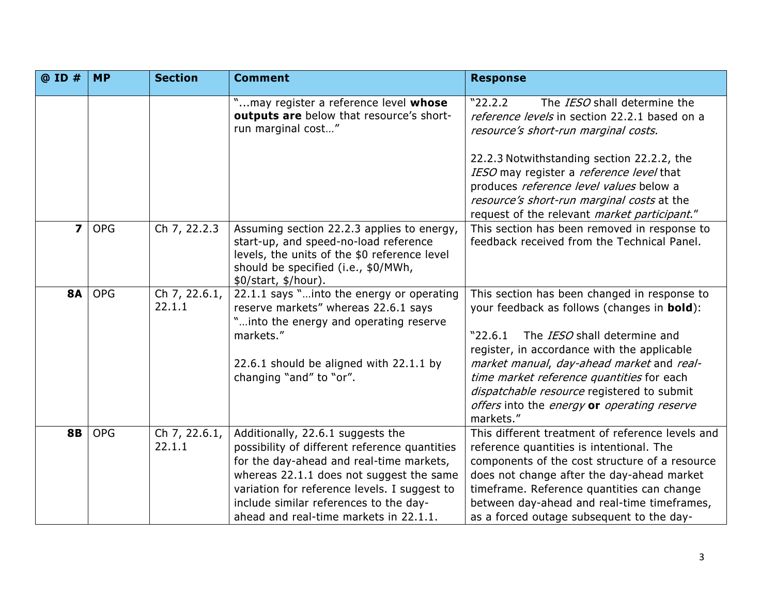| @ ID #         | <b>MP</b>  | <b>Section</b>             | <b>Comment</b>                                                                                                                                                                                                                                                                                                 | <b>Response</b>                                                                                                                                                                                                                                                                                                                                                                                           |
|----------------|------------|----------------------------|----------------------------------------------------------------------------------------------------------------------------------------------------------------------------------------------------------------------------------------------------------------------------------------------------------------|-----------------------------------------------------------------------------------------------------------------------------------------------------------------------------------------------------------------------------------------------------------------------------------------------------------------------------------------------------------------------------------------------------------|
|                |            |                            | "may register a reference level whose<br>outputs are below that resource's short-<br>run marginal cost"                                                                                                                                                                                                        | "22.2.2"<br>The IESO shall determine the<br>reference levels in section 22.2.1 based on a<br>resource's short-run marginal costs.<br>22.2.3 Notwithstanding section 22.2.2, the<br>IESO may register a <i>reference level</i> that<br>produces reference level values below a<br>resource's short-run marginal costs at the                                                                               |
|                |            |                            |                                                                                                                                                                                                                                                                                                                | request of the relevant market participant."                                                                                                                                                                                                                                                                                                                                                              |
| $\overline{ }$ | <b>OPG</b> | Ch 7, 22.2.3               | Assuming section 22.2.3 applies to energy,<br>start-up, and speed-no-load reference<br>levels, the units of the \$0 reference level<br>should be specified (i.e., \$0/MWh,<br>\$0/start, \$/hour).                                                                                                             | This section has been removed in response to<br>feedback received from the Technical Panel.                                                                                                                                                                                                                                                                                                               |
| <b>8A</b>      | <b>OPG</b> | Ch 7, $22.6.1$ ,<br>22.1.1 | 22.1.1 says "into the energy or operating<br>reserve markets" whereas 22.6.1 says<br>"into the energy and operating reserve<br>markets."<br>22.6.1 should be aligned with 22.1.1 by<br>changing "and" to "or".                                                                                                 | This section has been changed in response to<br>your feedback as follows (changes in <b>bold</b> ):<br>"22.6.1"<br>The <i>IESO</i> shall determine and<br>register, in accordance with the applicable<br>market manual, day-ahead market and real-<br>time market reference quantities for each<br>dispatchable resource registered to submit<br>offers into the energy or operating reserve<br>markets." |
| <b>8B</b>      | <b>OPG</b> | Ch 7, 22.6.1,<br>22.1.1    | Additionally, 22.6.1 suggests the<br>possibility of different reference quantities<br>for the day-ahead and real-time markets,<br>whereas 22.1.1 does not suggest the same<br>variation for reference levels. I suggest to<br>include similar references to the day-<br>ahead and real-time markets in 22.1.1. | This different treatment of reference levels and<br>reference quantities is intentional. The<br>components of the cost structure of a resource<br>does not change after the day-ahead market<br>timeframe. Reference quantities can change<br>between day-ahead and real-time timeframes,<br>as a forced outage subsequent to the day-                                                                    |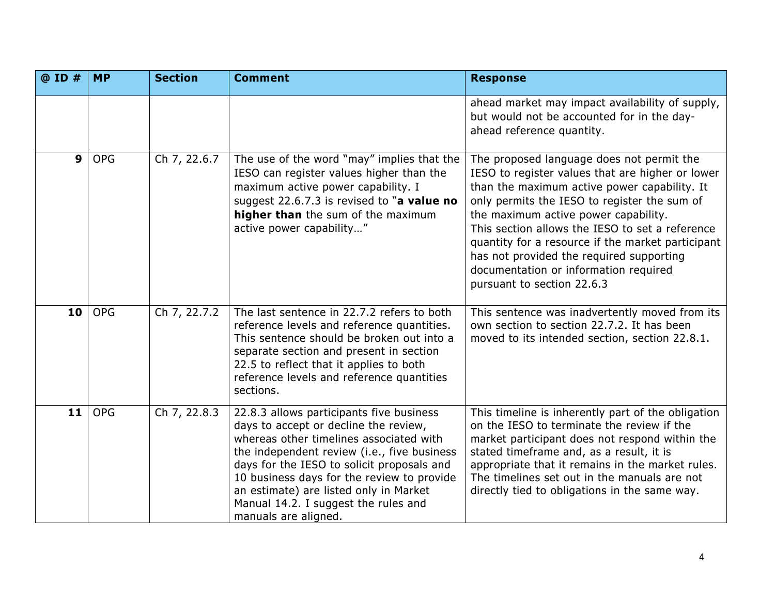| @ ID #           | <b>MP</b>  | <b>Section</b> | <b>Comment</b>                                                                                                                                                                                                                                                                                                                                                                    | <b>Response</b>                                                                                                                                                                                                                                                                                                                                                                                                                                                  |
|------------------|------------|----------------|-----------------------------------------------------------------------------------------------------------------------------------------------------------------------------------------------------------------------------------------------------------------------------------------------------------------------------------------------------------------------------------|------------------------------------------------------------------------------------------------------------------------------------------------------------------------------------------------------------------------------------------------------------------------------------------------------------------------------------------------------------------------------------------------------------------------------------------------------------------|
|                  |            |                |                                                                                                                                                                                                                                                                                                                                                                                   | ahead market may impact availability of supply,<br>but would not be accounted for in the day-<br>ahead reference quantity.                                                                                                                                                                                                                                                                                                                                       |
| $\boldsymbol{9}$ | <b>OPG</b> | Ch 7, 22.6.7   | The use of the word "may" implies that the<br>IESO can register values higher than the<br>maximum active power capability. I<br>suggest 22.6.7.3 is revised to "a value no<br>higher than the sum of the maximum<br>active power capability"                                                                                                                                      | The proposed language does not permit the<br>IESO to register values that are higher or lower<br>than the maximum active power capability. It<br>only permits the IESO to register the sum of<br>the maximum active power capability.<br>This section allows the IESO to set a reference<br>quantity for a resource if the market participant<br>has not provided the required supporting<br>documentation or information required<br>pursuant to section 22.6.3 |
| 10               | <b>OPG</b> | Ch 7, 22.7.2   | The last sentence in 22.7.2 refers to both<br>reference levels and reference quantities.<br>This sentence should be broken out into a<br>separate section and present in section<br>22.5 to reflect that it applies to both<br>reference levels and reference quantities<br>sections.                                                                                             | This sentence was inadvertently moved from its<br>own section to section 22.7.2. It has been<br>moved to its intended section, section 22.8.1.                                                                                                                                                                                                                                                                                                                   |
| 11               | <b>OPG</b> | Ch 7, 22.8.3   | 22.8.3 allows participants five business<br>days to accept or decline the review,<br>whereas other timelines associated with<br>the independent review (i.e., five business<br>days for the IESO to solicit proposals and<br>10 business days for the review to provide<br>an estimate) are listed only in Market<br>Manual 14.2. I suggest the rules and<br>manuals are aligned. | This timeline is inherently part of the obligation<br>on the IESO to terminate the review if the<br>market participant does not respond within the<br>stated timeframe and, as a result, it is<br>appropriate that it remains in the market rules.<br>The timelines set out in the manuals are not<br>directly tied to obligations in the same way.                                                                                                              |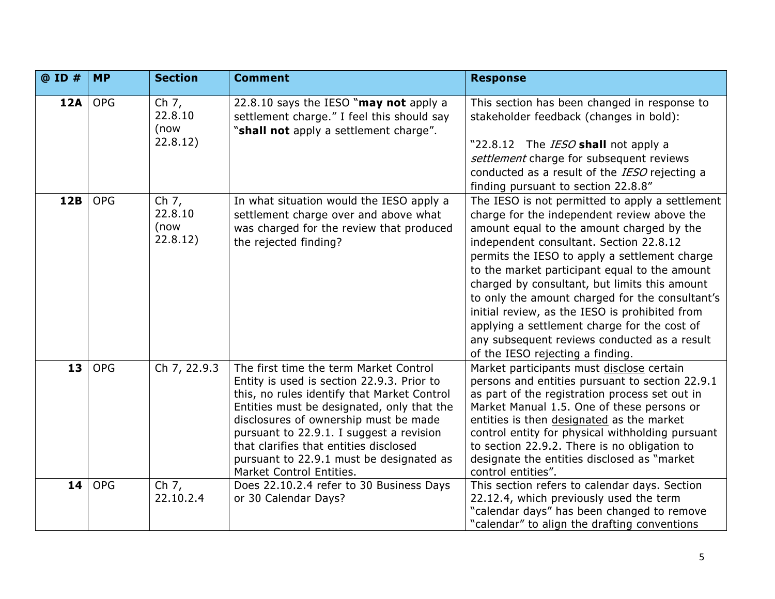| @ ID #     | <b>MP</b>  | <b>Section</b>                         | <b>Comment</b>                                                                                                                                                                                                                                                                                                                                                                           | <b>Response</b>                                                                                                                                                                                                                                                                                                                                                                                                                                                                                                                                                                    |
|------------|------------|----------------------------------------|------------------------------------------------------------------------------------------------------------------------------------------------------------------------------------------------------------------------------------------------------------------------------------------------------------------------------------------------------------------------------------------|------------------------------------------------------------------------------------------------------------------------------------------------------------------------------------------------------------------------------------------------------------------------------------------------------------------------------------------------------------------------------------------------------------------------------------------------------------------------------------------------------------------------------------------------------------------------------------|
| <b>12A</b> | <b>OPG</b> | Ch $7,$<br>22.8.10<br>(now<br>22.8.12) | 22.8.10 says the IESO "may not apply a<br>settlement charge." I feel this should say<br>"shall not apply a settlement charge".                                                                                                                                                                                                                                                           | This section has been changed in response to<br>stakeholder feedback (changes in bold):<br>"22.8.12 The IESO shall not apply a<br>settlement charge for subsequent reviews<br>conducted as a result of the IESO rejecting a<br>finding pursuant to section 22.8.8"                                                                                                                                                                                                                                                                                                                 |
| 12B        | <b>OPG</b> | Ch $7,$<br>22.8.10<br>(now<br>22.8.12) | In what situation would the IESO apply a<br>settlement charge over and above what<br>was charged for the review that produced<br>the rejected finding?                                                                                                                                                                                                                                   | The IESO is not permitted to apply a settlement<br>charge for the independent review above the<br>amount equal to the amount charged by the<br>independent consultant. Section 22.8.12<br>permits the IESO to apply a settlement charge<br>to the market participant equal to the amount<br>charged by consultant, but limits this amount<br>to only the amount charged for the consultant's<br>initial review, as the IESO is prohibited from<br>applying a settlement charge for the cost of<br>any subsequent reviews conducted as a result<br>of the IESO rejecting a finding. |
| 13         | <b>OPG</b> | Ch 7, 22.9.3                           | The first time the term Market Control<br>Entity is used is section 22.9.3. Prior to<br>this, no rules identify that Market Control<br>Entities must be designated, only that the<br>disclosures of ownership must be made<br>pursuant to 22.9.1. I suggest a revision<br>that clarifies that entities disclosed<br>pursuant to 22.9.1 must be designated as<br>Market Control Entities. | Market participants must disclose certain<br>persons and entities pursuant to section 22.9.1<br>as part of the registration process set out in<br>Market Manual 1.5. One of these persons or<br>entities is then designated as the market<br>control entity for physical withholding pursuant<br>to section 22.9.2. There is no obligation to<br>designate the entities disclosed as "market<br>control entities".                                                                                                                                                                 |
| 14         | <b>OPG</b> | Ch 7,<br>22.10.2.4                     | Does 22.10.2.4 refer to 30 Business Days<br>or 30 Calendar Days?                                                                                                                                                                                                                                                                                                                         | This section refers to calendar days. Section<br>22.12.4, which previously used the term<br>"calendar days" has been changed to remove<br>"calendar" to align the drafting conventions                                                                                                                                                                                                                                                                                                                                                                                             |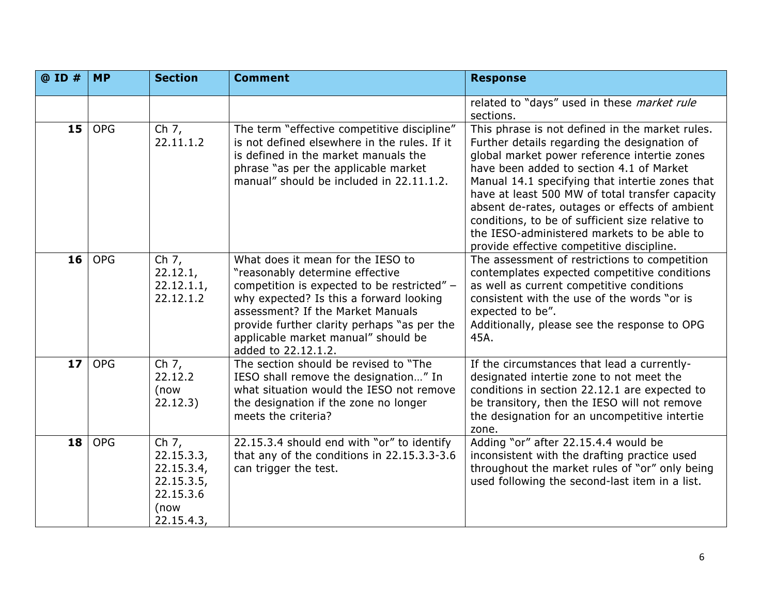| @ ID #          | <b>MP</b>  | <b>Section</b>                                                                       | <b>Comment</b>                                                                                                                                                                                                                                                                                                   | <b>Response</b>                                                                                                                                                                                                                                                                                                                                                                                                                                                                                     |
|-----------------|------------|--------------------------------------------------------------------------------------|------------------------------------------------------------------------------------------------------------------------------------------------------------------------------------------------------------------------------------------------------------------------------------------------------------------|-----------------------------------------------------------------------------------------------------------------------------------------------------------------------------------------------------------------------------------------------------------------------------------------------------------------------------------------------------------------------------------------------------------------------------------------------------------------------------------------------------|
|                 |            |                                                                                      |                                                                                                                                                                                                                                                                                                                  | related to "days" used in these market rule<br>sections.                                                                                                                                                                                                                                                                                                                                                                                                                                            |
| 15 <sup>1</sup> | <b>OPG</b> | Ch 7,<br>22.11.1.2                                                                   | The term "effective competitive discipline"<br>is not defined elsewhere in the rules. If it<br>is defined in the market manuals the<br>phrase "as per the applicable market<br>manual" should be included in 22.11.1.2.                                                                                          | This phrase is not defined in the market rules.<br>Further details regarding the designation of<br>global market power reference intertie zones<br>have been added to section 4.1 of Market<br>Manual 14.1 specifying that intertie zones that<br>have at least 500 MW of total transfer capacity<br>absent de-rates, outages or effects of ambient<br>conditions, to be of sufficient size relative to<br>the IESO-administered markets to be able to<br>provide effective competitive discipline. |
| 16 <sup>1</sup> | <b>OPG</b> | $\overline{ch}$ 7,<br>22.12.1,<br>22.12.1.1,<br>22.12.1.2                            | What does it mean for the IESO to<br>"reasonably determine effective<br>competition is expected to be restricted" -<br>why expected? Is this a forward looking<br>assessment? If the Market Manuals<br>provide further clarity perhaps "as per the<br>applicable market manual" should be<br>added to 22.12.1.2. | The assessment of restrictions to competition<br>contemplates expected competitive conditions<br>as well as current competitive conditions<br>consistent with the use of the words "or is<br>expected to be".<br>Additionally, please see the response to OPG<br>45A.                                                                                                                                                                                                                               |
| 17 <sub>2</sub> | <b>OPG</b> | Ch $7,$<br>22.12.2<br>(now<br>22.12.3)                                               | The section should be revised to "The<br>IESO shall remove the designation" In<br>what situation would the IESO not remove<br>the designation if the zone no longer<br>meets the criteria?                                                                                                                       | If the circumstances that lead a currently-<br>designated intertie zone to not meet the<br>conditions in section 22.12.1 are expected to<br>be transitory, then the IESO will not remove<br>the designation for an uncompetitive intertie<br>zone.                                                                                                                                                                                                                                                  |
| 18              | <b>OPG</b> | Ch $7,$<br>22.15.3.3,<br>22.15.3.4,<br>22.15.3.5,<br>22.15.3.6<br>(now<br>22.15.4.3, | 22.15.3.4 should end with "or" to identify<br>that any of the conditions in 22.15.3.3-3.6<br>can trigger the test.                                                                                                                                                                                               | Adding "or" after 22.15.4.4 would be<br>inconsistent with the drafting practice used<br>throughout the market rules of "or" only being<br>used following the second-last item in a list.                                                                                                                                                                                                                                                                                                            |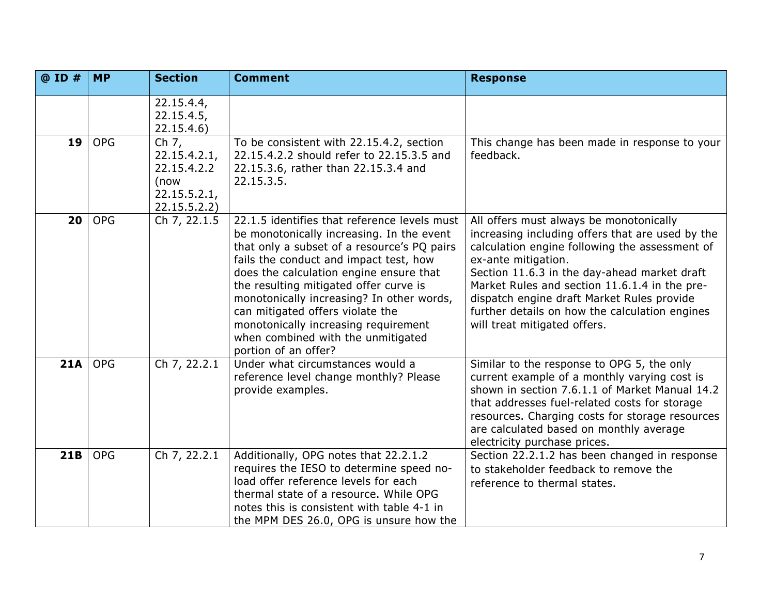| @ ID # | <b>MP</b>  | <b>Section</b>                                                               | <b>Comment</b>                                                                                                                                                                                                                                                                                                                                                                                                                                                 | <b>Response</b>                                                                                                                                                                                                                                                                                                                                                                                       |
|--------|------------|------------------------------------------------------------------------------|----------------------------------------------------------------------------------------------------------------------------------------------------------------------------------------------------------------------------------------------------------------------------------------------------------------------------------------------------------------------------------------------------------------------------------------------------------------|-------------------------------------------------------------------------------------------------------------------------------------------------------------------------------------------------------------------------------------------------------------------------------------------------------------------------------------------------------------------------------------------------------|
|        |            | 22.15.4.4,<br>22.15.4.5,<br>22.15.4.6)                                       |                                                                                                                                                                                                                                                                                                                                                                                                                                                                |                                                                                                                                                                                                                                                                                                                                                                                                       |
| 19     | <b>OPG</b> | Ch 7,<br>22.15.4.2.1,<br>22.15.4.2.2<br>(now<br>22.15.5.2.1,<br>22.15.5.2.2) | To be consistent with 22.15.4.2, section<br>22.15.4.2.2 should refer to 22.15.3.5 and<br>22.15.3.6, rather than 22.15.3.4 and<br>22.15.3.5.                                                                                                                                                                                                                                                                                                                    | This change has been made in response to your<br>feedback.                                                                                                                                                                                                                                                                                                                                            |
| 20     | <b>OPG</b> | Ch 7, 22.1.5                                                                 | 22.1.5 identifies that reference levels must<br>be monotonically increasing. In the event<br>that only a subset of a resource's PQ pairs<br>fails the conduct and impact test, how<br>does the calculation engine ensure that<br>the resulting mitigated offer curve is<br>monotonically increasing? In other words,<br>can mitigated offers violate the<br>monotonically increasing requirement<br>when combined with the unmitigated<br>portion of an offer? | All offers must always be monotonically<br>increasing including offers that are used by the<br>calculation engine following the assessment of<br>ex-ante mitigation.<br>Section 11.6.3 in the day-ahead market draft<br>Market Rules and section 11.6.1.4 in the pre-<br>dispatch engine draft Market Rules provide<br>further details on how the calculation engines<br>will treat mitigated offers. |
| 21A    | <b>OPG</b> | Ch 7, 22.2.1                                                                 | Under what circumstances would a<br>reference level change monthly? Please<br>provide examples.                                                                                                                                                                                                                                                                                                                                                                | Similar to the response to OPG 5, the only<br>current example of a monthly varying cost is<br>shown in section 7.6.1.1 of Market Manual 14.2<br>that addresses fuel-related costs for storage<br>resources. Charging costs for storage resources<br>are calculated based on monthly average<br>electricity purchase prices.                                                                           |
| 21B    | <b>OPG</b> | Ch 7, 22.2.1                                                                 | Additionally, OPG notes that 22.2.1.2<br>requires the IESO to determine speed no-<br>load offer reference levels for each<br>thermal state of a resource. While OPG<br>notes this is consistent with table 4-1 in<br>the MPM DES 26.0, OPG is unsure how the                                                                                                                                                                                                   | Section 22.2.1.2 has been changed in response<br>to stakeholder feedback to remove the<br>reference to thermal states.                                                                                                                                                                                                                                                                                |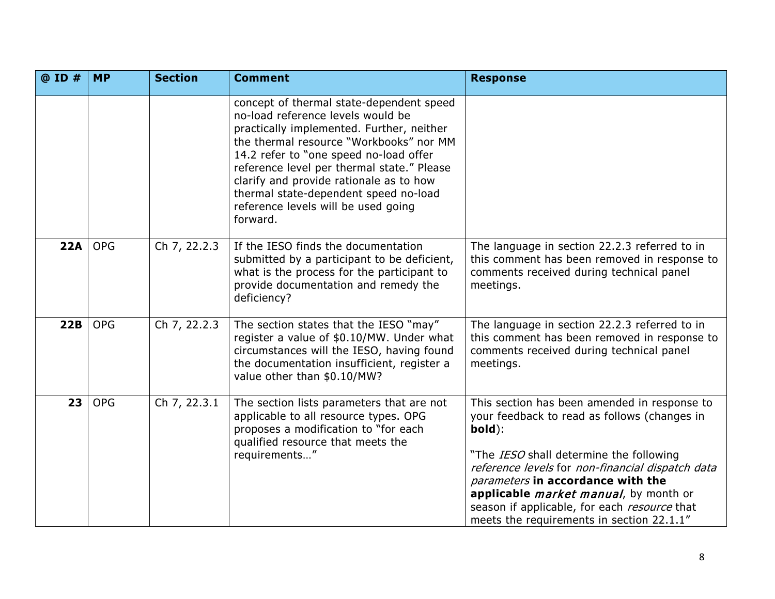| @ ID # | <b>MP</b>  | <b>Section</b> | <b>Comment</b>                                                                                                                                                                                                                                                                                                                                                                                       | <b>Response</b>                                                                                                                                                                                                                                                                                                                                                                          |
|--------|------------|----------------|------------------------------------------------------------------------------------------------------------------------------------------------------------------------------------------------------------------------------------------------------------------------------------------------------------------------------------------------------------------------------------------------------|------------------------------------------------------------------------------------------------------------------------------------------------------------------------------------------------------------------------------------------------------------------------------------------------------------------------------------------------------------------------------------------|
|        |            |                | concept of thermal state-dependent speed<br>no-load reference levels would be<br>practically implemented. Further, neither<br>the thermal resource "Workbooks" nor MM<br>14.2 refer to "one speed no-load offer<br>reference level per thermal state." Please<br>clarify and provide rationale as to how<br>thermal state-dependent speed no-load<br>reference levels will be used going<br>forward. |                                                                                                                                                                                                                                                                                                                                                                                          |
| 22A    | <b>OPG</b> | Ch 7, 22.2.3   | If the IESO finds the documentation<br>submitted by a participant to be deficient,<br>what is the process for the participant to<br>provide documentation and remedy the<br>deficiency?                                                                                                                                                                                                              | The language in section 22.2.3 referred to in<br>this comment has been removed in response to<br>comments received during technical panel<br>meetings.                                                                                                                                                                                                                                   |
| 22B    | <b>OPG</b> | Ch 7, 22.2.3   | The section states that the IESO "may"<br>register a value of \$0.10/MW. Under what<br>circumstances will the IESO, having found<br>the documentation insufficient, register a<br>value other than \$0.10/MW?                                                                                                                                                                                        | The language in section 22.2.3 referred to in<br>this comment has been removed in response to<br>comments received during technical panel<br>meetings.                                                                                                                                                                                                                                   |
| 23     | <b>OPG</b> | Ch 7, 22.3.1   | The section lists parameters that are not<br>applicable to all resource types. OPG<br>proposes a modification to "for each<br>qualified resource that meets the<br>requirements"                                                                                                                                                                                                                     | This section has been amended in response to<br>your feedback to read as follows (changes in<br>bold):<br>"The IESO shall determine the following<br>reference levels for non-financial dispatch data<br>parameters in accordance with the<br>applicable <i>market manual</i> , by month or<br>season if applicable, for each resource that<br>meets the requirements in section 22.1.1" |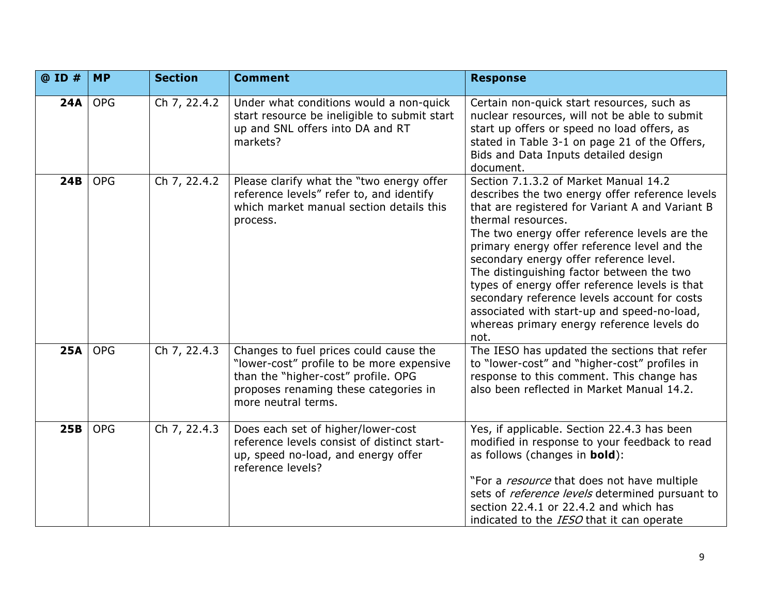| @ ID #     | <b>MP</b>  | <b>Section</b> | <b>Comment</b>                                                                                                                                                                             | <b>Response</b>                                                                                                                                                                                                                                                                                                                                                                                                                                                                                                                                                   |
|------------|------------|----------------|--------------------------------------------------------------------------------------------------------------------------------------------------------------------------------------------|-------------------------------------------------------------------------------------------------------------------------------------------------------------------------------------------------------------------------------------------------------------------------------------------------------------------------------------------------------------------------------------------------------------------------------------------------------------------------------------------------------------------------------------------------------------------|
| 24A        | <b>OPG</b> | Ch 7, 22.4.2   | Under what conditions would a non-quick<br>start resource be ineligible to submit start<br>up and SNL offers into DA and RT<br>markets?                                                    | Certain non-quick start resources, such as<br>nuclear resources, will not be able to submit<br>start up offers or speed no load offers, as<br>stated in Table 3-1 on page 21 of the Offers,<br>Bids and Data Inputs detailed design<br>document.                                                                                                                                                                                                                                                                                                                  |
| 24B        | <b>OPG</b> | Ch 7, 22.4.2   | Please clarify what the "two energy offer<br>reference levels" refer to, and identify<br>which market manual section details this<br>process.                                              | Section 7.1.3.2 of Market Manual 14.2<br>describes the two energy offer reference levels<br>that are registered for Variant A and Variant B<br>thermal resources.<br>The two energy offer reference levels are the<br>primary energy offer reference level and the<br>secondary energy offer reference level.<br>The distinguishing factor between the two<br>types of energy offer reference levels is that<br>secondary reference levels account for costs<br>associated with start-up and speed-no-load,<br>whereas primary energy reference levels do<br>not. |
| <b>25A</b> | <b>OPG</b> | Ch 7, 22.4.3   | Changes to fuel prices could cause the<br>"lower-cost" profile to be more expensive<br>than the "higher-cost" profile. OPG<br>proposes renaming these categories in<br>more neutral terms. | The IESO has updated the sections that refer<br>to "lower-cost" and "higher-cost" profiles in<br>response to this comment. This change has<br>also been reflected in Market Manual 14.2.                                                                                                                                                                                                                                                                                                                                                                          |
| 25B        | <b>OPG</b> | Ch 7, 22.4.3   | Does each set of higher/lower-cost<br>reference levels consist of distinct start-<br>up, speed no-load, and energy offer<br>reference levels?                                              | Yes, if applicable. Section 22.4.3 has been<br>modified in response to your feedback to read<br>as follows (changes in bold):<br>"For a <i>resource</i> that does not have multiple<br>sets of <i>reference levels</i> determined pursuant to<br>section 22.4.1 or 22.4.2 and which has<br>indicated to the IESO that it can operate                                                                                                                                                                                                                              |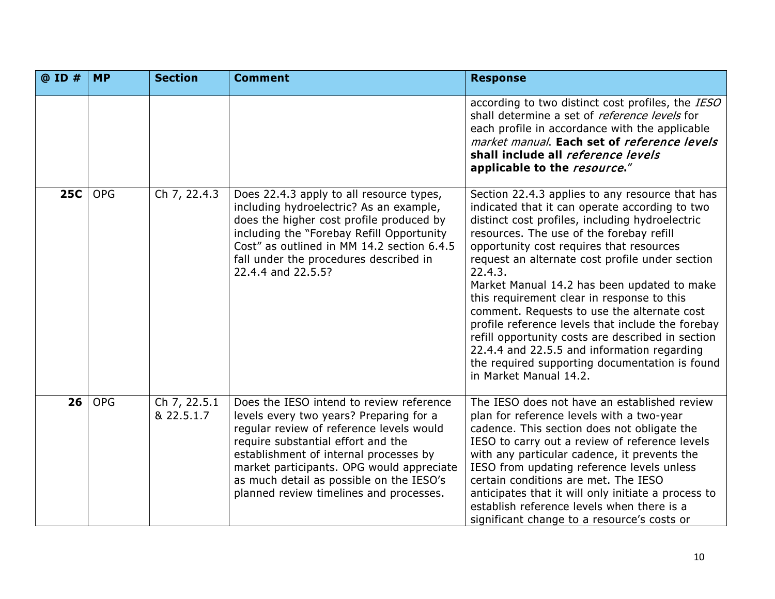| @ ID #     | <b>MP</b>  | <b>Section</b>             | <b>Comment</b>                                                                                                                                                                                                                                                                                                                                      | <b>Response</b>                                                                                                                                                                                                                                                                                                                                                                                                                                                                                                                                                                                                                                                                             |
|------------|------------|----------------------------|-----------------------------------------------------------------------------------------------------------------------------------------------------------------------------------------------------------------------------------------------------------------------------------------------------------------------------------------------------|---------------------------------------------------------------------------------------------------------------------------------------------------------------------------------------------------------------------------------------------------------------------------------------------------------------------------------------------------------------------------------------------------------------------------------------------------------------------------------------------------------------------------------------------------------------------------------------------------------------------------------------------------------------------------------------------|
|            |            |                            |                                                                                                                                                                                                                                                                                                                                                     | according to two distinct cost profiles, the IESO<br>shall determine a set of <i>reference levels</i> for<br>each profile in accordance with the applicable<br>market manual. Each set of reference levels<br>shall include all reference levels<br>applicable to the resource."                                                                                                                                                                                                                                                                                                                                                                                                            |
| <b>25C</b> | <b>OPG</b> | Ch 7, 22.4.3               | Does 22.4.3 apply to all resource types,<br>including hydroelectric? As an example,<br>does the higher cost profile produced by<br>including the "Forebay Refill Opportunity<br>Cost" as outlined in MM 14.2 section 6.4.5<br>fall under the procedures described in<br>22.4.4 and 22.5.5?                                                          | Section 22.4.3 applies to any resource that has<br>indicated that it can operate according to two<br>distinct cost profiles, including hydroelectric<br>resources. The use of the forebay refill<br>opportunity cost requires that resources<br>request an alternate cost profile under section<br>22.4.3.<br>Market Manual 14.2 has been updated to make<br>this requirement clear in response to this<br>comment. Requests to use the alternate cost<br>profile reference levels that include the forebay<br>refill opportunity costs are described in section<br>22.4.4 and 22.5.5 and information regarding<br>the required supporting documentation is found<br>in Market Manual 14.2. |
| 26         | <b>OPG</b> | Ch 7, 22.5.1<br>& 22.5.1.7 | Does the IESO intend to review reference<br>levels every two years? Preparing for a<br>regular review of reference levels would<br>require substantial effort and the<br>establishment of internal processes by<br>market participants. OPG would appreciate<br>as much detail as possible on the IESO's<br>planned review timelines and processes. | The IESO does not have an established review<br>plan for reference levels with a two-year<br>cadence. This section does not obligate the<br>IESO to carry out a review of reference levels<br>with any particular cadence, it prevents the<br>IESO from updating reference levels unless<br>certain conditions are met. The IESO<br>anticipates that it will only initiate a process to<br>establish reference levels when there is a<br>significant change to a resource's costs or                                                                                                                                                                                                        |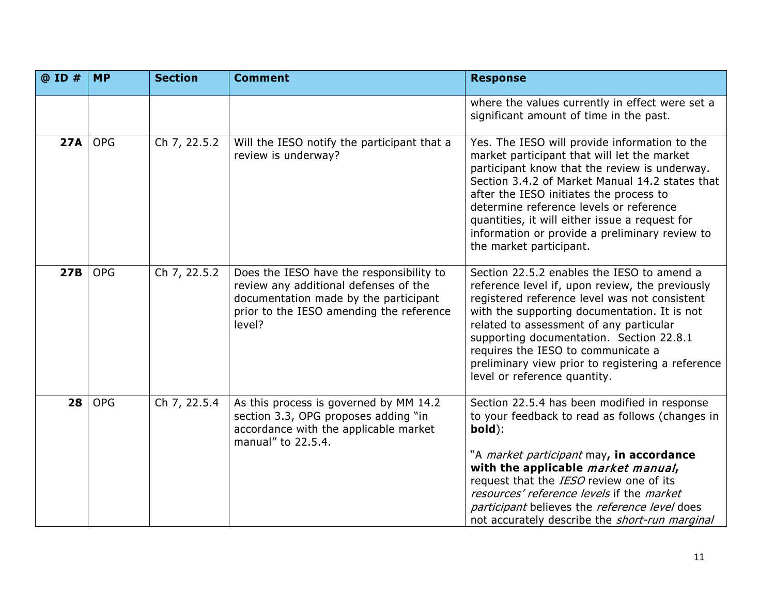| @ ID #     | <b>MP</b>  | <b>Section</b> | <b>Comment</b>                                                                                                                                                                   | <b>Response</b>                                                                                                                                                                                                                                                                                                                                                                                                       |
|------------|------------|----------------|----------------------------------------------------------------------------------------------------------------------------------------------------------------------------------|-----------------------------------------------------------------------------------------------------------------------------------------------------------------------------------------------------------------------------------------------------------------------------------------------------------------------------------------------------------------------------------------------------------------------|
|            |            |                |                                                                                                                                                                                  | where the values currently in effect were set a<br>significant amount of time in the past.                                                                                                                                                                                                                                                                                                                            |
| <b>27A</b> | <b>OPG</b> | Ch 7, 22.5.2   | Will the IESO notify the participant that a<br>review is underway?                                                                                                               | Yes. The IESO will provide information to the<br>market participant that will let the market<br>participant know that the review is underway.<br>Section 3.4.2 of Market Manual 14.2 states that<br>after the IESO initiates the process to<br>determine reference levels or reference<br>quantities, it will either issue a request for<br>information or provide a preliminary review to<br>the market participant. |
| 27B        | <b>OPG</b> | Ch 7, 22.5.2   | Does the IESO have the responsibility to<br>review any additional defenses of the<br>documentation made by the participant<br>prior to the IESO amending the reference<br>level? | Section 22.5.2 enables the IESO to amend a<br>reference level if, upon review, the previously<br>registered reference level was not consistent<br>with the supporting documentation. It is not<br>related to assessment of any particular<br>supporting documentation. Section 22.8.1<br>requires the IESO to communicate a<br>preliminary view prior to registering a reference<br>level or reference quantity.      |
| 28         | <b>OPG</b> | Ch 7, 22.5.4   | As this process is governed by MM 14.2<br>section 3.3, OPG proposes adding "in<br>accordance with the applicable market<br>manual" to 22.5.4.                                    | Section 22.5.4 has been modified in response<br>to your feedback to read as follows (changes in<br>bold):<br>"A <i>market participant</i> may, in accordance<br>with the applicable market manual,<br>request that the IESO review one of its<br>resources' reference levels if the market<br>participant believes the reference level does<br>not accurately describe the short-run marginal                         |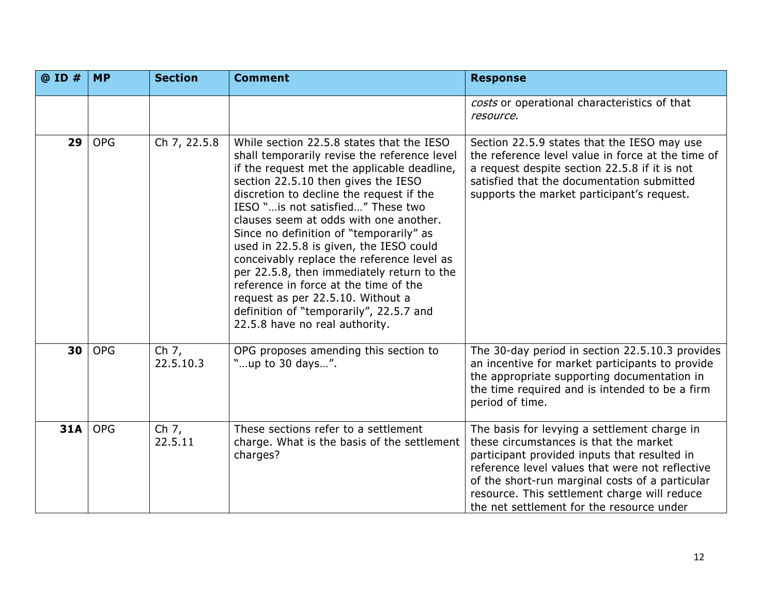| @ ID #     | <b>MP</b>  | <b>Section</b>       | <b>Comment</b>                                                                                                                                                                                                                                                                                                                                                                                                                                                                                                                                                                                                                                           | <b>Response</b>                                                                                                                                                                                                                                                                                                                           |
|------------|------------|----------------------|----------------------------------------------------------------------------------------------------------------------------------------------------------------------------------------------------------------------------------------------------------------------------------------------------------------------------------------------------------------------------------------------------------------------------------------------------------------------------------------------------------------------------------------------------------------------------------------------------------------------------------------------------------|-------------------------------------------------------------------------------------------------------------------------------------------------------------------------------------------------------------------------------------------------------------------------------------------------------------------------------------------|
|            |            |                      |                                                                                                                                                                                                                                                                                                                                                                                                                                                                                                                                                                                                                                                          | costs or operational characteristics of that<br>resource.                                                                                                                                                                                                                                                                                 |
| 29         | <b>OPG</b> | Ch 7, 22.5.8         | While section 22.5.8 states that the IESO<br>shall temporarily revise the reference level<br>if the request met the applicable deadline,<br>section 22.5.10 then gives the IESO<br>discretion to decline the request if the<br>IESO " is not satisfied" These two<br>clauses seem at odds with one another.<br>Since no definition of "temporarily" as<br>used in 22.5.8 is given, the IESO could<br>conceivably replace the reference level as<br>per 22.5.8, then immediately return to the<br>reference in force at the time of the<br>request as per 22.5.10. Without a<br>definition of "temporarily", 22.5.7 and<br>22.5.8 have no real authority. | Section 22.5.9 states that the IESO may use<br>the reference level value in force at the time of<br>a request despite section 22.5.8 if it is not<br>satisfied that the documentation submitted<br>supports the market participant's request.                                                                                             |
| 30         | <b>OPG</b> | Ch $7,$<br>22.5.10.3 | OPG proposes amending this section to<br>"up to 30 days".                                                                                                                                                                                                                                                                                                                                                                                                                                                                                                                                                                                                | The 30-day period in section 22.5.10.3 provides<br>an incentive for market participants to provide<br>the appropriate supporting documentation in<br>the time required and is intended to be a firm<br>period of time.                                                                                                                    |
| <b>31A</b> | <b>OPG</b> | Ch 7,<br>22.5.11     | These sections refer to a settlement<br>charge. What is the basis of the settlement<br>charges?                                                                                                                                                                                                                                                                                                                                                                                                                                                                                                                                                          | The basis for levying a settlement charge in<br>these circumstances is that the market<br>participant provided inputs that resulted in<br>reference level values that were not reflective<br>of the short-run marginal costs of a particular<br>resource. This settlement charge will reduce<br>the net settlement for the resource under |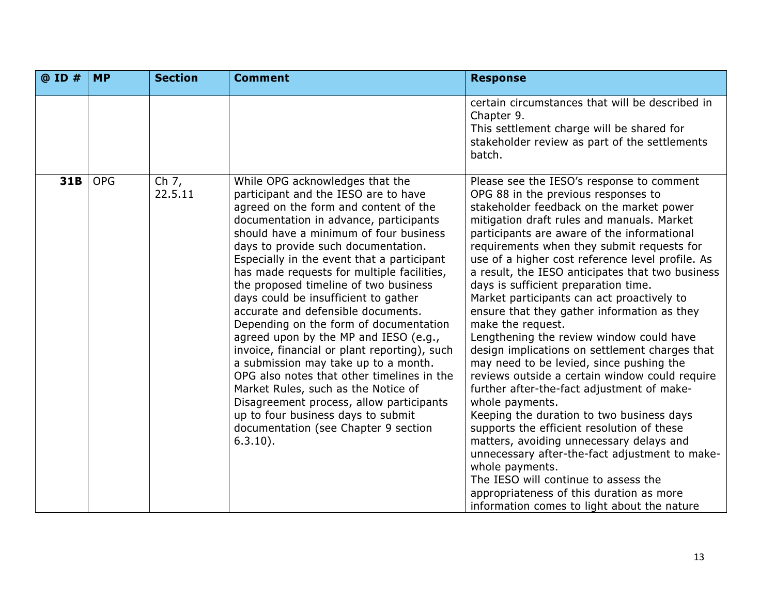| $@$ ID $#$ | <b>MP</b>  | <b>Section</b>     | <b>Comment</b>                                                                                                                                                                                                                                                                                                                                                                                                                                                                                                                                                                                                                                                                                                                                                                                                                                                          | <b>Response</b>                                                                                                                                                                                                                                                                                                                                                                                                                                                                                                                                                                                                                                                                                                                                                                                                                                                                                                                                                                                                                                                                                                                                       |
|------------|------------|--------------------|-------------------------------------------------------------------------------------------------------------------------------------------------------------------------------------------------------------------------------------------------------------------------------------------------------------------------------------------------------------------------------------------------------------------------------------------------------------------------------------------------------------------------------------------------------------------------------------------------------------------------------------------------------------------------------------------------------------------------------------------------------------------------------------------------------------------------------------------------------------------------|-------------------------------------------------------------------------------------------------------------------------------------------------------------------------------------------------------------------------------------------------------------------------------------------------------------------------------------------------------------------------------------------------------------------------------------------------------------------------------------------------------------------------------------------------------------------------------------------------------------------------------------------------------------------------------------------------------------------------------------------------------------------------------------------------------------------------------------------------------------------------------------------------------------------------------------------------------------------------------------------------------------------------------------------------------------------------------------------------------------------------------------------------------|
|            |            |                    |                                                                                                                                                                                                                                                                                                                                                                                                                                                                                                                                                                                                                                                                                                                                                                                                                                                                         | certain circumstances that will be described in<br>Chapter 9.<br>This settlement charge will be shared for<br>stakeholder review as part of the settlements<br>batch.                                                                                                                                                                                                                                                                                                                                                                                                                                                                                                                                                                                                                                                                                                                                                                                                                                                                                                                                                                                 |
| 31B        | <b>OPG</b> | Ch $7,$<br>22.5.11 | While OPG acknowledges that the<br>participant and the IESO are to have<br>agreed on the form and content of the<br>documentation in advance, participants<br>should have a minimum of four business<br>days to provide such documentation.<br>Especially in the event that a participant<br>has made requests for multiple facilities,<br>the proposed timeline of two business<br>days could be insufficient to gather<br>accurate and defensible documents.<br>Depending on the form of documentation<br>agreed upon by the MP and IESO (e.g.,<br>invoice, financial or plant reporting), such<br>a submission may take up to a month.<br>OPG also notes that other timelines in the<br>Market Rules, such as the Notice of<br>Disagreement process, allow participants<br>up to four business days to submit<br>documentation (see Chapter 9 section<br>$6.3.10$ ). | Please see the IESO's response to comment<br>OPG 88 in the previous responses to<br>stakeholder feedback on the market power<br>mitigation draft rules and manuals. Market<br>participants are aware of the informational<br>requirements when they submit requests for<br>use of a higher cost reference level profile. As<br>a result, the IESO anticipates that two business<br>days is sufficient preparation time.<br>Market participants can act proactively to<br>ensure that they gather information as they<br>make the request.<br>Lengthening the review window could have<br>design implications on settlement charges that<br>may need to be levied, since pushing the<br>reviews outside a certain window could require<br>further after-the-fact adjustment of make-<br>whole payments.<br>Keeping the duration to two business days<br>supports the efficient resolution of these<br>matters, avoiding unnecessary delays and<br>unnecessary after-the-fact adjustment to make-<br>whole payments.<br>The IESO will continue to assess the<br>appropriateness of this duration as more<br>information comes to light about the nature |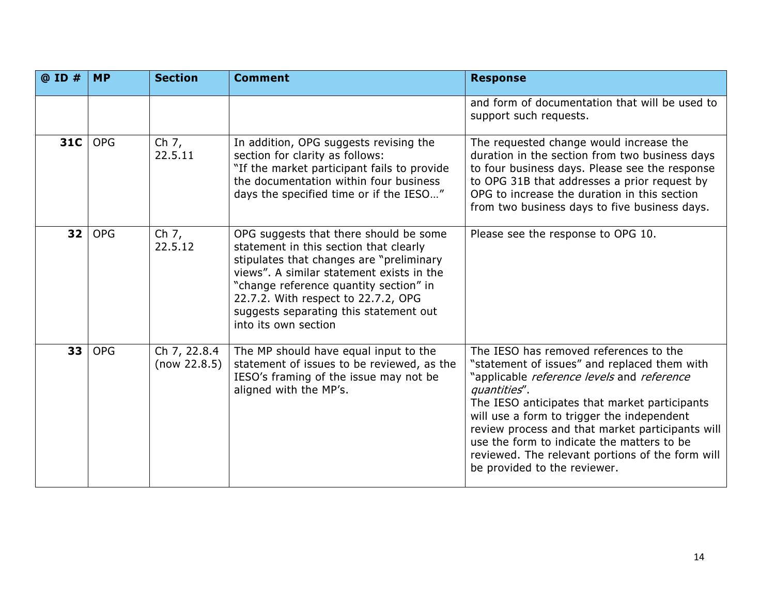| @ ID #          | <b>MP</b>  | <b>Section</b>               | <b>Comment</b>                                                                                                                                                                                                                                                                                                               | <b>Response</b>                                                                                                                                                                                                                                                                                                                                                                                                                           |
|-----------------|------------|------------------------------|------------------------------------------------------------------------------------------------------------------------------------------------------------------------------------------------------------------------------------------------------------------------------------------------------------------------------|-------------------------------------------------------------------------------------------------------------------------------------------------------------------------------------------------------------------------------------------------------------------------------------------------------------------------------------------------------------------------------------------------------------------------------------------|
|                 |            |                              |                                                                                                                                                                                                                                                                                                                              | and form of documentation that will be used to<br>support such requests.                                                                                                                                                                                                                                                                                                                                                                  |
| 31C             | <b>OPG</b> | Ch 7,<br>22.5.11             | In addition, OPG suggests revising the<br>section for clarity as follows:<br>"If the market participant fails to provide<br>the documentation within four business<br>days the specified time or if the IESO"                                                                                                                | The requested change would increase the<br>duration in the section from two business days<br>to four business days. Please see the response<br>to OPG 31B that addresses a prior request by<br>OPG to increase the duration in this section<br>from two business days to five business days.                                                                                                                                              |
| 32 <sub>1</sub> | <b>OPG</b> | Ch 7,<br>22.5.12             | OPG suggests that there should be some<br>statement in this section that clearly<br>stipulates that changes are "preliminary<br>views". A similar statement exists in the<br>"change reference quantity section" in<br>22.7.2. With respect to 22.7.2, OPG<br>suggests separating this statement out<br>into its own section | Please see the response to OPG 10.                                                                                                                                                                                                                                                                                                                                                                                                        |
| 33              | <b>OPG</b> | Ch 7, 22.8.4<br>(now 22.8.5) | The MP should have equal input to the<br>statement of issues to be reviewed, as the<br>IESO's framing of the issue may not be<br>aligned with the MP's.                                                                                                                                                                      | The IESO has removed references to the<br>"statement of issues" and replaced them with<br>"applicable reference levels and reference<br>quantities".<br>The IESO anticipates that market participants<br>will use a form to trigger the independent<br>review process and that market participants will<br>use the form to indicate the matters to be<br>reviewed. The relevant portions of the form will<br>be provided to the reviewer. |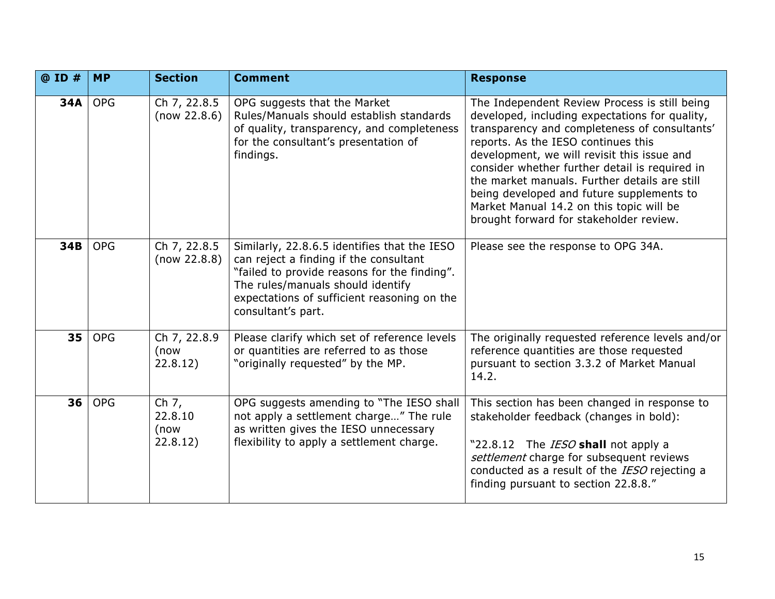| @ ID # | <b>MP</b>  | <b>Section</b>                         | <b>Comment</b>                                                                                                                                                                                                                                   | <b>Response</b>                                                                                                                                                                                                                                                                                                                                                                                                                                                               |
|--------|------------|----------------------------------------|--------------------------------------------------------------------------------------------------------------------------------------------------------------------------------------------------------------------------------------------------|-------------------------------------------------------------------------------------------------------------------------------------------------------------------------------------------------------------------------------------------------------------------------------------------------------------------------------------------------------------------------------------------------------------------------------------------------------------------------------|
| 34A    | <b>OPG</b> | Ch 7, 22.8.5<br>(now 22.8.6)           | OPG suggests that the Market<br>Rules/Manuals should establish standards<br>of quality, transparency, and completeness<br>for the consultant's presentation of<br>findings.                                                                      | The Independent Review Process is still being<br>developed, including expectations for quality,<br>transparency and completeness of consultants'<br>reports. As the IESO continues this<br>development, we will revisit this issue and<br>consider whether further detail is required in<br>the market manuals. Further details are still<br>being developed and future supplements to<br>Market Manual 14.2 on this topic will be<br>brought forward for stakeholder review. |
| 34B    | <b>OPG</b> | Ch 7, 22.8.5<br>(now 22.8.8)           | Similarly, 22.8.6.5 identifies that the IESO<br>can reject a finding if the consultant<br>"failed to provide reasons for the finding".<br>The rules/manuals should identify<br>expectations of sufficient reasoning on the<br>consultant's part. | Please see the response to OPG 34A.                                                                                                                                                                                                                                                                                                                                                                                                                                           |
| 35     | <b>OPG</b> | Ch 7, 22.8.9<br>(now<br>22.8.12)       | Please clarify which set of reference levels<br>or quantities are referred to as those<br>"originally requested" by the MP.                                                                                                                      | The originally requested reference levels and/or<br>reference quantities are those requested<br>pursuant to section 3.3.2 of Market Manual<br>14.2.                                                                                                                                                                                                                                                                                                                           |
| 36     | <b>OPG</b> | Ch $7,$<br>22.8.10<br>(now<br>22.8.12) | OPG suggests amending to "The IESO shall<br>not apply a settlement charge" The rule<br>as written gives the IESO unnecessary<br>flexibility to apply a settlement charge.                                                                        | This section has been changed in response to<br>stakeholder feedback (changes in bold):<br>"22.8.12 The <i>IESO</i> shall not apply a<br>settlement charge for subsequent reviews<br>conducted as a result of the IESO rejecting a<br>finding pursuant to section 22.8.8."                                                                                                                                                                                                    |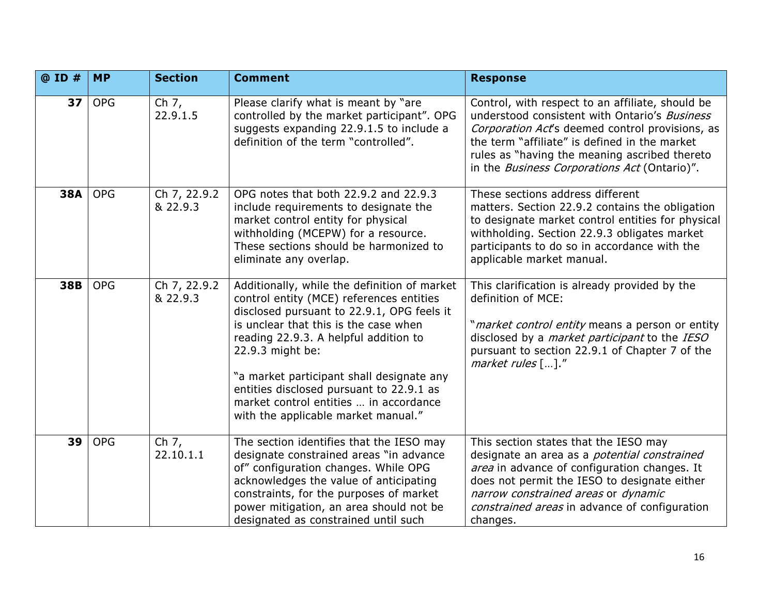| @ ID #          | <b>MP</b>  | <b>Section</b>           | <b>Comment</b>                                                                                                                                                                                                                                                                                                                                                                                                         | <b>Response</b>                                                                                                                                                                                                                                                                                               |
|-----------------|------------|--------------------------|------------------------------------------------------------------------------------------------------------------------------------------------------------------------------------------------------------------------------------------------------------------------------------------------------------------------------------------------------------------------------------------------------------------------|---------------------------------------------------------------------------------------------------------------------------------------------------------------------------------------------------------------------------------------------------------------------------------------------------------------|
| 37 <sub>1</sub> | <b>OPG</b> | Ch 7,<br>22.9.1.5        | Please clarify what is meant by "are<br>controlled by the market participant". OPG<br>suggests expanding 22.9.1.5 to include a<br>definition of the term "controlled".                                                                                                                                                                                                                                                 | Control, with respect to an affiliate, should be<br>understood consistent with Ontario's Business<br>Corporation Act's deemed control provisions, as<br>the term "affiliate" is defined in the market<br>rules as "having the meaning ascribed thereto<br>in the <i>Business Corporations Act</i> (Ontario)". |
| <b>38A</b>      | <b>OPG</b> | Ch 7, 22.9.2<br>& 22.9.3 | OPG notes that both 22.9.2 and 22.9.3<br>include requirements to designate the<br>market control entity for physical<br>withholding (MCEPW) for a resource.<br>These sections should be harmonized to<br>eliminate any overlap.                                                                                                                                                                                        | These sections address different<br>matters. Section 22.9.2 contains the obligation<br>to designate market control entities for physical<br>withholding. Section 22.9.3 obligates market<br>participants to do so in accordance with the<br>applicable market manual.                                         |
| 38B             | <b>OPG</b> | Ch 7, 22.9.2<br>& 22.9.3 | Additionally, while the definition of market<br>control entity (MCE) references entities<br>disclosed pursuant to 22.9.1, OPG feels it<br>is unclear that this is the case when<br>reading 22.9.3. A helpful addition to<br>22.9.3 might be:<br>"a market participant shall designate any<br>entities disclosed pursuant to 22.9.1 as<br>market control entities  in accordance<br>with the applicable market manual." | This clarification is already provided by the<br>definition of MCE:<br>"market control entity means a person or entity<br>disclosed by a <i>market participant</i> to the IESO<br>pursuant to section 22.9.1 of Chapter 7 of the<br>market rules $[\,\dots]\,$ ."                                             |
| 39              | <b>OPG</b> | Ch $7,$<br>22.10.1.1     | The section identifies that the IESO may<br>designate constrained areas "in advance<br>of" configuration changes. While OPG<br>acknowledges the value of anticipating<br>constraints, for the purposes of market<br>power mitigation, an area should not be<br>designated as constrained until such                                                                                                                    | This section states that the IESO may<br>designate an area as a <i>potential constrained</i><br>area in advance of configuration changes. It<br>does not permit the IESO to designate either<br>narrow constrained areas or dynamic<br>constrained areas in advance of configuration<br>changes.              |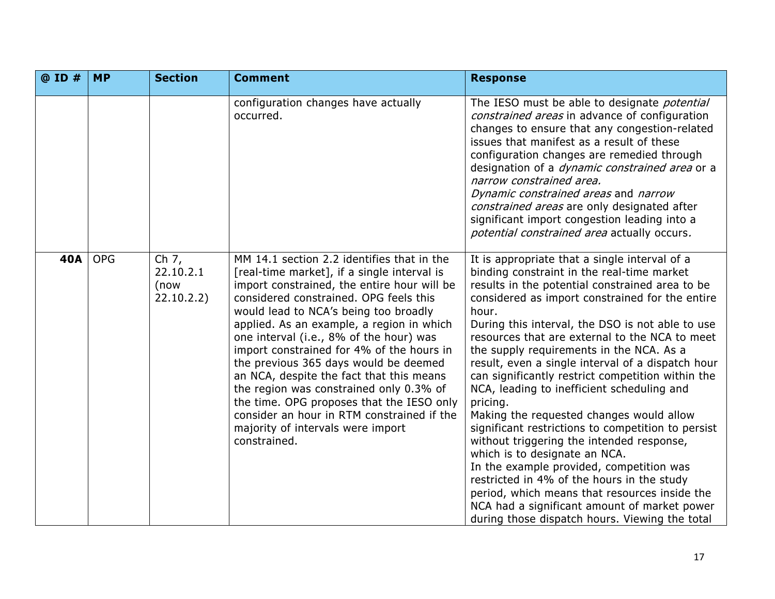| @ ID #     | <b>MP</b>  | <b>Section</b>                             | <b>Comment</b>                                                                                                                                                                                                                                                                                                                                                                                                                                                                                                                                                                                                                                   | <b>Response</b>                                                                                                                                                                                                                                                                                                                                                                                                                                                                                                                                                                                                                                                                                                                                                                                                                                                                                                                                               |
|------------|------------|--------------------------------------------|--------------------------------------------------------------------------------------------------------------------------------------------------------------------------------------------------------------------------------------------------------------------------------------------------------------------------------------------------------------------------------------------------------------------------------------------------------------------------------------------------------------------------------------------------------------------------------------------------------------------------------------------------|---------------------------------------------------------------------------------------------------------------------------------------------------------------------------------------------------------------------------------------------------------------------------------------------------------------------------------------------------------------------------------------------------------------------------------------------------------------------------------------------------------------------------------------------------------------------------------------------------------------------------------------------------------------------------------------------------------------------------------------------------------------------------------------------------------------------------------------------------------------------------------------------------------------------------------------------------------------|
|            |            |                                            | configuration changes have actually<br>occurred.                                                                                                                                                                                                                                                                                                                                                                                                                                                                                                                                                                                                 | The IESO must be able to designate <i>potential</i><br>constrained areas in advance of configuration<br>changes to ensure that any congestion-related<br>issues that manifest as a result of these<br>configuration changes are remedied through<br>designation of a <i>dynamic constrained area</i> or a<br>narrow constrained area.<br>Dynamic constrained areas and narrow<br>constrained areas are only designated after<br>significant import congestion leading into a<br>potential constrained area actually occurs.                                                                                                                                                                                                                                                                                                                                                                                                                                   |
| <b>40A</b> | <b>OPG</b> | Ch $7,$<br>22.10.2.1<br>(now<br>22.10.2.2) | MM 14.1 section 2.2 identifies that in the<br>[real-time market], if a single interval is<br>import constrained, the entire hour will be<br>considered constrained. OPG feels this<br>would lead to NCA's being too broadly<br>applied. As an example, a region in which<br>one interval (i.e., 8% of the hour) was<br>import constrained for 4% of the hours in<br>the previous 365 days would be deemed<br>an NCA, despite the fact that this means<br>the region was constrained only 0.3% of<br>the time. OPG proposes that the IESO only<br>consider an hour in RTM constrained if the<br>majority of intervals were import<br>constrained. | It is appropriate that a single interval of a<br>binding constraint in the real-time market<br>results in the potential constrained area to be<br>considered as import constrained for the entire<br>hour.<br>During this interval, the DSO is not able to use<br>resources that are external to the NCA to meet<br>the supply requirements in the NCA. As a<br>result, even a single interval of a dispatch hour<br>can significantly restrict competition within the<br>NCA, leading to inefficient scheduling and<br>pricing.<br>Making the requested changes would allow<br>significant restrictions to competition to persist<br>without triggering the intended response,<br>which is to designate an NCA.<br>In the example provided, competition was<br>restricted in 4% of the hours in the study<br>period, which means that resources inside the<br>NCA had a significant amount of market power<br>during those dispatch hours. Viewing the total |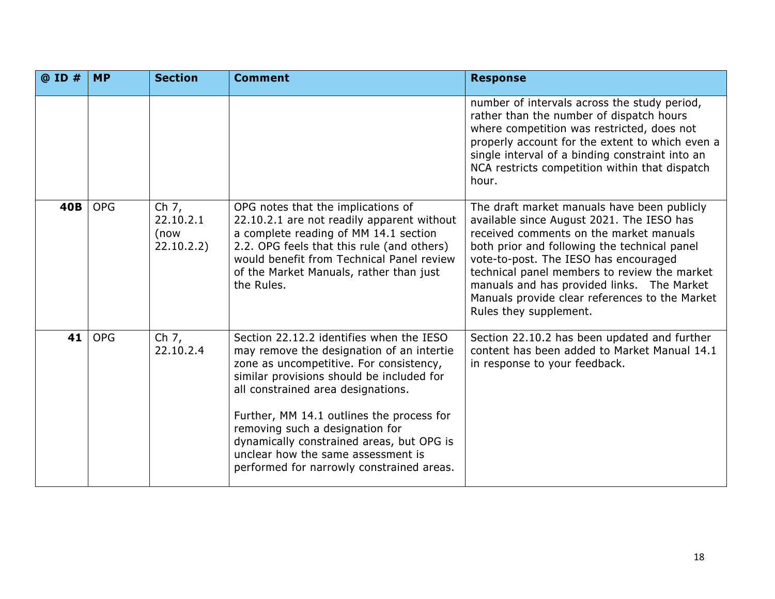| $@$ ID $#$ | <b>MP</b>  | <b>Section</b>                             | <b>Comment</b>                                                                                                                                                                                                                                                                                                                                                                                                                      | <b>Response</b>                                                                                                                                                                                                                                                                                                                                                                                        |
|------------|------------|--------------------------------------------|-------------------------------------------------------------------------------------------------------------------------------------------------------------------------------------------------------------------------------------------------------------------------------------------------------------------------------------------------------------------------------------------------------------------------------------|--------------------------------------------------------------------------------------------------------------------------------------------------------------------------------------------------------------------------------------------------------------------------------------------------------------------------------------------------------------------------------------------------------|
|            |            |                                            |                                                                                                                                                                                                                                                                                                                                                                                                                                     | number of intervals across the study period,<br>rather than the number of dispatch hours<br>where competition was restricted, does not<br>properly account for the extent to which even a<br>single interval of a binding constraint into an<br>NCA restricts competition within that dispatch<br>hour.                                                                                                |
| <b>40B</b> | <b>OPG</b> | Ch $7,$<br>22.10.2.1<br>(now<br>22.10.2.2) | OPG notes that the implications of<br>22.10.2.1 are not readily apparent without<br>a complete reading of MM 14.1 section<br>2.2. OPG feels that this rule (and others)<br>would benefit from Technical Panel review<br>of the Market Manuals, rather than just<br>the Rules.                                                                                                                                                       | The draft market manuals have been publicly<br>available since August 2021. The IESO has<br>received comments on the market manuals<br>both prior and following the technical panel<br>vote-to-post. The IESO has encouraged<br>technical panel members to review the market<br>manuals and has provided links. The Market<br>Manuals provide clear references to the Market<br>Rules they supplement. |
| 41         | <b>OPG</b> | Ch 7,<br>22.10.2.4                         | Section 22.12.2 identifies when the IESO<br>may remove the designation of an intertie<br>zone as uncompetitive. For consistency,<br>similar provisions should be included for<br>all constrained area designations.<br>Further, MM 14.1 outlines the process for<br>removing such a designation for<br>dynamically constrained areas, but OPG is<br>unclear how the same assessment is<br>performed for narrowly constrained areas. | Section 22.10.2 has been updated and further<br>content has been added to Market Manual 14.1<br>in response to your feedback.                                                                                                                                                                                                                                                                          |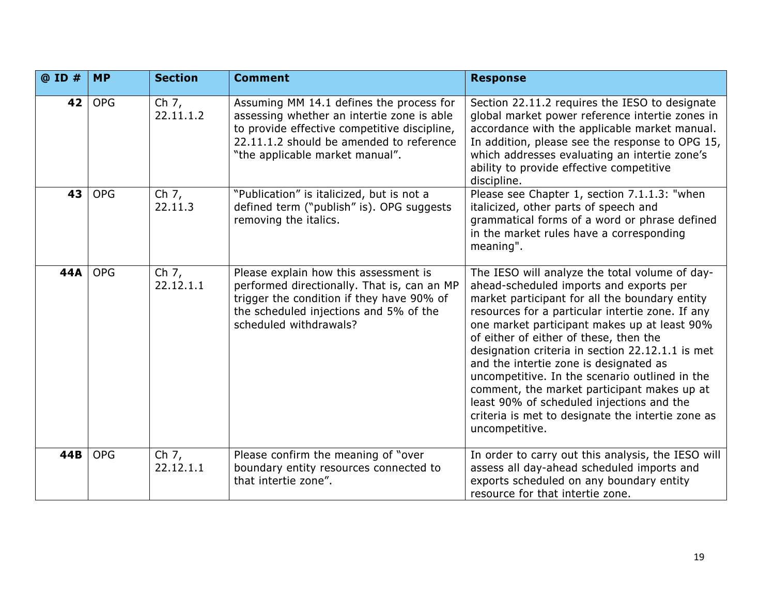| @ ID #          | <b>MP</b>  | <b>Section</b>       | <b>Comment</b>                                                                                                                                                                                                        | <b>Response</b>                                                                                                                                                                                                                                                                                                                                                                                                                                                                                                                                                                                              |
|-----------------|------------|----------------------|-----------------------------------------------------------------------------------------------------------------------------------------------------------------------------------------------------------------------|--------------------------------------------------------------------------------------------------------------------------------------------------------------------------------------------------------------------------------------------------------------------------------------------------------------------------------------------------------------------------------------------------------------------------------------------------------------------------------------------------------------------------------------------------------------------------------------------------------------|
| 42 <sub>1</sub> | <b>OPG</b> | Ch 7,<br>22.11.1.2   | Assuming MM 14.1 defines the process for<br>assessing whether an intertie zone is able<br>to provide effective competitive discipline,<br>22.11.1.2 should be amended to reference<br>"the applicable market manual". | Section 22.11.2 requires the IESO to designate<br>global market power reference intertie zones in<br>accordance with the applicable market manual.<br>In addition, please see the response to OPG 15,<br>which addresses evaluating an intertie zone's<br>ability to provide effective competitive<br>discipline.                                                                                                                                                                                                                                                                                            |
| 43              | <b>OPG</b> | Ch 7,<br>22.11.3     | "Publication" is italicized, but is not a<br>defined term ("publish" is). OPG suggests<br>removing the italics.                                                                                                       | Please see Chapter 1, section 7.1.1.3: "when<br>italicized, other parts of speech and<br>grammatical forms of a word or phrase defined<br>in the market rules have a corresponding<br>meaning".                                                                                                                                                                                                                                                                                                                                                                                                              |
| 44A             | <b>OPG</b> | Ch 7,<br>22.12.1.1   | Please explain how this assessment is<br>performed directionally. That is, can an MP<br>trigger the condition if they have 90% of<br>the scheduled injections and 5% of the<br>scheduled withdrawals?                 | The IESO will analyze the total volume of day-<br>ahead-scheduled imports and exports per<br>market participant for all the boundary entity<br>resources for a particular intertie zone. If any<br>one market participant makes up at least 90%<br>of either of either of these, then the<br>designation criteria in section 22.12.1.1 is met<br>and the intertie zone is designated as<br>uncompetitive. In the scenario outlined in the<br>comment, the market participant makes up at<br>least 90% of scheduled injections and the<br>criteria is met to designate the intertie zone as<br>uncompetitive. |
| 44B             | <b>OPG</b> | Ch $7,$<br>22.12.1.1 | Please confirm the meaning of "over<br>boundary entity resources connected to<br>that intertie zone".                                                                                                                 | In order to carry out this analysis, the IESO will<br>assess all day-ahead scheduled imports and<br>exports scheduled on any boundary entity<br>resource for that intertie zone.                                                                                                                                                                                                                                                                                                                                                                                                                             |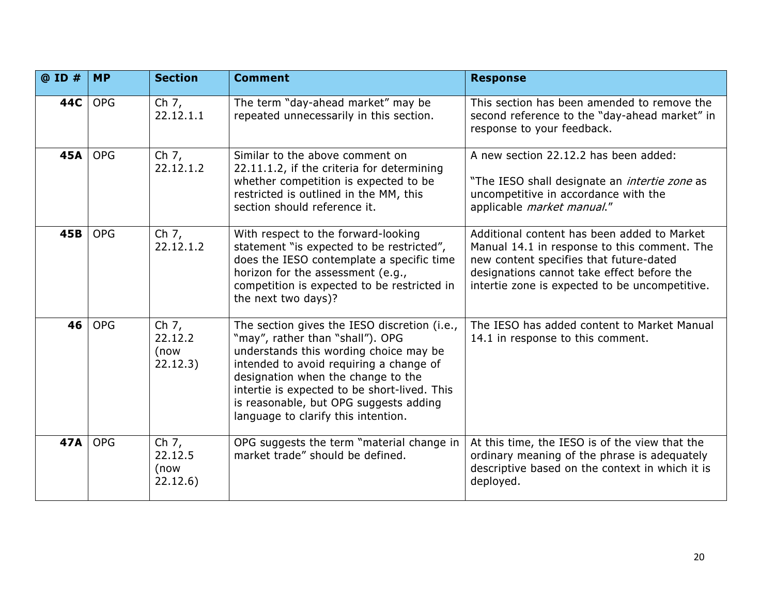| @ ID #     | <b>MP</b>  | <b>Section</b>                         | <b>Comment</b>                                                                                                                                                                                                                                                                                                                               | <b>Response</b>                                                                                                                                                                                                                        |
|------------|------------|----------------------------------------|----------------------------------------------------------------------------------------------------------------------------------------------------------------------------------------------------------------------------------------------------------------------------------------------------------------------------------------------|----------------------------------------------------------------------------------------------------------------------------------------------------------------------------------------------------------------------------------------|
| 44C        | <b>OPG</b> | Ch $7,$<br>22.12.1.1                   | The term "day-ahead market" may be<br>repeated unnecessarily in this section.                                                                                                                                                                                                                                                                | This section has been amended to remove the<br>second reference to the "day-ahead market" in<br>response to your feedback.                                                                                                             |
| <b>45A</b> | <b>OPG</b> | Ch $7,$<br>22.12.1.2                   | Similar to the above comment on<br>22.11.1.2, if the criteria for determining<br>whether competition is expected to be<br>restricted is outlined in the MM, this<br>section should reference it.                                                                                                                                             | A new section 22.12.2 has been added:<br>"The IESO shall designate an <i>intertie zone</i> as<br>uncompetitive in accordance with the<br>applicable market manual."                                                                    |
| 45B        | <b>OPG</b> | Ch $7,$<br>22.12.1.2                   | With respect to the forward-looking<br>statement "is expected to be restricted",<br>does the IESO contemplate a specific time<br>horizon for the assessment (e.g.,<br>competition is expected to be restricted in<br>the next two days)?                                                                                                     | Additional content has been added to Market<br>Manual 14.1 in response to this comment. The<br>new content specifies that future-dated<br>designations cannot take effect before the<br>intertie zone is expected to be uncompetitive. |
| 46         | <b>OPG</b> | Ch 7,<br>22.12.2<br>(now<br>22.12.3)   | The section gives the IESO discretion (i.e.,<br>"may", rather than "shall"). OPG<br>understands this wording choice may be<br>intended to avoid requiring a change of<br>designation when the change to the<br>intertie is expected to be short-lived. This<br>is reasonable, but OPG suggests adding<br>language to clarify this intention. | The IESO has added content to Market Manual<br>14.1 in response to this comment.                                                                                                                                                       |
| 47A        | <b>OPG</b> | Ch $7,$<br>22.12.5<br>(now<br>22.12.6) | OPG suggests the term "material change in<br>market trade" should be defined.                                                                                                                                                                                                                                                                | At this time, the IESO is of the view that the<br>ordinary meaning of the phrase is adequately<br>descriptive based on the context in which it is<br>deployed.                                                                         |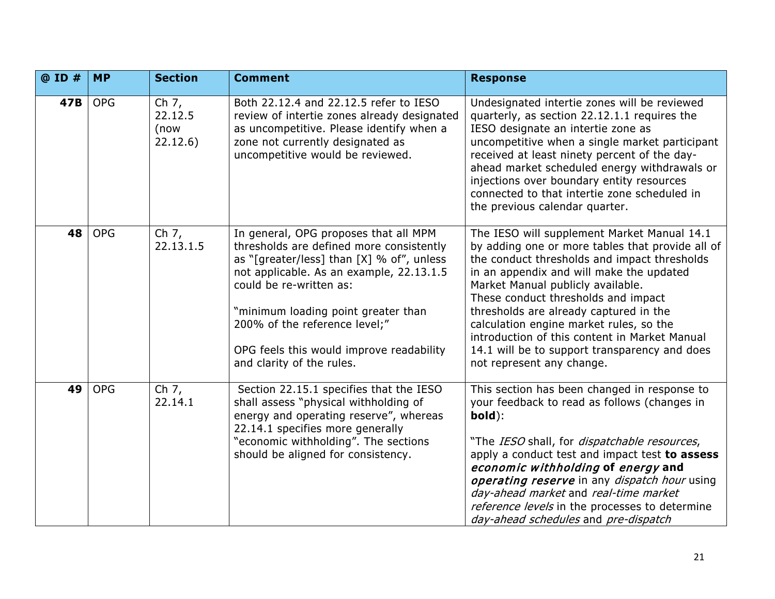| @ ID # | <b>MP</b>  | <b>Section</b>                       | <b>Comment</b>                                                                                                                                                                                                                                                                                                                                         | <b>Response</b>                                                                                                                                                                                                                                                                                                                                                                                                                                                                             |
|--------|------------|--------------------------------------|--------------------------------------------------------------------------------------------------------------------------------------------------------------------------------------------------------------------------------------------------------------------------------------------------------------------------------------------------------|---------------------------------------------------------------------------------------------------------------------------------------------------------------------------------------------------------------------------------------------------------------------------------------------------------------------------------------------------------------------------------------------------------------------------------------------------------------------------------------------|
| 47B    | <b>OPG</b> | Ch 7,<br>22.12.5<br>(now<br>22.12.6) | Both 22.12.4 and 22.12.5 refer to IESO<br>review of intertie zones already designated<br>as uncompetitive. Please identify when a<br>zone not currently designated as<br>uncompetitive would be reviewed.                                                                                                                                              | Undesignated intertie zones will be reviewed<br>quarterly, as section 22.12.1.1 requires the<br>IESO designate an intertie zone as<br>uncompetitive when a single market participant<br>received at least ninety percent of the day-<br>ahead market scheduled energy withdrawals or<br>injections over boundary entity resources<br>connected to that intertie zone scheduled in<br>the previous calendar quarter.                                                                         |
| 48     | <b>OPG</b> | Ch 7,<br>22.13.1.5                   | In general, OPG proposes that all MPM<br>thresholds are defined more consistently<br>as "[greater/less] than [X] % of", unless<br>not applicable. As an example, 22.13.1.5<br>could be re-written as:<br>"minimum loading point greater than<br>200% of the reference level;"<br>OPG feels this would improve readability<br>and clarity of the rules. | The IESO will supplement Market Manual 14.1<br>by adding one or more tables that provide all of<br>the conduct thresholds and impact thresholds<br>in an appendix and will make the updated<br>Market Manual publicly available.<br>These conduct thresholds and impact<br>thresholds are already captured in the<br>calculation engine market rules, so the<br>introduction of this content in Market Manual<br>14.1 will be to support transparency and does<br>not represent any change. |
| 49     | <b>OPG</b> | Ch 7,<br>22.14.1                     | Section 22.15.1 specifies that the IESO<br>shall assess "physical withholding of<br>energy and operating reserve", whereas<br>22.14.1 specifies more generally<br>"economic withholding". The sections<br>should be aligned for consistency.                                                                                                           | This section has been changed in response to<br>your feedback to read as follows (changes in<br>bold):<br>"The IESO shall, for dispatchable resources,<br>apply a conduct test and impact test to assess<br>economic withholding of energy and<br>operating reserve in any dispatch hour using<br>day-ahead market and real-time market<br>reference levels in the processes to determine<br>day-ahead schedules and pre-dispatch                                                           |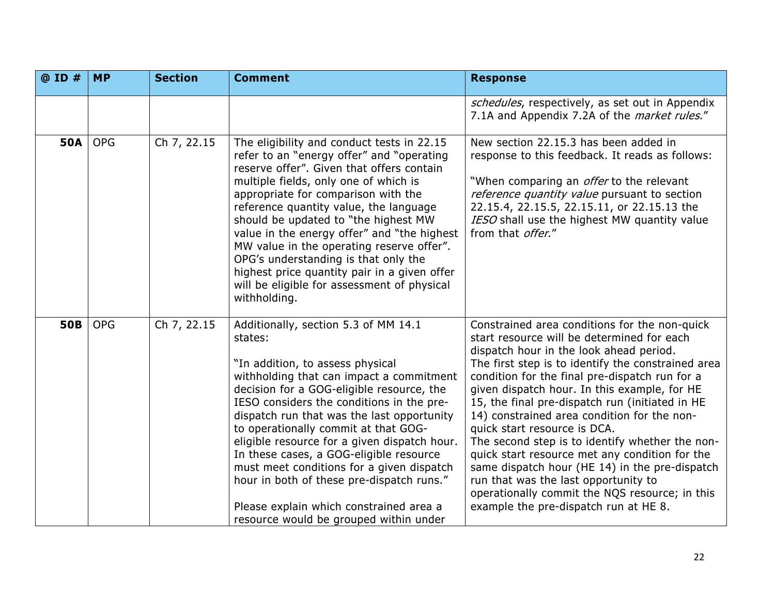| @ ID #     | <b>MP</b>  | <b>Section</b> | <b>Comment</b>                                                                                                                                                                                                                                                                                                                                                                                                                                                                                                                                                                            | <b>Response</b>                                                                                                                                                                                                                                                                                                                                                                                                                                                                                                                                                                                                                                                                                                            |
|------------|------------|----------------|-------------------------------------------------------------------------------------------------------------------------------------------------------------------------------------------------------------------------------------------------------------------------------------------------------------------------------------------------------------------------------------------------------------------------------------------------------------------------------------------------------------------------------------------------------------------------------------------|----------------------------------------------------------------------------------------------------------------------------------------------------------------------------------------------------------------------------------------------------------------------------------------------------------------------------------------------------------------------------------------------------------------------------------------------------------------------------------------------------------------------------------------------------------------------------------------------------------------------------------------------------------------------------------------------------------------------------|
|            |            |                |                                                                                                                                                                                                                                                                                                                                                                                                                                                                                                                                                                                           | schedules, respectively, as set out in Appendix<br>7.1A and Appendix 7.2A of the <i>market rules."</i>                                                                                                                                                                                                                                                                                                                                                                                                                                                                                                                                                                                                                     |
| <b>50A</b> | <b>OPG</b> | Ch 7, 22.15    | The eligibility and conduct tests in 22.15<br>refer to an "energy offer" and "operating<br>reserve offer". Given that offers contain<br>multiple fields, only one of which is<br>appropriate for comparison with the<br>reference quantity value, the language<br>should be updated to "the highest MW<br>value in the energy offer" and "the highest<br>MW value in the operating reserve offer".<br>OPG's understanding is that only the<br>highest price quantity pair in a given offer<br>will be eligible for assessment of physical<br>withholding.                                 | New section 22.15.3 has been added in<br>response to this feedback. It reads as follows:<br>"When comparing an <i>offer</i> to the relevant<br>reference quantity value pursuant to section<br>22.15.4, 22.15.5, 22.15.11, or 22.15.13 the<br>IESO shall use the highest MW quantity value<br>from that offer."                                                                                                                                                                                                                                                                                                                                                                                                            |
| <b>50B</b> | <b>OPG</b> | Ch 7, 22.15    | Additionally, section 5.3 of MM 14.1<br>states:<br>"In addition, to assess physical<br>withholding that can impact a commitment<br>decision for a GOG-eligible resource, the<br>IESO considers the conditions in the pre-<br>dispatch run that was the last opportunity<br>to operationally commit at that GOG-<br>eligible resource for a given dispatch hour.<br>In these cases, a GOG-eligible resource<br>must meet conditions for a given dispatch<br>hour in both of these pre-dispatch runs."<br>Please explain which constrained area a<br>resource would be grouped within under | Constrained area conditions for the non-quick<br>start resource will be determined for each<br>dispatch hour in the look ahead period.<br>The first step is to identify the constrained area<br>condition for the final pre-dispatch run for a<br>given dispatch hour. In this example, for HE<br>15, the final pre-dispatch run (initiated in HE<br>14) constrained area condition for the non-<br>quick start resource is DCA.<br>The second step is to identify whether the non-<br>quick start resource met any condition for the<br>same dispatch hour (HE 14) in the pre-dispatch<br>run that was the last opportunity to<br>operationally commit the NQS resource; in this<br>example the pre-dispatch run at HE 8. |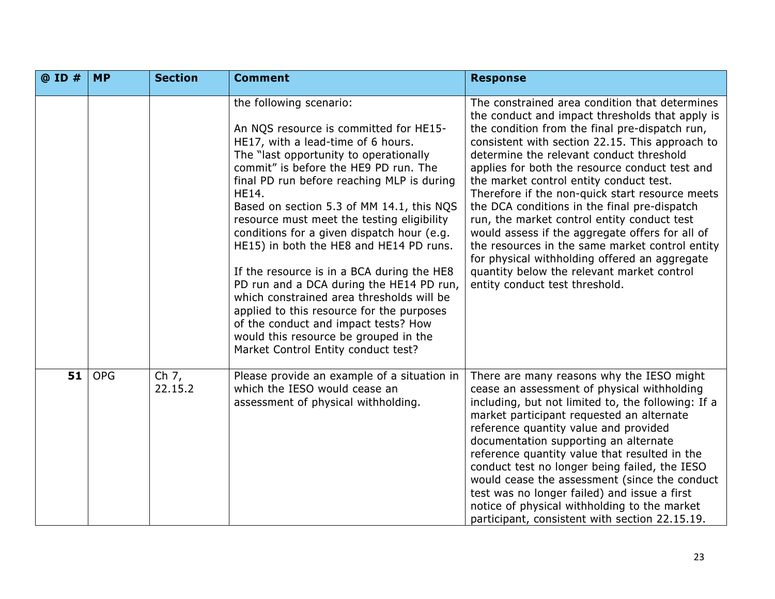| @ ID # | <b>MP</b>  | <b>Section</b>     | <b>Comment</b>                                                                                                                                                                                                                                                                                                                                                                                                                                                                                                                                                                                                                                                                                                                                           | <b>Response</b>                                                                                                                                                                                                                                                                                                                                                                                                                                                                                                                                                                                                                                                                                                                          |
|--------|------------|--------------------|----------------------------------------------------------------------------------------------------------------------------------------------------------------------------------------------------------------------------------------------------------------------------------------------------------------------------------------------------------------------------------------------------------------------------------------------------------------------------------------------------------------------------------------------------------------------------------------------------------------------------------------------------------------------------------------------------------------------------------------------------------|------------------------------------------------------------------------------------------------------------------------------------------------------------------------------------------------------------------------------------------------------------------------------------------------------------------------------------------------------------------------------------------------------------------------------------------------------------------------------------------------------------------------------------------------------------------------------------------------------------------------------------------------------------------------------------------------------------------------------------------|
|        |            |                    | the following scenario:<br>An NQS resource is committed for HE15-<br>HE17, with a lead-time of 6 hours.<br>The "last opportunity to operationally<br>commit" is before the HE9 PD run. The<br>final PD run before reaching MLP is during<br><b>HE14.</b><br>Based on section 5.3 of MM 14.1, this NQS<br>resource must meet the testing eligibility<br>conditions for a given dispatch hour (e.g.<br>HE15) in both the HE8 and HE14 PD runs.<br>If the resource is in a BCA during the HE8<br>PD run and a DCA during the HE14 PD run,<br>which constrained area thresholds will be<br>applied to this resource for the purposes<br>of the conduct and impact tests? How<br>would this resource be grouped in the<br>Market Control Entity conduct test? | The constrained area condition that determines<br>the conduct and impact thresholds that apply is<br>the condition from the final pre-dispatch run,<br>consistent with section 22.15. This approach to<br>determine the relevant conduct threshold<br>applies for both the resource conduct test and<br>the market control entity conduct test.<br>Therefore if the non-quick start resource meets<br>the DCA conditions in the final pre-dispatch<br>run, the market control entity conduct test<br>would assess if the aggregate offers for all of<br>the resources in the same market control entity<br>for physical withholding offered an aggregate<br>quantity below the relevant market control<br>entity conduct test threshold. |
| 51     | <b>OPG</b> | Ch $7,$<br>22.15.2 | Please provide an example of a situation in<br>which the IESO would cease an<br>assessment of physical withholding.                                                                                                                                                                                                                                                                                                                                                                                                                                                                                                                                                                                                                                      | There are many reasons why the IESO might<br>cease an assessment of physical withholding<br>including, but not limited to, the following: If a<br>market participant requested an alternate<br>reference quantity value and provided<br>documentation supporting an alternate<br>reference quantity value that resulted in the<br>conduct test no longer being failed, the IESO<br>would cease the assessment (since the conduct<br>test was no longer failed) and issue a first<br>notice of physical withholding to the market<br>participant, consistent with section 22.15.19.                                                                                                                                                       |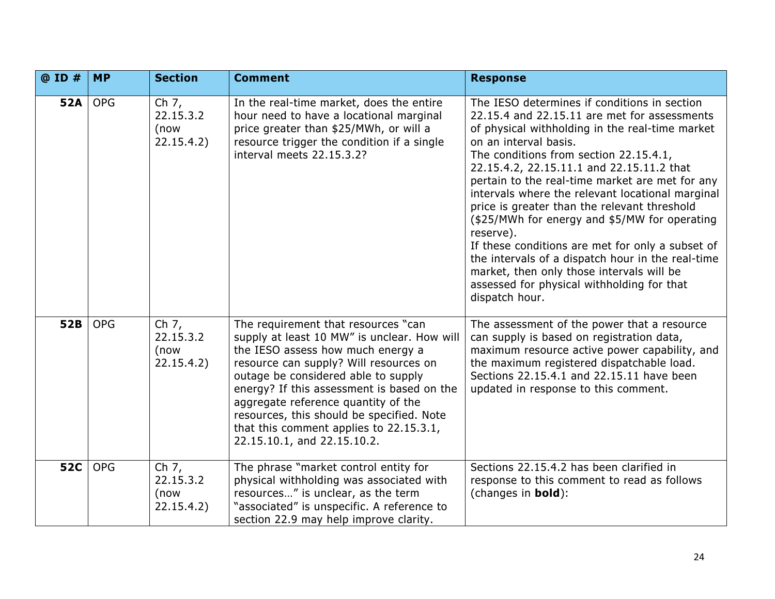| @ ID #     | <b>MP</b>  | <b>Section</b>                             | <b>Comment</b>                                                                                                                                                                                                                                                                                                                                                                                                       | <b>Response</b>                                                                                                                                                                                                                                                                                                                                                                                                                                                                                                                                                                                                                                                                                            |
|------------|------------|--------------------------------------------|----------------------------------------------------------------------------------------------------------------------------------------------------------------------------------------------------------------------------------------------------------------------------------------------------------------------------------------------------------------------------------------------------------------------|------------------------------------------------------------------------------------------------------------------------------------------------------------------------------------------------------------------------------------------------------------------------------------------------------------------------------------------------------------------------------------------------------------------------------------------------------------------------------------------------------------------------------------------------------------------------------------------------------------------------------------------------------------------------------------------------------------|
| <b>52A</b> | <b>OPG</b> | Ch $7,$<br>22.15.3.2<br>(now<br>22.15.4.2) | In the real-time market, does the entire<br>hour need to have a locational marginal<br>price greater than \$25/MWh, or will a<br>resource trigger the condition if a single<br>interval meets 22.15.3.2?                                                                                                                                                                                                             | The IESO determines if conditions in section<br>22.15.4 and 22.15.11 are met for assessments<br>of physical withholding in the real-time market<br>on an interval basis.<br>The conditions from section 22.15.4.1,<br>22.15.4.2, 22.15.11.1 and 22.15.11.2 that<br>pertain to the real-time market are met for any<br>intervals where the relevant locational marginal<br>price is greater than the relevant threshold<br>(\$25/MWh for energy and \$5/MW for operating<br>reserve).<br>If these conditions are met for only a subset of<br>the intervals of a dispatch hour in the real-time<br>market, then only those intervals will be<br>assessed for physical withholding for that<br>dispatch hour. |
| 52B        | <b>OPG</b> | Ch 7,<br>22.15.3.2<br>(now<br>22.15.4.2)   | The requirement that resources "can<br>supply at least 10 MW" is unclear. How will<br>the IESO assess how much energy a<br>resource can supply? Will resources on<br>outage be considered able to supply<br>energy? If this assessment is based on the<br>aggregate reference quantity of the<br>resources, this should be specified. Note<br>that this comment applies to 22.15.3.1,<br>22.15.10.1, and 22.15.10.2. | The assessment of the power that a resource<br>can supply is based on registration data,<br>maximum resource active power capability, and<br>the maximum registered dispatchable load.<br>Sections 22.15.4.1 and 22.15.11 have been<br>updated in response to this comment.                                                                                                                                                                                                                                                                                                                                                                                                                                |
| <b>52C</b> | <b>OPG</b> | Ch $7,$<br>22.15.3.2<br>(now<br>22.15.4.2) | The phrase "market control entity for<br>physical withholding was associated with<br>resources" is unclear, as the term<br>"associated" is unspecific. A reference to<br>section 22.9 may help improve clarity.                                                                                                                                                                                                      | Sections 22.15.4.2 has been clarified in<br>response to this comment to read as follows<br>(changes in <b>bold</b> ):                                                                                                                                                                                                                                                                                                                                                                                                                                                                                                                                                                                      |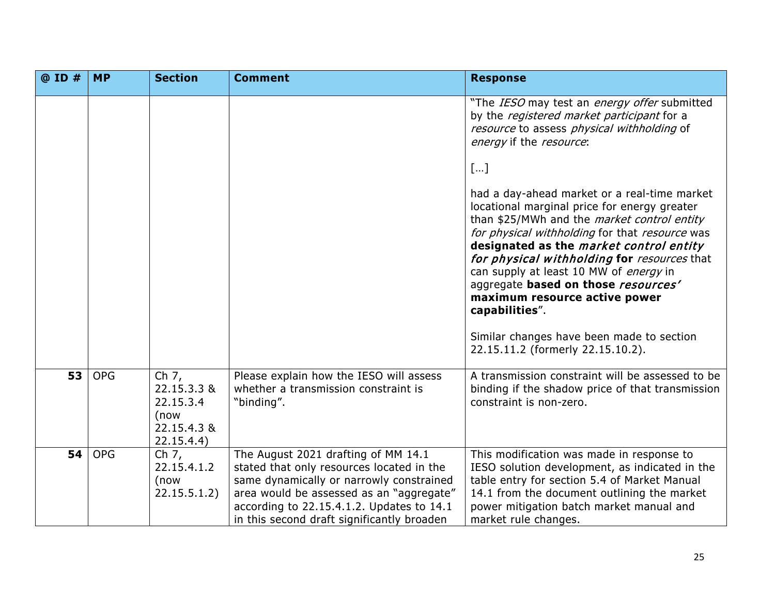| @ ID # | <b>MP</b>  | <b>Section</b>                                                         | <b>Comment</b>                                                                                                                                                                                                                                                      | <b>Response</b>                                                                                                                                                                                                                                                                                                                                                                    |
|--------|------------|------------------------------------------------------------------------|---------------------------------------------------------------------------------------------------------------------------------------------------------------------------------------------------------------------------------------------------------------------|------------------------------------------------------------------------------------------------------------------------------------------------------------------------------------------------------------------------------------------------------------------------------------------------------------------------------------------------------------------------------------|
|        |            |                                                                        |                                                                                                                                                                                                                                                                     | "The IESO may test an energy offer submitted<br>by the registered market participant for a<br>resource to assess physical withholding of<br>energy if the resource:<br>[]<br>had a day-ahead market or a real-time market                                                                                                                                                          |
|        |            |                                                                        |                                                                                                                                                                                                                                                                     | locational marginal price for energy greater<br>than \$25/MWh and the <i>market control entity</i><br>for physical withholding for that resource was<br>designated as the market control entity<br>for physical withholding for resources that<br>can supply at least 10 MW of energy in<br>aggregate based on those resources'<br>maximum resource active power<br>capabilities". |
|        |            |                                                                        |                                                                                                                                                                                                                                                                     | Similar changes have been made to section<br>22.15.11.2 (formerly 22.15.10.2).                                                                                                                                                                                                                                                                                                     |
| 53     | <b>OPG</b> | Ch 7,<br>22.15.3.3 &<br>22.15.3.4<br>(now<br>22.15.4.3 &<br>22.15.4.4) | Please explain how the IESO will assess<br>whether a transmission constraint is<br>"binding".                                                                                                                                                                       | A transmission constraint will be assessed to be<br>binding if the shadow price of that transmission<br>constraint is non-zero.                                                                                                                                                                                                                                                    |
| 54     | <b>OPG</b> | Ch 7,<br>22.15.4.1.2<br>(now<br>22.15.5.1.2)                           | The August 2021 drafting of MM 14.1<br>stated that only resources located in the<br>same dynamically or narrowly constrained<br>area would be assessed as an "aggregate"<br>according to 22.15.4.1.2. Updates to 14.1<br>in this second draft significantly broaden | This modification was made in response to<br>IESO solution development, as indicated in the<br>table entry for section 5.4 of Market Manual<br>14.1 from the document outlining the market<br>power mitigation batch market manual and<br>market rule changes.                                                                                                                     |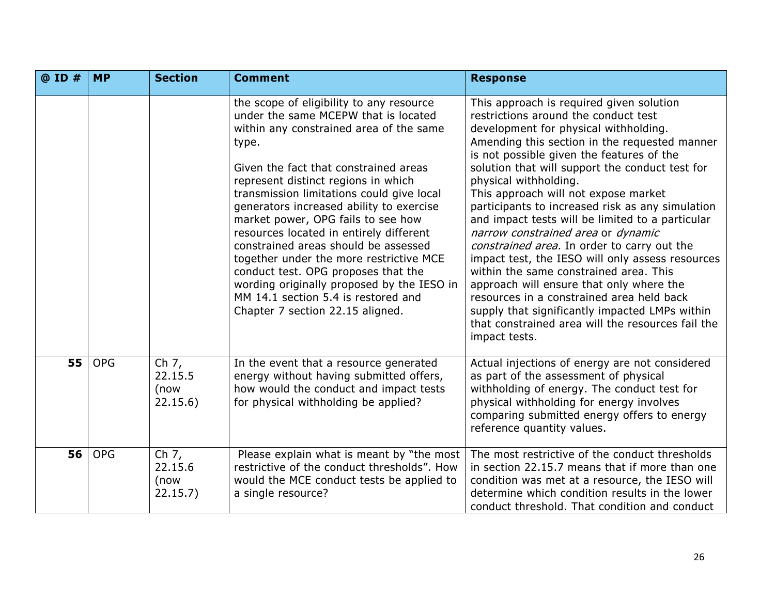| $@$ ID $#$ | <b>MP</b>  | <b>Section</b>                         | <b>Comment</b>                                                                                                                                                                                                                                                                                                                                                                                                                                                                                                                                                                                                                                    | <b>Response</b>                                                                                                                                                                                                                                                                                                                                                                                                                                                                                                                                                                                                                                                                                                                                                                                                                                         |
|------------|------------|----------------------------------------|---------------------------------------------------------------------------------------------------------------------------------------------------------------------------------------------------------------------------------------------------------------------------------------------------------------------------------------------------------------------------------------------------------------------------------------------------------------------------------------------------------------------------------------------------------------------------------------------------------------------------------------------------|---------------------------------------------------------------------------------------------------------------------------------------------------------------------------------------------------------------------------------------------------------------------------------------------------------------------------------------------------------------------------------------------------------------------------------------------------------------------------------------------------------------------------------------------------------------------------------------------------------------------------------------------------------------------------------------------------------------------------------------------------------------------------------------------------------------------------------------------------------|
|            |            |                                        | the scope of eligibility to any resource<br>under the same MCEPW that is located<br>within any constrained area of the same<br>type.<br>Given the fact that constrained areas<br>represent distinct regions in which<br>transmission limitations could give local<br>generators increased ability to exercise<br>market power, OPG fails to see how<br>resources located in entirely different<br>constrained areas should be assessed<br>together under the more restrictive MCE<br>conduct test. OPG proposes that the<br>wording originally proposed by the IESO in<br>MM 14.1 section 5.4 is restored and<br>Chapter 7 section 22.15 aligned. | This approach is required given solution<br>restrictions around the conduct test<br>development for physical withholding.<br>Amending this section in the requested manner<br>is not possible given the features of the<br>solution that will support the conduct test for<br>physical withholding.<br>This approach will not expose market<br>participants to increased risk as any simulation<br>and impact tests will be limited to a particular<br>narrow constrained area or dynamic<br>constrained area. In order to carry out the<br>impact test, the IESO will only assess resources<br>within the same constrained area. This<br>approach will ensure that only where the<br>resources in a constrained area held back<br>supply that significantly impacted LMPs within<br>that constrained area will the resources fail the<br>impact tests. |
| 55         | <b>OPG</b> | Ch $7,$<br>22.15.5<br>(now<br>22.15.6) | In the event that a resource generated<br>energy without having submitted offers,<br>how would the conduct and impact tests<br>for physical withholding be applied?                                                                                                                                                                                                                                                                                                                                                                                                                                                                               | Actual injections of energy are not considered<br>as part of the assessment of physical<br>withholding of energy. The conduct test for<br>physical withholding for energy involves<br>comparing submitted energy offers to energy<br>reference quantity values.                                                                                                                                                                                                                                                                                                                                                                                                                                                                                                                                                                                         |
| 56         | <b>OPG</b> | Ch $7,$<br>22.15.6<br>(now<br>22.15.7) | Please explain what is meant by "the most<br>restrictive of the conduct thresholds". How<br>would the MCE conduct tests be applied to<br>a single resource?                                                                                                                                                                                                                                                                                                                                                                                                                                                                                       | The most restrictive of the conduct thresholds<br>in section 22.15.7 means that if more than one<br>condition was met at a resource, the IESO will<br>determine which condition results in the lower<br>conduct threshold. That condition and conduct                                                                                                                                                                                                                                                                                                                                                                                                                                                                                                                                                                                                   |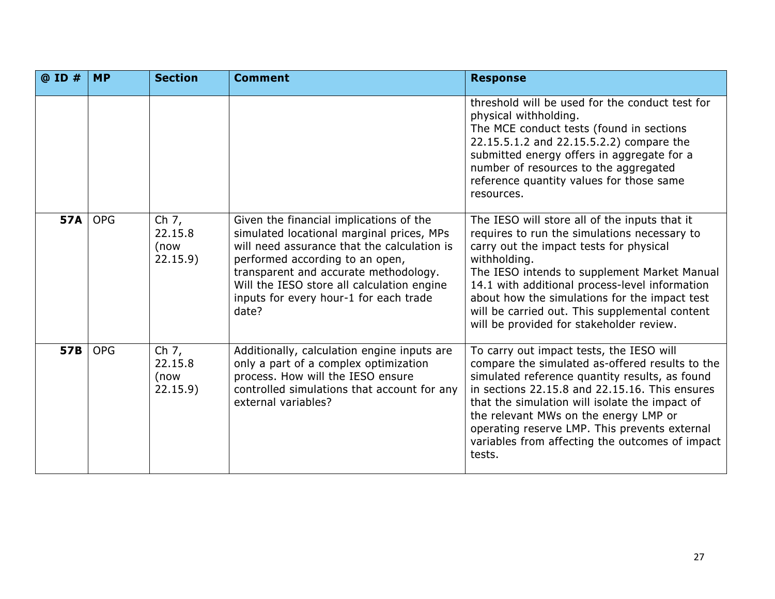| @ ID #     | <b>MP</b>  | <b>Section</b>                        | <b>Comment</b>                                                                                                                                                                                                                                                                                                   | <b>Response</b>                                                                                                                                                                                                                                                                                                                                                                                           |
|------------|------------|---------------------------------------|------------------------------------------------------------------------------------------------------------------------------------------------------------------------------------------------------------------------------------------------------------------------------------------------------------------|-----------------------------------------------------------------------------------------------------------------------------------------------------------------------------------------------------------------------------------------------------------------------------------------------------------------------------------------------------------------------------------------------------------|
|            |            |                                       |                                                                                                                                                                                                                                                                                                                  | threshold will be used for the conduct test for<br>physical withholding.<br>The MCE conduct tests (found in sections<br>22.15.5.1.2 and 22.15.5.2.2) compare the<br>submitted energy offers in aggregate for a<br>number of resources to the aggregated<br>reference quantity values for those same<br>resources.                                                                                         |
| <b>57A</b> | <b>OPG</b> | Ch $7,$<br>22.15.8<br>(now<br>22.15.9 | Given the financial implications of the<br>simulated locational marginal prices, MPs<br>will need assurance that the calculation is<br>performed according to an open,<br>transparent and accurate methodology.<br>Will the IESO store all calculation engine<br>inputs for every hour-1 for each trade<br>date? | The IESO will store all of the inputs that it<br>requires to run the simulations necessary to<br>carry out the impact tests for physical<br>withholding.<br>The IESO intends to supplement Market Manual<br>14.1 with additional process-level information<br>about how the simulations for the impact test<br>will be carried out. This supplemental content<br>will be provided for stakeholder review. |
| <b>57B</b> | <b>OPG</b> | Ch 7,<br>22.15.8<br>(now<br>22.15.9   | Additionally, calculation engine inputs are<br>only a part of a complex optimization<br>process. How will the IESO ensure<br>controlled simulations that account for any<br>external variables?                                                                                                                  | To carry out impact tests, the IESO will<br>compare the simulated as-offered results to the<br>simulated reference quantity results, as found<br>in sections 22.15.8 and 22.15.16. This ensures<br>that the simulation will isolate the impact of<br>the relevant MWs on the energy LMP or<br>operating reserve LMP. This prevents external<br>variables from affecting the outcomes of impact<br>tests.  |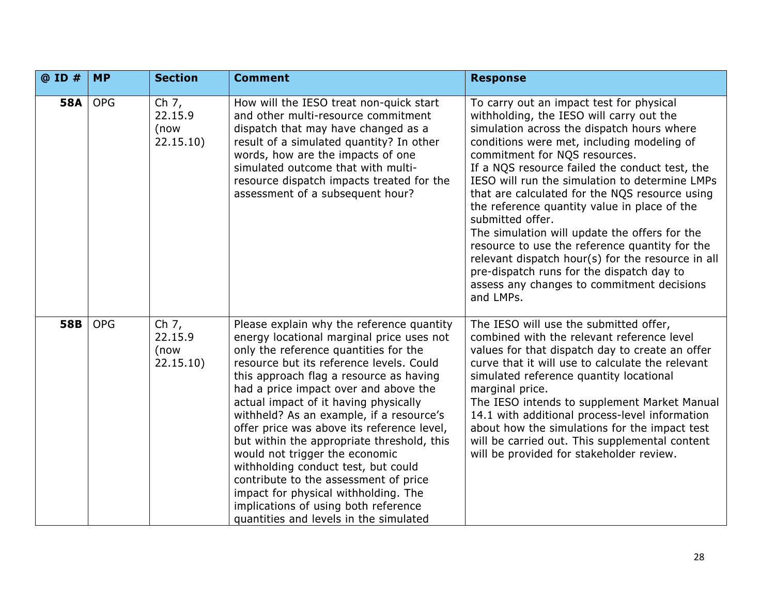| @ ID #     | <b>MP</b>  | <b>Section</b>                          | <b>Comment</b>                                                                                                                                                                                                                                                                                                                                                                                                                                                                                                                                                                                                                                                                               | <b>Response</b>                                                                                                                                                                                                                                                                                                                                                                                                                                                                                                                                                                                                                                                                                             |
|------------|------------|-----------------------------------------|----------------------------------------------------------------------------------------------------------------------------------------------------------------------------------------------------------------------------------------------------------------------------------------------------------------------------------------------------------------------------------------------------------------------------------------------------------------------------------------------------------------------------------------------------------------------------------------------------------------------------------------------------------------------------------------------|-------------------------------------------------------------------------------------------------------------------------------------------------------------------------------------------------------------------------------------------------------------------------------------------------------------------------------------------------------------------------------------------------------------------------------------------------------------------------------------------------------------------------------------------------------------------------------------------------------------------------------------------------------------------------------------------------------------|
| <b>58A</b> | <b>OPG</b> | Ch $7,$<br>22.15.9<br>(now<br>22.15.10) | How will the IESO treat non-quick start<br>and other multi-resource commitment<br>dispatch that may have changed as a<br>result of a simulated quantity? In other<br>words, how are the impacts of one<br>simulated outcome that with multi-<br>resource dispatch impacts treated for the<br>assessment of a subsequent hour?                                                                                                                                                                                                                                                                                                                                                                | To carry out an impact test for physical<br>withholding, the IESO will carry out the<br>simulation across the dispatch hours where<br>conditions were met, including modeling of<br>commitment for NQS resources.<br>If a NQS resource failed the conduct test, the<br>IESO will run the simulation to determine LMPs<br>that are calculated for the NQS resource using<br>the reference quantity value in place of the<br>submitted offer.<br>The simulation will update the offers for the<br>resource to use the reference quantity for the<br>relevant dispatch hour(s) for the resource in all<br>pre-dispatch runs for the dispatch day to<br>assess any changes to commitment decisions<br>and LMPs. |
| <b>58B</b> | <b>OPG</b> | Ch $7,$<br>22.15.9<br>(now<br>22.15.10) | Please explain why the reference quantity<br>energy locational marginal price uses not<br>only the reference quantities for the<br>resource but its reference levels. Could<br>this approach flag a resource as having<br>had a price impact over and above the<br>actual impact of it having physically<br>withheld? As an example, if a resource's<br>offer price was above its reference level,<br>but within the appropriate threshold, this<br>would not trigger the economic<br>withholding conduct test, but could<br>contribute to the assessment of price<br>impact for physical withholding. The<br>implications of using both reference<br>quantities and levels in the simulated | The IESO will use the submitted offer,<br>combined with the relevant reference level<br>values for that dispatch day to create an offer<br>curve that it will use to calculate the relevant<br>simulated reference quantity locational<br>marginal price.<br>The IESO intends to supplement Market Manual<br>14.1 with additional process-level information<br>about how the simulations for the impact test<br>will be carried out. This supplemental content<br>will be provided for stakeholder review.                                                                                                                                                                                                  |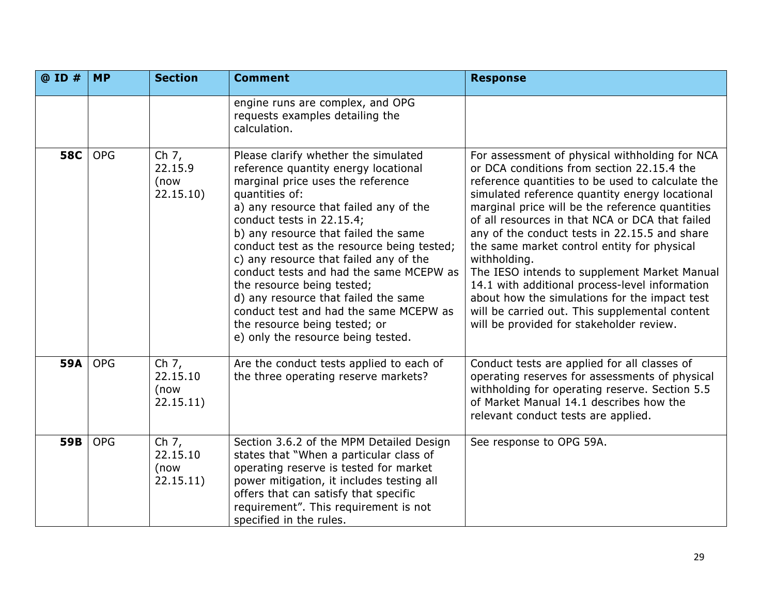| @ ID #     | <b>MP</b>  | <b>Section</b>                           | <b>Comment</b>                                                                                                                                                                                                                                                                                                                                                                                                                                                                                                                                                               | <b>Response</b>                                                                                                                                                                                                                                                                                                                                                                                                                                                                                                                                                                                                                                                           |
|------------|------------|------------------------------------------|------------------------------------------------------------------------------------------------------------------------------------------------------------------------------------------------------------------------------------------------------------------------------------------------------------------------------------------------------------------------------------------------------------------------------------------------------------------------------------------------------------------------------------------------------------------------------|---------------------------------------------------------------------------------------------------------------------------------------------------------------------------------------------------------------------------------------------------------------------------------------------------------------------------------------------------------------------------------------------------------------------------------------------------------------------------------------------------------------------------------------------------------------------------------------------------------------------------------------------------------------------------|
|            |            |                                          | engine runs are complex, and OPG<br>requests examples detailing the<br>calculation.                                                                                                                                                                                                                                                                                                                                                                                                                                                                                          |                                                                                                                                                                                                                                                                                                                                                                                                                                                                                                                                                                                                                                                                           |
| <b>58C</b> | <b>OPG</b> | Ch $7,$<br>22.15.9<br>(now<br>22.15.10)  | Please clarify whether the simulated<br>reference quantity energy locational<br>marginal price uses the reference<br>quantities of:<br>a) any resource that failed any of the<br>conduct tests in 22.15.4;<br>b) any resource that failed the same<br>conduct test as the resource being tested;<br>c) any resource that failed any of the<br>conduct tests and had the same MCEPW as<br>the resource being tested;<br>d) any resource that failed the same<br>conduct test and had the same MCEPW as<br>the resource being tested; or<br>e) only the resource being tested. | For assessment of physical withholding for NCA<br>or DCA conditions from section 22.15.4 the<br>reference quantities to be used to calculate the<br>simulated reference quantity energy locational<br>marginal price will be the reference quantities<br>of all resources in that NCA or DCA that failed<br>any of the conduct tests in 22.15.5 and share<br>the same market control entity for physical<br>withholding.<br>The IESO intends to supplement Market Manual<br>14.1 with additional process-level information<br>about how the simulations for the impact test<br>will be carried out. This supplemental content<br>will be provided for stakeholder review. |
| 59A        | <b>OPG</b> | Ch $7,$<br>22.15.10<br>(now<br>22.15.11) | Are the conduct tests applied to each of<br>the three operating reserve markets?                                                                                                                                                                                                                                                                                                                                                                                                                                                                                             | Conduct tests are applied for all classes of<br>operating reserves for assessments of physical<br>withholding for operating reserve. Section 5.5<br>of Market Manual 14.1 describes how the<br>relevant conduct tests are applied.                                                                                                                                                                                                                                                                                                                                                                                                                                        |
| 59B        | <b>OPG</b> | Ch $7,$<br>22.15.10<br>(now<br>22.15.11) | Section 3.6.2 of the MPM Detailed Design<br>states that "When a particular class of<br>operating reserve is tested for market<br>power mitigation, it includes testing all<br>offers that can satisfy that specific<br>requirement". This requirement is not<br>specified in the rules.                                                                                                                                                                                                                                                                                      | See response to OPG 59A.                                                                                                                                                                                                                                                                                                                                                                                                                                                                                                                                                                                                                                                  |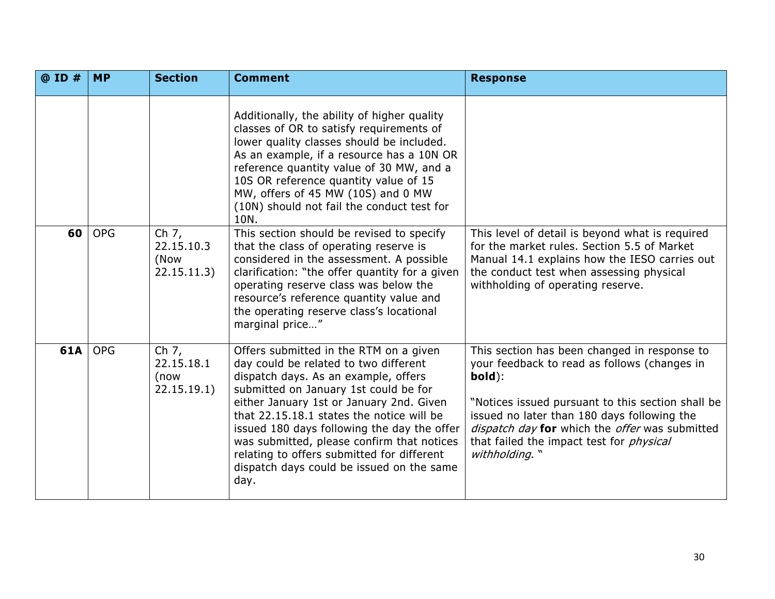| @ ID # | <b>MP</b>  | <b>Section</b>                               | <b>Comment</b>                                                                                                                                                                                                                                                                                                                                                                                                                                            | <b>Response</b>                                                                                                                                                                                                                                                                                                                   |
|--------|------------|----------------------------------------------|-----------------------------------------------------------------------------------------------------------------------------------------------------------------------------------------------------------------------------------------------------------------------------------------------------------------------------------------------------------------------------------------------------------------------------------------------------------|-----------------------------------------------------------------------------------------------------------------------------------------------------------------------------------------------------------------------------------------------------------------------------------------------------------------------------------|
|        |            |                                              | Additionally, the ability of higher quality<br>classes of OR to satisfy requirements of<br>lower quality classes should be included.<br>As an example, if a resource has a 10N OR<br>reference quantity value of 30 MW, and a<br>10S OR reference quantity value of 15<br>MW, offers of 45 MW (10S) and 0 MW<br>(10N) should not fail the conduct test for<br>10N.                                                                                        |                                                                                                                                                                                                                                                                                                                                   |
| 60     | <b>OPG</b> | Ch 7,<br>22.15.10.3<br>(Now<br>22.15.11.3)   | This section should be revised to specify<br>that the class of operating reserve is<br>considered in the assessment. A possible<br>clarification: "the offer quantity for a given<br>operating reserve class was below the<br>resource's reference quantity value and<br>the operating reserve class's locational<br>marginal price"                                                                                                                      | This level of detail is beyond what is required<br>for the market rules. Section 5.5 of Market<br>Manual 14.1 explains how the IESO carries out<br>the conduct test when assessing physical<br>withholding of operating reserve.                                                                                                  |
| 61A    | <b>OPG</b> | Ch $7,$<br>22.15.18.1<br>(now<br>22.15.19.1) | Offers submitted in the RTM on a given<br>day could be related to two different<br>dispatch days. As an example, offers<br>submitted on January 1st could be for<br>either January 1st or January 2nd. Given<br>that 22.15.18.1 states the notice will be<br>issued 180 days following the day the offer<br>was submitted, please confirm that notices<br>relating to offers submitted for different<br>dispatch days could be issued on the same<br>day. | This section has been changed in response to<br>your feedback to read as follows (changes in<br>bold):<br>"Notices issued pursuant to this section shall be<br>issued no later than 180 days following the<br>dispatch day for which the offer was submitted<br>that failed the impact test for <i>physical</i><br>withholding. " |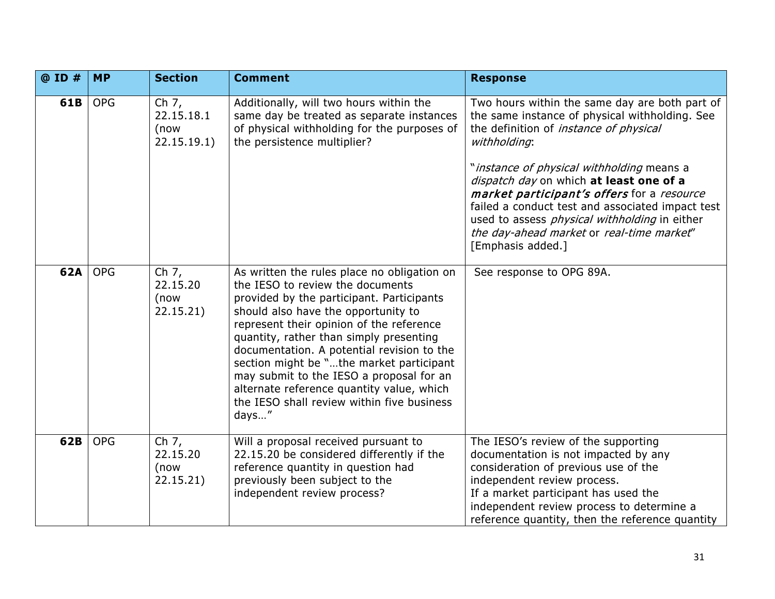| @ ID # | <b>MP</b>  | <b>Section</b>                             | <b>Comment</b>                                                                                                                                                                                                                                                                                                                                                                                                                                                                                       | <b>Response</b>                                                                                                                                                                                                                                                                                                                                                                                                                                                                       |
|--------|------------|--------------------------------------------|------------------------------------------------------------------------------------------------------------------------------------------------------------------------------------------------------------------------------------------------------------------------------------------------------------------------------------------------------------------------------------------------------------------------------------------------------------------------------------------------------|---------------------------------------------------------------------------------------------------------------------------------------------------------------------------------------------------------------------------------------------------------------------------------------------------------------------------------------------------------------------------------------------------------------------------------------------------------------------------------------|
| 61B    | <b>OPG</b> | Ch 7,<br>22.15.18.1<br>(now<br>22.15.19.1) | Additionally, will two hours within the<br>same day be treated as separate instances<br>of physical withholding for the purposes of<br>the persistence multiplier?                                                                                                                                                                                                                                                                                                                                   | Two hours within the same day are both part of<br>the same instance of physical withholding. See<br>the definition of <i>instance of physical</i><br>withholding:<br>"instance of physical withholding means a<br>dispatch day on which at least one of a<br>market participant's offers for a resource<br>failed a conduct test and associated impact test<br>used to assess <i>physical withholding</i> in either<br>the day-ahead market or real-time market"<br>[Emphasis added.] |
| 62A    | <b>OPG</b> | Ch 7,<br>22.15.20<br>(now<br>22.15.21)     | As written the rules place no obligation on<br>the IESO to review the documents<br>provided by the participant. Participants<br>should also have the opportunity to<br>represent their opinion of the reference<br>quantity, rather than simply presenting<br>documentation. A potential revision to the<br>section might be "the market participant<br>may submit to the IESO a proposal for an<br>alternate reference quantity value, which<br>the IESO shall review within five business<br>days" | See response to OPG 89A.                                                                                                                                                                                                                                                                                                                                                                                                                                                              |
| 62B    | <b>OPG</b> | Ch $7,$<br>22.15.20<br>(now<br>22.15.21)   | Will a proposal received pursuant to<br>22.15.20 be considered differently if the<br>reference quantity in question had<br>previously been subject to the<br>independent review process?                                                                                                                                                                                                                                                                                                             | The IESO's review of the supporting<br>documentation is not impacted by any<br>consideration of previous use of the<br>independent review process.<br>If a market participant has used the<br>independent review process to determine a<br>reference quantity, then the reference quantity                                                                                                                                                                                            |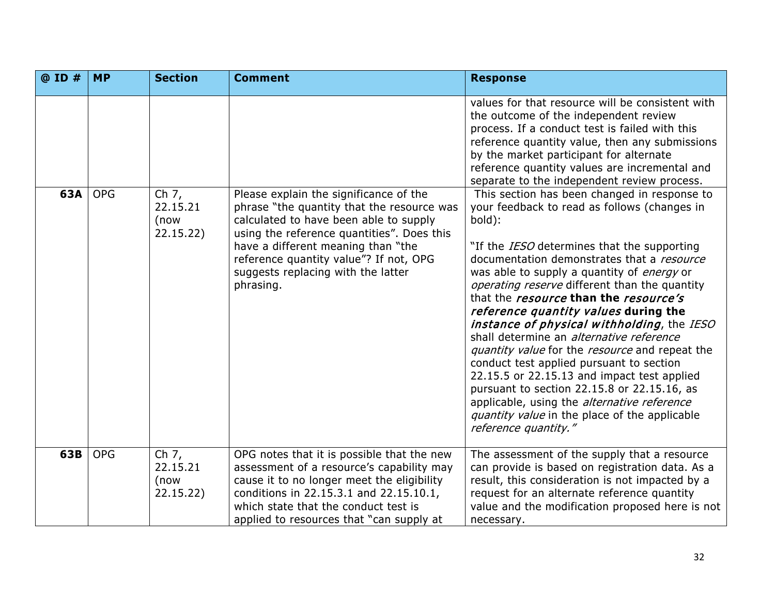| @ ID # | <b>MP</b>  | <b>Section</b>                           | <b>Comment</b>                                                                                                                                                                                                                                                                                                  | <b>Response</b>                                                                                                                                                                                                                                                                                                                                                                                                                                                                                                                                                                                                                                                                                                                                                                                                                                                                                                                                            |
|--------|------------|------------------------------------------|-----------------------------------------------------------------------------------------------------------------------------------------------------------------------------------------------------------------------------------------------------------------------------------------------------------------|------------------------------------------------------------------------------------------------------------------------------------------------------------------------------------------------------------------------------------------------------------------------------------------------------------------------------------------------------------------------------------------------------------------------------------------------------------------------------------------------------------------------------------------------------------------------------------------------------------------------------------------------------------------------------------------------------------------------------------------------------------------------------------------------------------------------------------------------------------------------------------------------------------------------------------------------------------|
| 63A    | <b>OPG</b> | Ch 7,<br>22.15.21<br>(now<br>22.15.22)   | Please explain the significance of the<br>phrase "the quantity that the resource was<br>calculated to have been able to supply<br>using the reference quantities". Does this<br>have a different meaning than "the<br>reference quantity value"? If not, OPG<br>suggests replacing with the latter<br>phrasing. | values for that resource will be consistent with<br>the outcome of the independent review<br>process. If a conduct test is failed with this<br>reference quantity value, then any submissions<br>by the market participant for alternate<br>reference quantity values are incremental and<br>separate to the independent review process.<br>This section has been changed in response to<br>your feedback to read as follows (changes in<br>bold):<br>"If the <i>IESO</i> determines that the supporting<br>documentation demonstrates that a resource<br>was able to supply a quantity of <i>energy</i> or<br>operating reserve different than the quantity<br>that the <i>resource</i> than the <i>resource's</i><br>reference quantity values during the<br>instance of physical withholding, the IESO<br>shall determine an <i>alternative reference</i><br>quantity value for the resource and repeat the<br>conduct test applied pursuant to section |
|        |            |                                          |                                                                                                                                                                                                                                                                                                                 | 22.15.5 or 22.15.13 and impact test applied<br>pursuant to section 22.15.8 or 22.15.16, as<br>applicable, using the <i>alternative reference</i><br>quantity value in the place of the applicable<br>reference quantity."                                                                                                                                                                                                                                                                                                                                                                                                                                                                                                                                                                                                                                                                                                                                  |
| 63B    | <b>OPG</b> | Ch $7,$<br>22.15.21<br>(now<br>22.15.22) | OPG notes that it is possible that the new<br>assessment of a resource's capability may<br>cause it to no longer meet the eligibility<br>conditions in 22.15.3.1 and 22.15.10.1,<br>which state that the conduct test is<br>applied to resources that "can supply at                                            | The assessment of the supply that a resource<br>can provide is based on registration data. As a<br>result, this consideration is not impacted by a<br>request for an alternate reference quantity<br>value and the modification proposed here is not<br>necessary.                                                                                                                                                                                                                                                                                                                                                                                                                                                                                                                                                                                                                                                                                         |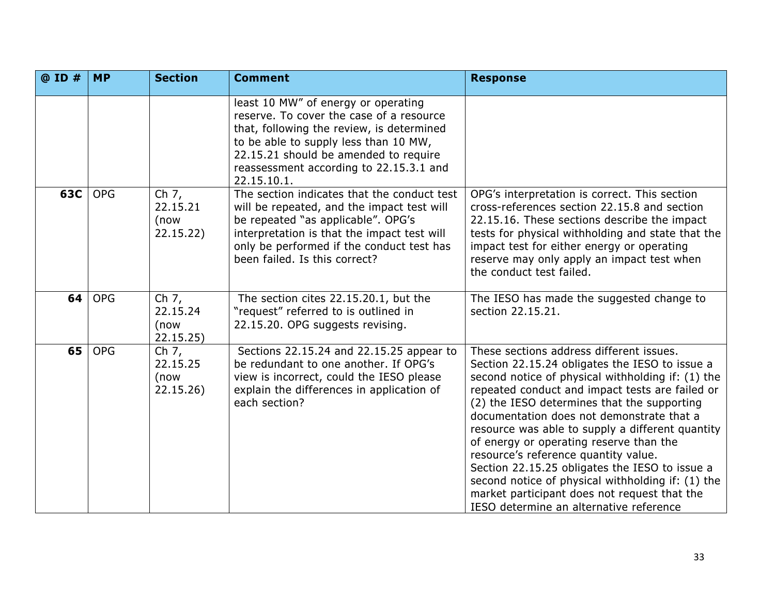| @ ID # | <b>MP</b>  | <b>Section</b>                           | <b>Comment</b>                                                                                                                                                                                                                                                           | <b>Response</b>                                                                                                                                                                                                                                                                                                                                                                                                                                                                                                                                                                                                                         |
|--------|------------|------------------------------------------|--------------------------------------------------------------------------------------------------------------------------------------------------------------------------------------------------------------------------------------------------------------------------|-----------------------------------------------------------------------------------------------------------------------------------------------------------------------------------------------------------------------------------------------------------------------------------------------------------------------------------------------------------------------------------------------------------------------------------------------------------------------------------------------------------------------------------------------------------------------------------------------------------------------------------------|
|        |            |                                          | least 10 MW" of energy or operating<br>reserve. To cover the case of a resource<br>that, following the review, is determined<br>to be able to supply less than 10 MW,<br>22.15.21 should be amended to require<br>reassessment according to 22.15.3.1 and<br>22.15.10.1. |                                                                                                                                                                                                                                                                                                                                                                                                                                                                                                                                                                                                                                         |
| 63C    | <b>OPG</b> | Ch $7,$<br>22.15.21<br>(now<br>22.15.22) | The section indicates that the conduct test<br>will be repeated, and the impact test will<br>be repeated "as applicable". OPG's<br>interpretation is that the impact test will<br>only be performed if the conduct test has<br>been failed. Is this correct?             | OPG's interpretation is correct. This section<br>cross-references section 22.15.8 and section<br>22.15.16. These sections describe the impact<br>tests for physical withholding and state that the<br>impact test for either energy or operating<br>reserve may only apply an impact test when<br>the conduct test failed.                                                                                                                                                                                                                                                                                                              |
| 64     | <b>OPG</b> | Ch $7,$<br>22.15.24<br>(now<br>22.15.25) | The section cites 22.15.20.1, but the<br>"request" referred to is outlined in<br>22.15.20. OPG suggests revising.                                                                                                                                                        | The IESO has made the suggested change to<br>section 22.15.21.                                                                                                                                                                                                                                                                                                                                                                                                                                                                                                                                                                          |
| 65     | <b>OPG</b> | Ch 7,<br>22.15.25<br>(now<br>22.15.26)   | Sections 22.15.24 and 22.15.25 appear to<br>be redundant to one another. If OPG's<br>view is incorrect, could the IESO please<br>explain the differences in application of<br>each section?                                                                              | These sections address different issues.<br>Section 22.15.24 obligates the IESO to issue a<br>second notice of physical withholding if: (1) the<br>repeated conduct and impact tests are failed or<br>(2) the IESO determines that the supporting<br>documentation does not demonstrate that a<br>resource was able to supply a different quantity<br>of energy or operating reserve than the<br>resource's reference quantity value.<br>Section 22.15.25 obligates the IESO to issue a<br>second notice of physical withholding if: (1) the<br>market participant does not request that the<br>IESO determine an alternative reference |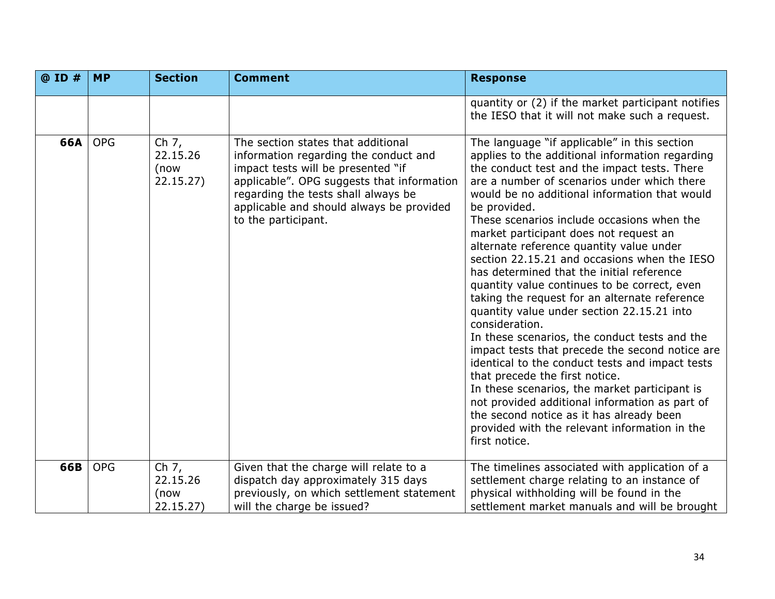| @ ID # | <b>MP</b>  | <b>Section</b>                          | <b>Comment</b>                                                                                                                                                                                                                                                            | <b>Response</b>                                                                                                                                                                                                                                                                                                                                                                                                                                                                                                                                                                                                                                                                                                                                                                                                                                                                                                                                                                                                                                                             |
|--------|------------|-----------------------------------------|---------------------------------------------------------------------------------------------------------------------------------------------------------------------------------------------------------------------------------------------------------------------------|-----------------------------------------------------------------------------------------------------------------------------------------------------------------------------------------------------------------------------------------------------------------------------------------------------------------------------------------------------------------------------------------------------------------------------------------------------------------------------------------------------------------------------------------------------------------------------------------------------------------------------------------------------------------------------------------------------------------------------------------------------------------------------------------------------------------------------------------------------------------------------------------------------------------------------------------------------------------------------------------------------------------------------------------------------------------------------|
|        |            |                                         |                                                                                                                                                                                                                                                                           | quantity or (2) if the market participant notifies<br>the IESO that it will not make such a request.                                                                                                                                                                                                                                                                                                                                                                                                                                                                                                                                                                                                                                                                                                                                                                                                                                                                                                                                                                        |
| 66A    | <b>OPG</b> | Ch 7,<br>22.15.26<br>(now<br>22.15.27)  | The section states that additional<br>information regarding the conduct and<br>impact tests will be presented "if<br>applicable". OPG suggests that information<br>regarding the tests shall always be<br>applicable and should always be provided<br>to the participant. | The language "if applicable" in this section<br>applies to the additional information regarding<br>the conduct test and the impact tests. There<br>are a number of scenarios under which there<br>would be no additional information that would<br>be provided.<br>These scenarios include occasions when the<br>market participant does not request an<br>alternate reference quantity value under<br>section 22.15.21 and occasions when the IESO<br>has determined that the initial reference<br>quantity value continues to be correct, even<br>taking the request for an alternate reference<br>quantity value under section 22.15.21 into<br>consideration.<br>In these scenarios, the conduct tests and the<br>impact tests that precede the second notice are<br>identical to the conduct tests and impact tests<br>that precede the first notice.<br>In these scenarios, the market participant is<br>not provided additional information as part of<br>the second notice as it has already been<br>provided with the relevant information in the<br>first notice. |
| 66B    | <b>OPG</b> | Ch $7,$<br>22.15.26<br>(now<br>22.15.27 | Given that the charge will relate to a<br>dispatch day approximately 315 days<br>previously, on which settlement statement<br>will the charge be issued?                                                                                                                  | The timelines associated with application of a<br>settlement charge relating to an instance of<br>physical withholding will be found in the<br>settlement market manuals and will be brought                                                                                                                                                                                                                                                                                                                                                                                                                                                                                                                                                                                                                                                                                                                                                                                                                                                                                |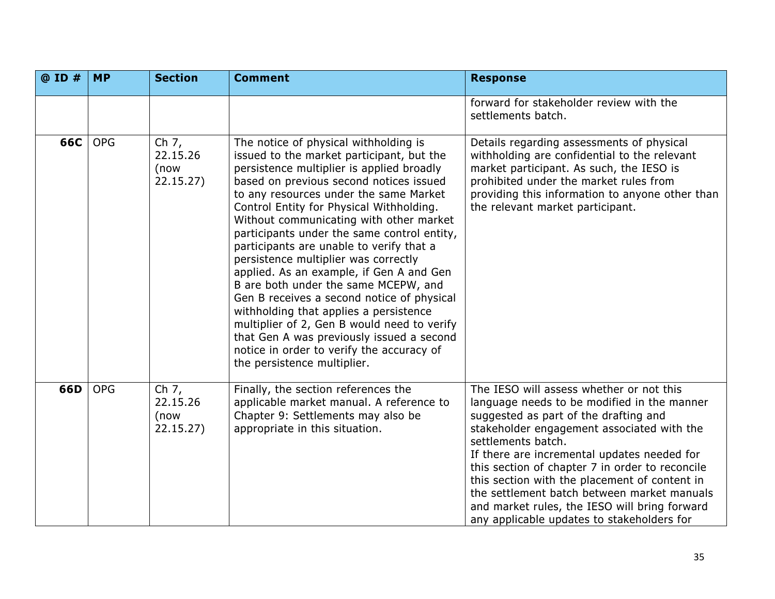| @ ID # | <b>MP</b>  | <b>Section</b>                           | <b>Comment</b>                                                                                                                                                                                                                                                                                                                                                                                                                                                                                                                                                                                                                                                                                                                                                                                     | <b>Response</b>                                                                                                                                                                                                                                                                                                                                                                                                                                                                                       |
|--------|------------|------------------------------------------|----------------------------------------------------------------------------------------------------------------------------------------------------------------------------------------------------------------------------------------------------------------------------------------------------------------------------------------------------------------------------------------------------------------------------------------------------------------------------------------------------------------------------------------------------------------------------------------------------------------------------------------------------------------------------------------------------------------------------------------------------------------------------------------------------|-------------------------------------------------------------------------------------------------------------------------------------------------------------------------------------------------------------------------------------------------------------------------------------------------------------------------------------------------------------------------------------------------------------------------------------------------------------------------------------------------------|
|        |            |                                          |                                                                                                                                                                                                                                                                                                                                                                                                                                                                                                                                                                                                                                                                                                                                                                                                    | forward for stakeholder review with the<br>settlements batch.                                                                                                                                                                                                                                                                                                                                                                                                                                         |
| 66C    | <b>OPG</b> | Ch $7,$<br>22.15.26<br>(now<br>22.15.27) | The notice of physical withholding is<br>issued to the market participant, but the<br>persistence multiplier is applied broadly<br>based on previous second notices issued<br>to any resources under the same Market<br>Control Entity for Physical Withholding.<br>Without communicating with other market<br>participants under the same control entity,<br>participants are unable to verify that a<br>persistence multiplier was correctly<br>applied. As an example, if Gen A and Gen<br>B are both under the same MCEPW, and<br>Gen B receives a second notice of physical<br>withholding that applies a persistence<br>multiplier of 2, Gen B would need to verify<br>that Gen A was previously issued a second<br>notice in order to verify the accuracy of<br>the persistence multiplier. | Details regarding assessments of physical<br>withholding are confidential to the relevant<br>market participant. As such, the IESO is<br>prohibited under the market rules from<br>providing this information to anyone other than<br>the relevant market participant.                                                                                                                                                                                                                                |
| 66D    | <b>OPG</b> | Ch 7,<br>22.15.26<br>(now<br>22.15.27)   | Finally, the section references the<br>applicable market manual. A reference to<br>Chapter 9: Settlements may also be<br>appropriate in this situation.                                                                                                                                                                                                                                                                                                                                                                                                                                                                                                                                                                                                                                            | The IESO will assess whether or not this<br>language needs to be modified in the manner<br>suggested as part of the drafting and<br>stakeholder engagement associated with the<br>settlements batch.<br>If there are incremental updates needed for<br>this section of chapter 7 in order to reconcile<br>this section with the placement of content in<br>the settlement batch between market manuals<br>and market rules, the IESO will bring forward<br>any applicable updates to stakeholders for |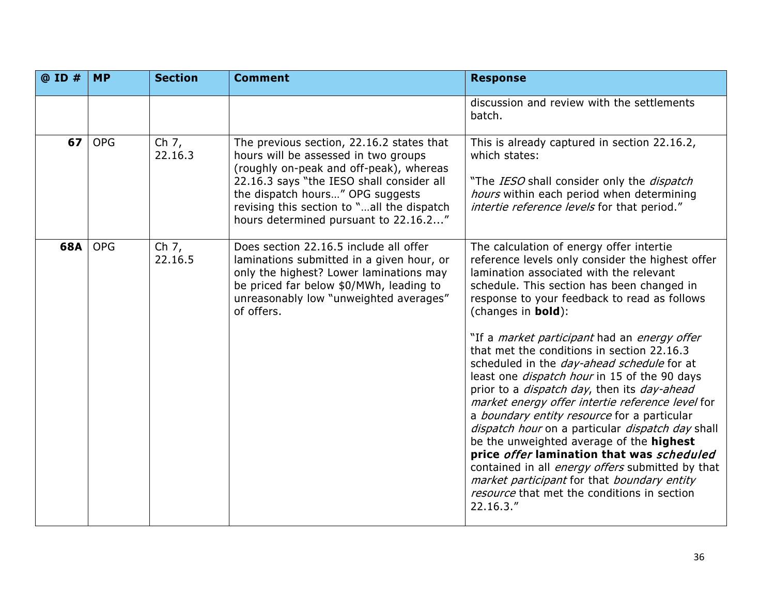| @ ID # | <b>MP</b>  | <b>Section</b>                | <b>Comment</b>                                                                                                                                                                                                                                                                                       | <b>Response</b>                                                                                                                                                                                                                                                                                                                                                                                                                                                                                                                                                                                                                                                                                                 |
|--------|------------|-------------------------------|------------------------------------------------------------------------------------------------------------------------------------------------------------------------------------------------------------------------------------------------------------------------------------------------------|-----------------------------------------------------------------------------------------------------------------------------------------------------------------------------------------------------------------------------------------------------------------------------------------------------------------------------------------------------------------------------------------------------------------------------------------------------------------------------------------------------------------------------------------------------------------------------------------------------------------------------------------------------------------------------------------------------------------|
|        |            |                               |                                                                                                                                                                                                                                                                                                      | discussion and review with the settlements<br>batch.                                                                                                                                                                                                                                                                                                                                                                                                                                                                                                                                                                                                                                                            |
| 67     | <b>OPG</b> | Ch $7,$<br>22.16.3            | The previous section, 22.16.2 states that<br>hours will be assessed in two groups<br>(roughly on-peak and off-peak), whereas<br>22.16.3 says "the IESO shall consider all<br>the dispatch hours" OPG suggests<br>revising this section to "all the dispatch<br>hours determined pursuant to 22.16.2" | This is already captured in section 22.16.2,<br>which states:<br>"The IESO shall consider only the <i>dispatch</i><br>hours within each period when determining<br>intertie reference levels for that period."                                                                                                                                                                                                                                                                                                                                                                                                                                                                                                  |
| 68A    | <b>OPG</b> | $\overline{ch}$ 7,<br>22.16.5 | Does section 22.16.5 include all offer<br>laminations submitted in a given hour, or<br>only the highest? Lower laminations may<br>be priced far below \$0/MWh, leading to<br>unreasonably low "unweighted averages"<br>of offers.                                                                    | The calculation of energy offer intertie<br>reference levels only consider the highest offer<br>lamination associated with the relevant<br>schedule. This section has been changed in<br>response to your feedback to read as follows<br>(changes in <b>bold</b> ):                                                                                                                                                                                                                                                                                                                                                                                                                                             |
|        |            |                               |                                                                                                                                                                                                                                                                                                      | "If a <i>market participant</i> had an <i>energy offer</i><br>that met the conditions in section 22.16.3<br>scheduled in the <i>day-ahead schedule</i> for at<br>least one <i>dispatch hour</i> in 15 of the 90 days<br>prior to a <i>dispatch day</i> , then its <i>day-ahead</i><br>market energy offer intertie reference level for<br>a <i>boundary entity resource</i> for a particular<br>dispatch hour on a particular dispatch day shall<br>be the unweighted average of the highest<br>price offer lamination that was scheduled<br>contained in all <i>energy offers</i> submitted by that<br>market participant for that boundary entity<br>resource that met the conditions in section<br>22.16.3." |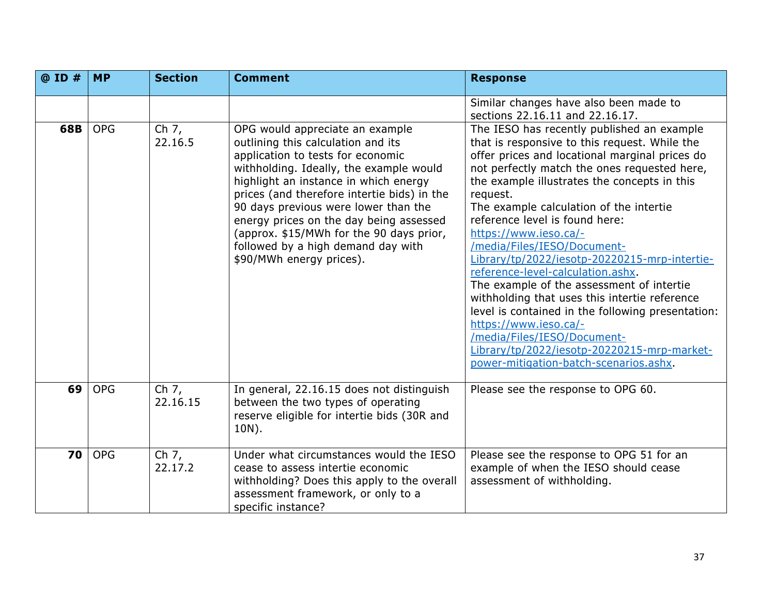| @ ID # | <b>MP</b>  | <b>Section</b>                 | <b>Comment</b>                                                                                                                                                                                                                                                                                                                                                                                                                                 | <b>Response</b>                                                                                                                                                                                                                                                                                                                                                                                                                                                                                                                                                                                                                                                                                                                                                                          |
|--------|------------|--------------------------------|------------------------------------------------------------------------------------------------------------------------------------------------------------------------------------------------------------------------------------------------------------------------------------------------------------------------------------------------------------------------------------------------------------------------------------------------|------------------------------------------------------------------------------------------------------------------------------------------------------------------------------------------------------------------------------------------------------------------------------------------------------------------------------------------------------------------------------------------------------------------------------------------------------------------------------------------------------------------------------------------------------------------------------------------------------------------------------------------------------------------------------------------------------------------------------------------------------------------------------------------|
|        |            |                                |                                                                                                                                                                                                                                                                                                                                                                                                                                                | Similar changes have also been made to<br>sections 22.16.11 and 22.16.17.                                                                                                                                                                                                                                                                                                                                                                                                                                                                                                                                                                                                                                                                                                                |
| 68B    | <b>OPG</b> | Ch $7,$<br>22.16.5             | OPG would appreciate an example<br>outlining this calculation and its<br>application to tests for economic<br>withholding. Ideally, the example would<br>highlight an instance in which energy<br>prices (and therefore intertie bids) in the<br>90 days previous were lower than the<br>energy prices on the day being assessed<br>(approx. \$15/MWh for the 90 days prior,<br>followed by a high demand day with<br>\$90/MWh energy prices). | The IESO has recently published an example<br>that is responsive to this request. While the<br>offer prices and locational marginal prices do<br>not perfectly match the ones requested here,<br>the example illustrates the concepts in this<br>request.<br>The example calculation of the intertie<br>reference level is found here:<br>https://www.ieso.ca/-<br>/media/Files/IESO/Document-<br>Library/tp/2022/iesotp-20220215-mrp-intertie-<br>reference-level-calculation.ashx.<br>The example of the assessment of intertie<br>withholding that uses this intertie reference<br>level is contained in the following presentation:<br>https://www.ieso.ca/-<br>/media/Files/IESO/Document-<br>Library/tp/2022/iesotp-20220215-mrp-market-<br>power-mitigation-batch-scenarios.ashx. |
| 69     | <b>OPG</b> | $\overline{ch}$ 7,<br>22.16.15 | In general, 22.16.15 does not distinguish<br>between the two types of operating<br>reserve eligible for intertie bids (30R and<br>10N).                                                                                                                                                                                                                                                                                                        | Please see the response to OPG 60.                                                                                                                                                                                                                                                                                                                                                                                                                                                                                                                                                                                                                                                                                                                                                       |
| 70     | <b>OPG</b> | Ch $7,$<br>22.17.2             | Under what circumstances would the IESO<br>cease to assess intertie economic<br>withholding? Does this apply to the overall<br>assessment framework, or only to a<br>specific instance?                                                                                                                                                                                                                                                        | Please see the response to OPG 51 for an<br>example of when the IESO should cease<br>assessment of withholding.                                                                                                                                                                                                                                                                                                                                                                                                                                                                                                                                                                                                                                                                          |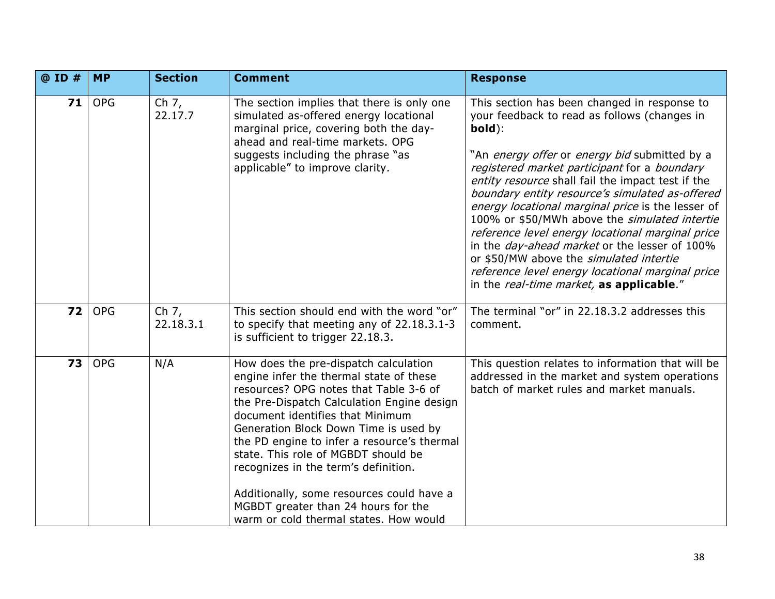| @ ID # | <b>MP</b>  | <b>Section</b>       | <b>Comment</b>                                                                                                                                                                                                                                                                                                                                                                                                                                                                                                    | <b>Response</b>                                                                                                                                                                                                                                                                                                                                                                                                                                                                                                                                                                                                                                                              |
|--------|------------|----------------------|-------------------------------------------------------------------------------------------------------------------------------------------------------------------------------------------------------------------------------------------------------------------------------------------------------------------------------------------------------------------------------------------------------------------------------------------------------------------------------------------------------------------|------------------------------------------------------------------------------------------------------------------------------------------------------------------------------------------------------------------------------------------------------------------------------------------------------------------------------------------------------------------------------------------------------------------------------------------------------------------------------------------------------------------------------------------------------------------------------------------------------------------------------------------------------------------------------|
| 71     | <b>OPG</b> | Ch 7,<br>22.17.7     | The section implies that there is only one<br>simulated as-offered energy locational<br>marginal price, covering both the day-<br>ahead and real-time markets. OPG<br>suggests including the phrase "as<br>applicable" to improve clarity.                                                                                                                                                                                                                                                                        | This section has been changed in response to<br>your feedback to read as follows (changes in<br>bold):<br>"An energy offer or energy bid submitted by a<br>registered market participant for a boundary<br>entity resource shall fail the impact test if the<br>boundary entity resource's simulated as-offered<br>energy locational marginal price is the lesser of<br>100% or \$50/MWh above the simulated intertie<br>reference level energy locational marginal price<br>in the <i>day-ahead market</i> or the lesser of 100%<br>or \$50/MW above the simulated intertie<br>reference level energy locational marginal price<br>in the real-time market, as applicable." |
| 72     | <b>OPG</b> | Ch $7,$<br>22.18.3.1 | This section should end with the word "or"<br>to specify that meeting any of 22.18.3.1-3<br>is sufficient to trigger 22.18.3.                                                                                                                                                                                                                                                                                                                                                                                     | The terminal "or" in 22.18.3.2 addresses this<br>comment.                                                                                                                                                                                                                                                                                                                                                                                                                                                                                                                                                                                                                    |
| 73     | <b>OPG</b> | N/A                  | How does the pre-dispatch calculation<br>engine infer the thermal state of these<br>resources? OPG notes that Table 3-6 of<br>the Pre-Dispatch Calculation Engine design<br>document identifies that Minimum<br>Generation Block Down Time is used by<br>the PD engine to infer a resource's thermal<br>state. This role of MGBDT should be<br>recognizes in the term's definition.<br>Additionally, some resources could have a<br>MGBDT greater than 24 hours for the<br>warm or cold thermal states. How would | This question relates to information that will be<br>addressed in the market and system operations<br>batch of market rules and market manuals.                                                                                                                                                                                                                                                                                                                                                                                                                                                                                                                              |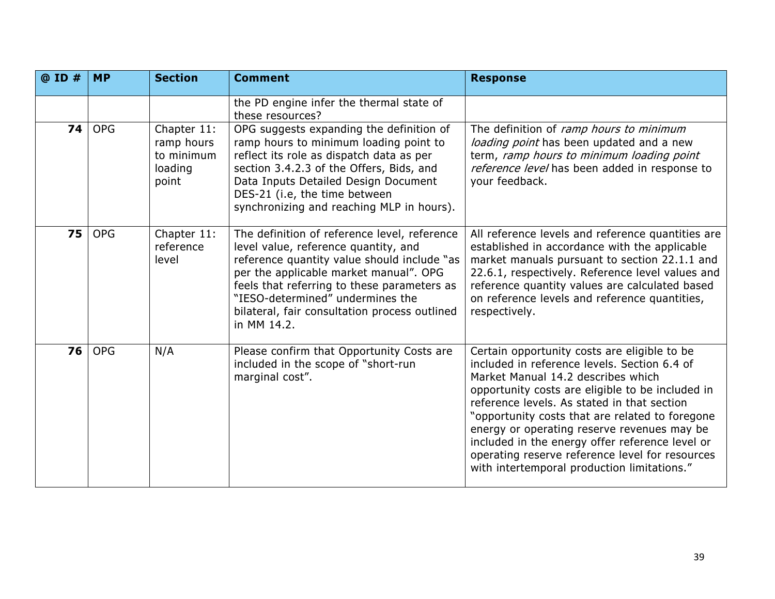| @ ID # | <b>MP</b>  | <b>Section</b>                                              | <b>Comment</b>                                                                                                                                                                                                                                                                                                                   | <b>Response</b>                                                                                                                                                                                                                                                                                                                                                                                                                                                                              |
|--------|------------|-------------------------------------------------------------|----------------------------------------------------------------------------------------------------------------------------------------------------------------------------------------------------------------------------------------------------------------------------------------------------------------------------------|----------------------------------------------------------------------------------------------------------------------------------------------------------------------------------------------------------------------------------------------------------------------------------------------------------------------------------------------------------------------------------------------------------------------------------------------------------------------------------------------|
|        |            |                                                             | the PD engine infer the thermal state of<br>these resources?                                                                                                                                                                                                                                                                     |                                                                                                                                                                                                                                                                                                                                                                                                                                                                                              |
| 74     | <b>OPG</b> | Chapter 11:<br>ramp hours<br>to minimum<br>loading<br>point | OPG suggests expanding the definition of<br>ramp hours to minimum loading point to<br>reflect its role as dispatch data as per<br>section 3.4.2.3 of the Offers, Bids, and<br>Data Inputs Detailed Design Document<br>DES-21 (i.e, the time between<br>synchronizing and reaching MLP in hours).                                 | The definition of ramp hours to minimum<br>loading point has been updated and a new<br>term, ramp hours to minimum loading point<br>reference level has been added in response to<br>your feedback.                                                                                                                                                                                                                                                                                          |
| 75     | <b>OPG</b> | Chapter 11:<br>reference<br>level                           | The definition of reference level, reference<br>level value, reference quantity, and<br>reference quantity value should include "as<br>per the applicable market manual". OPG<br>feels that referring to these parameters as<br>"IESO-determined" undermines the<br>bilateral, fair consultation process outlined<br>in MM 14.2. | All reference levels and reference quantities are<br>established in accordance with the applicable<br>market manuals pursuant to section 22.1.1 and<br>22.6.1, respectively. Reference level values and<br>reference quantity values are calculated based<br>on reference levels and reference quantities,<br>respectively.                                                                                                                                                                  |
| 76     | <b>OPG</b> | N/A                                                         | Please confirm that Opportunity Costs are<br>included in the scope of "short-run<br>marginal cost".                                                                                                                                                                                                                              | Certain opportunity costs are eligible to be<br>included in reference levels. Section 6.4 of<br>Market Manual 14.2 describes which<br>opportunity costs are eligible to be included in<br>reference levels. As stated in that section<br>"opportunity costs that are related to foregone<br>energy or operating reserve revenues may be<br>included in the energy offer reference level or<br>operating reserve reference level for resources<br>with intertemporal production limitations." |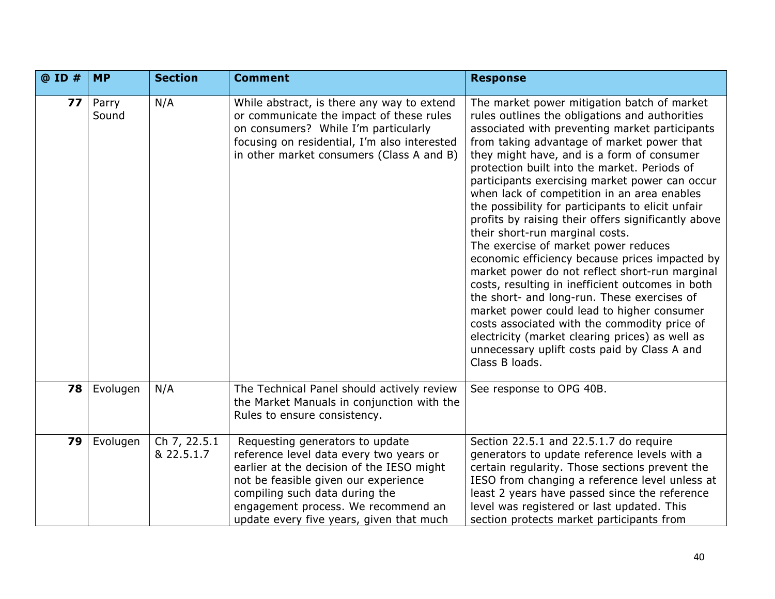| @ ID # | <b>MP</b>      | <b>Section</b>             | <b>Comment</b>                                                                                                                                                                                                                                                                       | <b>Response</b>                                                                                                                                                                                                                                                                                                                                                                                                                                                                                                                                                                                                                                                                                                                                                                                                                                                                                                                                                                                               |
|--------|----------------|----------------------------|--------------------------------------------------------------------------------------------------------------------------------------------------------------------------------------------------------------------------------------------------------------------------------------|---------------------------------------------------------------------------------------------------------------------------------------------------------------------------------------------------------------------------------------------------------------------------------------------------------------------------------------------------------------------------------------------------------------------------------------------------------------------------------------------------------------------------------------------------------------------------------------------------------------------------------------------------------------------------------------------------------------------------------------------------------------------------------------------------------------------------------------------------------------------------------------------------------------------------------------------------------------------------------------------------------------|
| 77     | Parry<br>Sound | N/A                        | While abstract, is there any way to extend<br>or communicate the impact of these rules<br>on consumers? While I'm particularly<br>focusing on residential, I'm also interested<br>in other market consumers (Class A and B)                                                          | The market power mitigation batch of market<br>rules outlines the obligations and authorities<br>associated with preventing market participants<br>from taking advantage of market power that<br>they might have, and is a form of consumer<br>protection built into the market. Periods of<br>participants exercising market power can occur<br>when lack of competition in an area enables<br>the possibility for participants to elicit unfair<br>profits by raising their offers significantly above<br>their short-run marginal costs.<br>The exercise of market power reduces<br>economic efficiency because prices impacted by<br>market power do not reflect short-run marginal<br>costs, resulting in inefficient outcomes in both<br>the short- and long-run. These exercises of<br>market power could lead to higher consumer<br>costs associated with the commodity price of<br>electricity (market clearing prices) as well as<br>unnecessary uplift costs paid by Class A and<br>Class B loads. |
| 78     | Evolugen       | N/A                        | The Technical Panel should actively review<br>the Market Manuals in conjunction with the<br>Rules to ensure consistency.                                                                                                                                                             | See response to OPG 40B.                                                                                                                                                                                                                                                                                                                                                                                                                                                                                                                                                                                                                                                                                                                                                                                                                                                                                                                                                                                      |
| 79     | Evolugen       | Ch 7, 22.5.1<br>& 22.5.1.7 | Requesting generators to update<br>reference level data every two years or<br>earlier at the decision of the IESO might<br>not be feasible given our experience<br>compiling such data during the<br>engagement process. We recommend an<br>update every five years, given that much | Section 22.5.1 and 22.5.1.7 do require<br>generators to update reference levels with a<br>certain regularity. Those sections prevent the<br>IESO from changing a reference level unless at<br>least 2 years have passed since the reference<br>level was registered or last updated. This<br>section protects market participants from                                                                                                                                                                                                                                                                                                                                                                                                                                                                                                                                                                                                                                                                        |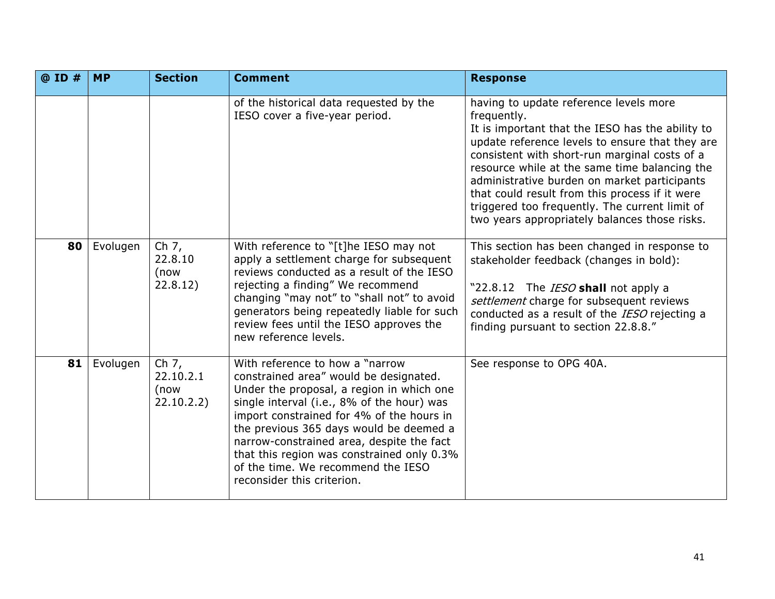| @ ID # | <b>MP</b> | <b>Section</b>                             | <b>Comment</b>                                                                                                                                                                                                                                                                                                                                                                                                              | <b>Response</b>                                                                                                                                                                                                                                                                                                                                                                                                                                                     |
|--------|-----------|--------------------------------------------|-----------------------------------------------------------------------------------------------------------------------------------------------------------------------------------------------------------------------------------------------------------------------------------------------------------------------------------------------------------------------------------------------------------------------------|---------------------------------------------------------------------------------------------------------------------------------------------------------------------------------------------------------------------------------------------------------------------------------------------------------------------------------------------------------------------------------------------------------------------------------------------------------------------|
|        |           |                                            | of the historical data requested by the<br>IESO cover a five-year period.                                                                                                                                                                                                                                                                                                                                                   | having to update reference levels more<br>frequently.<br>It is important that the IESO has the ability to<br>update reference levels to ensure that they are<br>consistent with short-run marginal costs of a<br>resource while at the same time balancing the<br>administrative burden on market participants<br>that could result from this process if it were<br>triggered too frequently. The current limit of<br>two years appropriately balances those risks. |
| 80     | Evolugen  | Ch $7,$<br>22.8.10<br>(now<br>22.8.12)     | With reference to "[t]he IESO may not<br>apply a settlement charge for subsequent<br>reviews conducted as a result of the IESO<br>rejecting a finding" We recommend<br>changing "may not" to "shall not" to avoid<br>generators being repeatedly liable for such<br>review fees until the IESO approves the<br>new reference levels.                                                                                        | This section has been changed in response to<br>stakeholder feedback (changes in bold):<br>"22.8.12 The <i>IESO</i> shall not apply a<br>settlement charge for subsequent reviews<br>conducted as a result of the IESO rejecting a<br>finding pursuant to section 22.8.8."                                                                                                                                                                                          |
| 81     | Evolugen  | Ch $7,$<br>22.10.2.1<br>(now<br>22.10.2.2) | With reference to how a "narrow<br>constrained area" would be designated.<br>Under the proposal, a region in which one<br>single interval (i.e., 8% of the hour) was<br>import constrained for 4% of the hours in<br>the previous 365 days would be deemed a<br>narrow-constrained area, despite the fact<br>that this region was constrained only 0.3%<br>of the time. We recommend the IESO<br>reconsider this criterion. | See response to OPG 40A.                                                                                                                                                                                                                                                                                                                                                                                                                                            |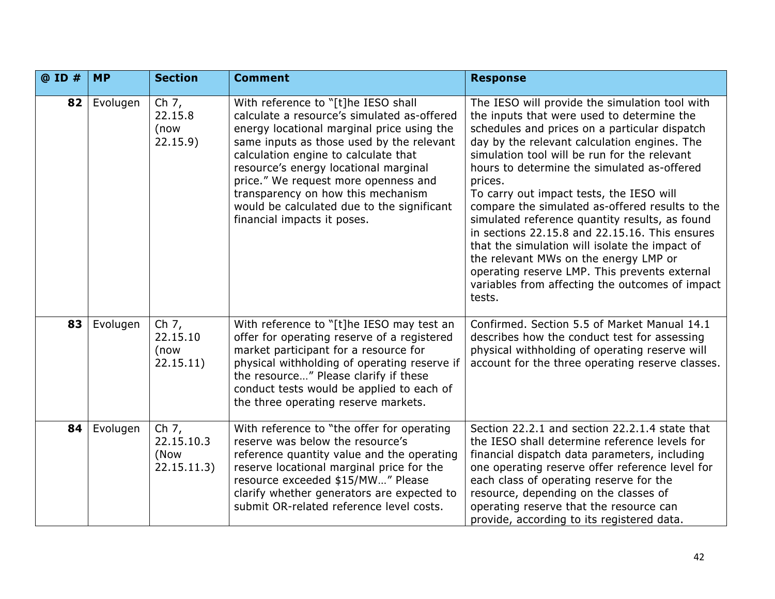| @ ID # | <b>MP</b> | <b>Section</b>                               | <b>Comment</b>                                                                                                                                                                                                                                                                                                                                                                                                            | <b>Response</b>                                                                                                                                                                                                                                                                                                                                                                                                                                                                                                                                                                                                                                                                                                     |
|--------|-----------|----------------------------------------------|---------------------------------------------------------------------------------------------------------------------------------------------------------------------------------------------------------------------------------------------------------------------------------------------------------------------------------------------------------------------------------------------------------------------------|---------------------------------------------------------------------------------------------------------------------------------------------------------------------------------------------------------------------------------------------------------------------------------------------------------------------------------------------------------------------------------------------------------------------------------------------------------------------------------------------------------------------------------------------------------------------------------------------------------------------------------------------------------------------------------------------------------------------|
| 82     | Evolugen  | Ch 7,<br>22.15.8<br>(now<br>22.15.9          | With reference to "[t]he IESO shall<br>calculate a resource's simulated as-offered<br>energy locational marginal price using the<br>same inputs as those used by the relevant<br>calculation engine to calculate that<br>resource's energy locational marginal<br>price." We request more openness and<br>transparency on how this mechanism<br>would be calculated due to the significant<br>financial impacts it poses. | The IESO will provide the simulation tool with<br>the inputs that were used to determine the<br>schedules and prices on a particular dispatch<br>day by the relevant calculation engines. The<br>simulation tool will be run for the relevant<br>hours to determine the simulated as-offered<br>prices.<br>To carry out impact tests, the IESO will<br>compare the simulated as-offered results to the<br>simulated reference quantity results, as found<br>in sections 22.15.8 and 22.15.16. This ensures<br>that the simulation will isolate the impact of<br>the relevant MWs on the energy LMP or<br>operating reserve LMP. This prevents external<br>variables from affecting the outcomes of impact<br>tests. |
| 83     | Evolugen  | Ch $7,$<br>22.15.10<br>(now<br>22.15.11)     | With reference to "[t]he IESO may test an<br>offer for operating reserve of a registered<br>market participant for a resource for<br>physical withholding of operating reserve if<br>the resource" Please clarify if these<br>conduct tests would be applied to each of<br>the three operating reserve markets.                                                                                                           | Confirmed. Section 5.5 of Market Manual 14.1<br>describes how the conduct test for assessing<br>physical withholding of operating reserve will<br>account for the three operating reserve classes.                                                                                                                                                                                                                                                                                                                                                                                                                                                                                                                  |
| 84     | Evolugen  | Ch $7,$<br>22.15.10.3<br>(Now<br>22.15.11.3) | With reference to "the offer for operating<br>reserve was below the resource's<br>reference quantity value and the operating<br>reserve locational marginal price for the<br>resource exceeded \$15/MW" Please<br>clarify whether generators are expected to<br>submit OR-related reference level costs.                                                                                                                  | Section 22.2.1 and section 22.2.1.4 state that<br>the IESO shall determine reference levels for<br>financial dispatch data parameters, including<br>one operating reserve offer reference level for<br>each class of operating reserve for the<br>resource, depending on the classes of<br>operating reserve that the resource can<br>provide, according to its registered data.                                                                                                                                                                                                                                                                                                                                    |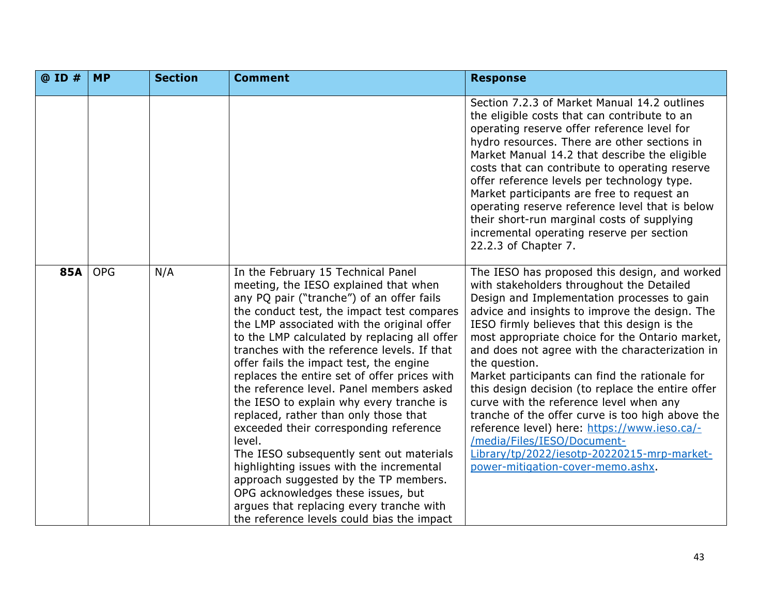| @ ID #     | <b>MP</b>  | <b>Section</b> | <b>Comment</b>                                                                                                                                                                                                                                                                                                                                                                                                                                                                                                                                                                                                                                                                                                                                                                                                                                                       | <b>Response</b>                                                                                                                                                                                                                                                                                                                                                                                                                                                                                                                                                                                                                                                                                                                             |
|------------|------------|----------------|----------------------------------------------------------------------------------------------------------------------------------------------------------------------------------------------------------------------------------------------------------------------------------------------------------------------------------------------------------------------------------------------------------------------------------------------------------------------------------------------------------------------------------------------------------------------------------------------------------------------------------------------------------------------------------------------------------------------------------------------------------------------------------------------------------------------------------------------------------------------|---------------------------------------------------------------------------------------------------------------------------------------------------------------------------------------------------------------------------------------------------------------------------------------------------------------------------------------------------------------------------------------------------------------------------------------------------------------------------------------------------------------------------------------------------------------------------------------------------------------------------------------------------------------------------------------------------------------------------------------------|
|            |            |                |                                                                                                                                                                                                                                                                                                                                                                                                                                                                                                                                                                                                                                                                                                                                                                                                                                                                      | Section 7.2.3 of Market Manual 14.2 outlines<br>the eligible costs that can contribute to an<br>operating reserve offer reference level for<br>hydro resources. There are other sections in<br>Market Manual 14.2 that describe the eligible<br>costs that can contribute to operating reserve<br>offer reference levels per technology type.<br>Market participants are free to request an<br>operating reserve reference level that is below<br>their short-run marginal costs of supplying<br>incremental operating reserve per section<br>22.2.3 of Chapter 7.                                                                                                                                                                          |
| <b>85A</b> | <b>OPG</b> | N/A            | In the February 15 Technical Panel<br>meeting, the IESO explained that when<br>any PQ pair ("tranche") of an offer fails<br>the conduct test, the impact test compares<br>the LMP associated with the original offer<br>to the LMP calculated by replacing all offer<br>tranches with the reference levels. If that<br>offer fails the impact test, the engine<br>replaces the entire set of offer prices with<br>the reference level. Panel members asked<br>the IESO to explain why every tranche is<br>replaced, rather than only those that<br>exceeded their corresponding reference<br>level.<br>The IESO subsequently sent out materials<br>highlighting issues with the incremental<br>approach suggested by the TP members.<br>OPG acknowledges these issues, but<br>argues that replacing every tranche with<br>the reference levels could bias the impact | The IESO has proposed this design, and worked<br>with stakeholders throughout the Detailed<br>Design and Implementation processes to gain<br>advice and insights to improve the design. The<br>IESO firmly believes that this design is the<br>most appropriate choice for the Ontario market,<br>and does not agree with the characterization in<br>the question.<br>Market participants can find the rationale for<br>this design decision (to replace the entire offer<br>curve with the reference level when any<br>tranche of the offer curve is too high above the<br>reference level) here: https://www.ieso.ca/-<br>/media/Files/IESO/Document-<br>Library/tp/2022/iesotp-20220215-mrp-market-<br>power-mitigation-cover-memo.ashx. |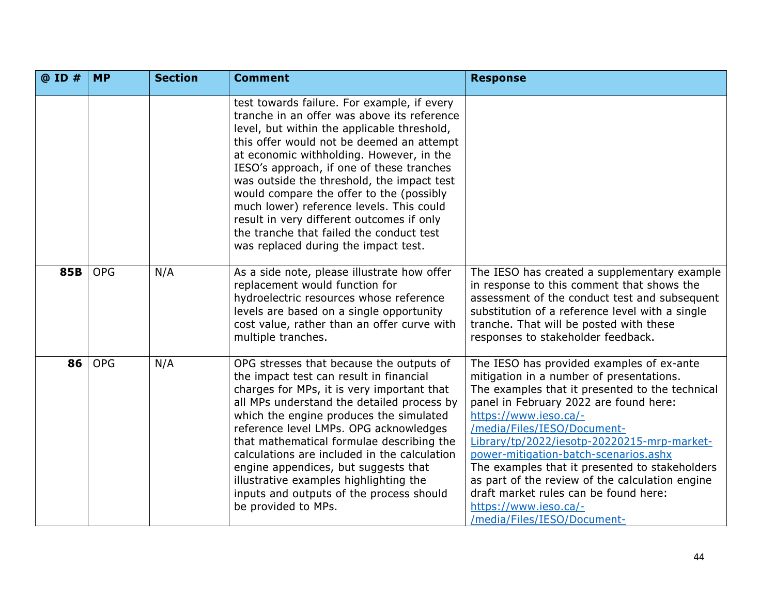| @ ID # | <b>MP</b>  | <b>Section</b> | <b>Comment</b>                                                                                                                                                                                                                                                                                                                                                                                                                                                                                                                                         | <b>Response</b>                                                                                                                                                                                                                                                                                                                                                                                                                                                                                                                          |
|--------|------------|----------------|--------------------------------------------------------------------------------------------------------------------------------------------------------------------------------------------------------------------------------------------------------------------------------------------------------------------------------------------------------------------------------------------------------------------------------------------------------------------------------------------------------------------------------------------------------|------------------------------------------------------------------------------------------------------------------------------------------------------------------------------------------------------------------------------------------------------------------------------------------------------------------------------------------------------------------------------------------------------------------------------------------------------------------------------------------------------------------------------------------|
|        |            |                | test towards failure. For example, if every<br>tranche in an offer was above its reference<br>level, but within the applicable threshold,<br>this offer would not be deemed an attempt<br>at economic withholding. However, in the<br>IESO's approach, if one of these tranches<br>was outside the threshold, the impact test<br>would compare the offer to the (possibly<br>much lower) reference levels. This could<br>result in very different outcomes if only<br>the tranche that failed the conduct test<br>was replaced during the impact test. |                                                                                                                                                                                                                                                                                                                                                                                                                                                                                                                                          |
| 85B    | <b>OPG</b> | N/A            | As a side note, please illustrate how offer<br>replacement would function for<br>hydroelectric resources whose reference<br>levels are based on a single opportunity<br>cost value, rather than an offer curve with<br>multiple tranches.                                                                                                                                                                                                                                                                                                              | The IESO has created a supplementary example<br>in response to this comment that shows the<br>assessment of the conduct test and subsequent<br>substitution of a reference level with a single<br>tranche. That will be posted with these<br>responses to stakeholder feedback.                                                                                                                                                                                                                                                          |
| 86     | <b>OPG</b> | N/A            | OPG stresses that because the outputs of<br>the impact test can result in financial<br>charges for MPs, it is very important that<br>all MPs understand the detailed process by<br>which the engine produces the simulated<br>reference level LMPs. OPG acknowledges<br>that mathematical formulae describing the<br>calculations are included in the calculation<br>engine appendices, but suggests that<br>illustrative examples highlighting the<br>inputs and outputs of the process should<br>be provided to MPs.                                 | The IESO has provided examples of ex-ante<br>mitigation in a number of presentations.<br>The examples that it presented to the technical<br>panel in February 2022 are found here:<br>https://www.ieso.ca/-<br>/media/Files/IESO/Document-<br>Library/tp/2022/iesotp-20220215-mrp-market-<br>power-mitigation-batch-scenarios.ashx<br>The examples that it presented to stakeholders<br>as part of the review of the calculation engine<br>draft market rules can be found here:<br>https://www.ieso.ca/-<br>/media/Files/IESO/Document- |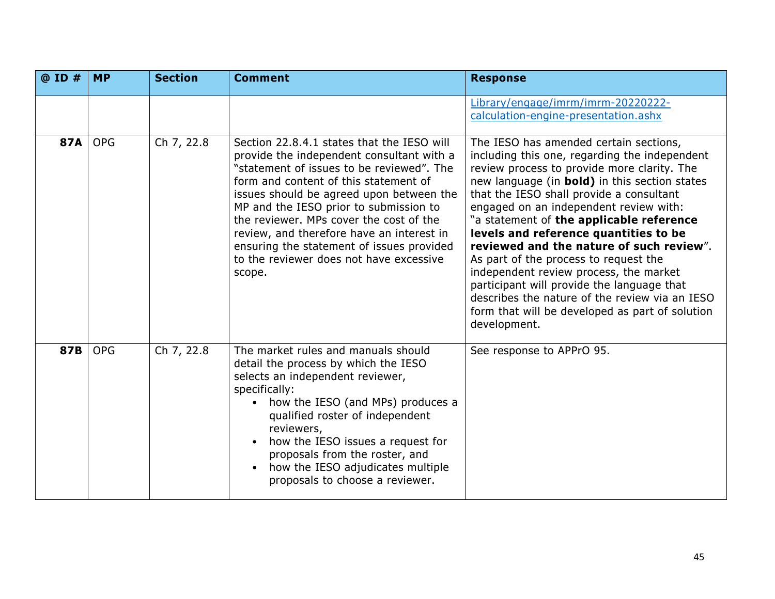| @ ID #     | <b>MP</b>  | <b>Section</b> | <b>Comment</b>                                                                                                                                                                                                                                                                                                                                                                                                                                                | <b>Response</b>                                                                                                                                                                                                                                                                                                                                                                                                                                                                                                                                                                                                                                                      |
|------------|------------|----------------|---------------------------------------------------------------------------------------------------------------------------------------------------------------------------------------------------------------------------------------------------------------------------------------------------------------------------------------------------------------------------------------------------------------------------------------------------------------|----------------------------------------------------------------------------------------------------------------------------------------------------------------------------------------------------------------------------------------------------------------------------------------------------------------------------------------------------------------------------------------------------------------------------------------------------------------------------------------------------------------------------------------------------------------------------------------------------------------------------------------------------------------------|
|            |            |                |                                                                                                                                                                                                                                                                                                                                                                                                                                                               | Library/engage/imrm/imrm-20220222-<br>calculation-engine-presentation.ashx                                                                                                                                                                                                                                                                                                                                                                                                                                                                                                                                                                                           |
| <b>87A</b> | <b>OPG</b> | Ch 7, 22.8     | Section 22.8.4.1 states that the IESO will<br>provide the independent consultant with a<br>"statement of issues to be reviewed". The<br>form and content of this statement of<br>issues should be agreed upon between the<br>MP and the IESO prior to submission to<br>the reviewer. MPs cover the cost of the<br>review, and therefore have an interest in<br>ensuring the statement of issues provided<br>to the reviewer does not have excessive<br>scope. | The IESO has amended certain sections,<br>including this one, regarding the independent<br>review process to provide more clarity. The<br>new language (in bold) in this section states<br>that the IESO shall provide a consultant<br>engaged on an independent review with:<br>"a statement of the applicable reference<br>levels and reference quantities to be<br>reviewed and the nature of such review".<br>As part of the process to request the<br>independent review process, the market<br>participant will provide the language that<br>describes the nature of the review via an IESO<br>form that will be developed as part of solution<br>development. |
| 87B        | <b>OPG</b> | Ch 7, 22.8     | The market rules and manuals should<br>detail the process by which the IESO<br>selects an independent reviewer,<br>specifically:<br>how the IESO (and MPs) produces a<br>qualified roster of independent<br>reviewers,<br>how the IESO issues a request for<br>proposals from the roster, and<br>how the IESO adjudicates multiple<br>$\bullet$<br>proposals to choose a reviewer.                                                                            | See response to APPrO 95.                                                                                                                                                                                                                                                                                                                                                                                                                                                                                                                                                                                                                                            |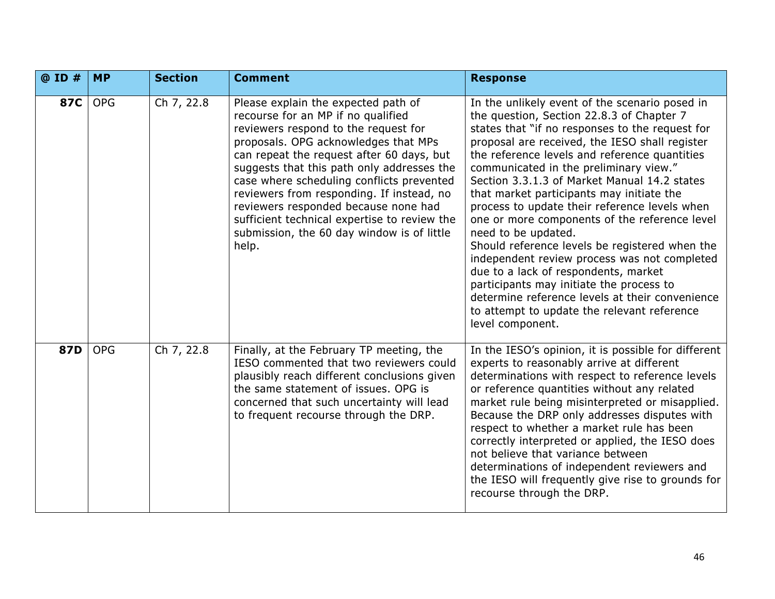| @ ID #     | <b>MP</b>  | <b>Section</b> | <b>Comment</b>                                                                                                                                                                                                                                                                                                                                                                                                                                                                                | <b>Response</b>                                                                                                                                                                                                                                                                                                                                                                                                                                                                                                                                                                                                                                                                                                                                                                                                               |
|------------|------------|----------------|-----------------------------------------------------------------------------------------------------------------------------------------------------------------------------------------------------------------------------------------------------------------------------------------------------------------------------------------------------------------------------------------------------------------------------------------------------------------------------------------------|-------------------------------------------------------------------------------------------------------------------------------------------------------------------------------------------------------------------------------------------------------------------------------------------------------------------------------------------------------------------------------------------------------------------------------------------------------------------------------------------------------------------------------------------------------------------------------------------------------------------------------------------------------------------------------------------------------------------------------------------------------------------------------------------------------------------------------|
| <b>87C</b> | <b>OPG</b> | Ch 7, 22.8     | Please explain the expected path of<br>recourse for an MP if no qualified<br>reviewers respond to the request for<br>proposals. OPG acknowledges that MPs<br>can repeat the request after 60 days, but<br>suggests that this path only addresses the<br>case where scheduling conflicts prevented<br>reviewers from responding. If instead, no<br>reviewers responded because none had<br>sufficient technical expertise to review the<br>submission, the 60 day window is of little<br>help. | In the unlikely event of the scenario posed in<br>the question, Section 22.8.3 of Chapter 7<br>states that "if no responses to the request for<br>proposal are received, the IESO shall register<br>the reference levels and reference quantities<br>communicated in the preliminary view."<br>Section 3.3.1.3 of Market Manual 14.2 states<br>that market participants may initiate the<br>process to update their reference levels when<br>one or more components of the reference level<br>need to be updated.<br>Should reference levels be registered when the<br>independent review process was not completed<br>due to a lack of respondents, market<br>participants may initiate the process to<br>determine reference levels at their convenience<br>to attempt to update the relevant reference<br>level component. |
| 87D        | <b>OPG</b> | Ch 7, 22.8     | Finally, at the February TP meeting, the<br>IESO commented that two reviewers could<br>plausibly reach different conclusions given<br>the same statement of issues. OPG is<br>concerned that such uncertainty will lead<br>to frequent recourse through the DRP.                                                                                                                                                                                                                              | In the IESO's opinion, it is possible for different<br>experts to reasonably arrive at different<br>determinations with respect to reference levels<br>or reference quantities without any related<br>market rule being misinterpreted or misapplied.<br>Because the DRP only addresses disputes with<br>respect to whether a market rule has been<br>correctly interpreted or applied, the IESO does<br>not believe that variance between<br>determinations of independent reviewers and<br>the IESO will frequently give rise to grounds for<br>recourse through the DRP.                                                                                                                                                                                                                                                   |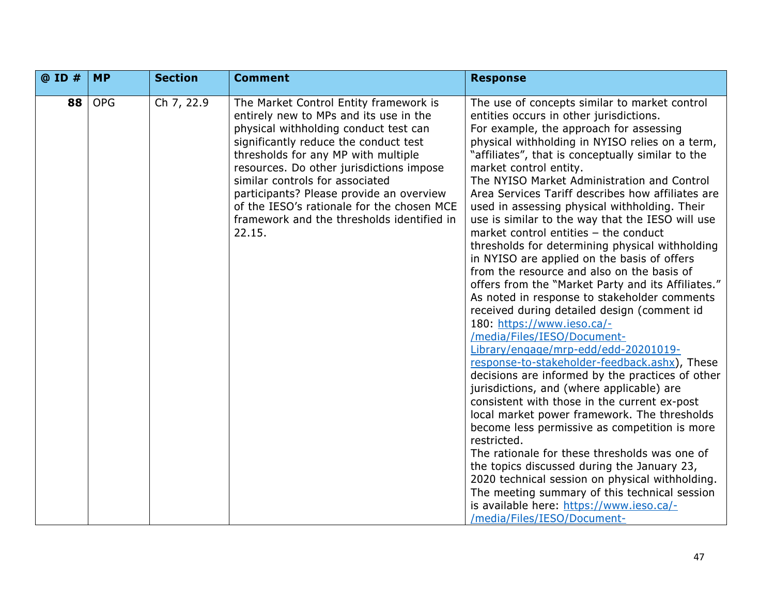| @ ID # | <b>MP</b>  | <b>Section</b> | <b>Comment</b>                                                                                                                                                                                                                                                                                                                                                                                                                             | <b>Response</b>                                                                                                                                                                                                                                                                                                                                                                                                                                                                                                                                                                                                                                                                                                                                                                                                                                                                                                                                                                                                                                                                                                                                                                                                                                                                                                                                                                                                                                                                                                                    |
|--------|------------|----------------|--------------------------------------------------------------------------------------------------------------------------------------------------------------------------------------------------------------------------------------------------------------------------------------------------------------------------------------------------------------------------------------------------------------------------------------------|------------------------------------------------------------------------------------------------------------------------------------------------------------------------------------------------------------------------------------------------------------------------------------------------------------------------------------------------------------------------------------------------------------------------------------------------------------------------------------------------------------------------------------------------------------------------------------------------------------------------------------------------------------------------------------------------------------------------------------------------------------------------------------------------------------------------------------------------------------------------------------------------------------------------------------------------------------------------------------------------------------------------------------------------------------------------------------------------------------------------------------------------------------------------------------------------------------------------------------------------------------------------------------------------------------------------------------------------------------------------------------------------------------------------------------------------------------------------------------------------------------------------------------|
| 88     | <b>OPG</b> | Ch 7, 22.9     | The Market Control Entity framework is<br>entirely new to MPs and its use in the<br>physical withholding conduct test can<br>significantly reduce the conduct test<br>thresholds for any MP with multiple<br>resources. Do other jurisdictions impose<br>similar controls for associated<br>participants? Please provide an overview<br>of the IESO's rationale for the chosen MCE<br>framework and the thresholds identified in<br>22.15. | The use of concepts similar to market control<br>entities occurs in other jurisdictions.<br>For example, the approach for assessing<br>physical withholding in NYISO relies on a term,<br>"affiliates", that is conceptually similar to the<br>market control entity.<br>The NYISO Market Administration and Control<br>Area Services Tariff describes how affiliates are<br>used in assessing physical withholding. Their<br>use is similar to the way that the IESO will use<br>market control entities - the conduct<br>thresholds for determining physical withholding<br>in NYISO are applied on the basis of offers<br>from the resource and also on the basis of<br>offers from the "Market Party and its Affiliates."<br>As noted in response to stakeholder comments<br>received during detailed design (comment id<br>180: https://www.ieso.ca/-<br>/media/Files/IESO/Document-<br>Library/engage/mrp-edd/edd-20201019-<br>response-to-stakeholder-feedback.ashx), These<br>decisions are informed by the practices of other<br>jurisdictions, and (where applicable) are<br>consistent with those in the current ex-post<br>local market power framework. The thresholds<br>become less permissive as competition is more<br>restricted.<br>The rationale for these thresholds was one of<br>the topics discussed during the January 23,<br>2020 technical session on physical withholding.<br>The meeting summary of this technical session<br>is available here: https://www.ieso.ca/-<br>/media/Files/IESO/Document- |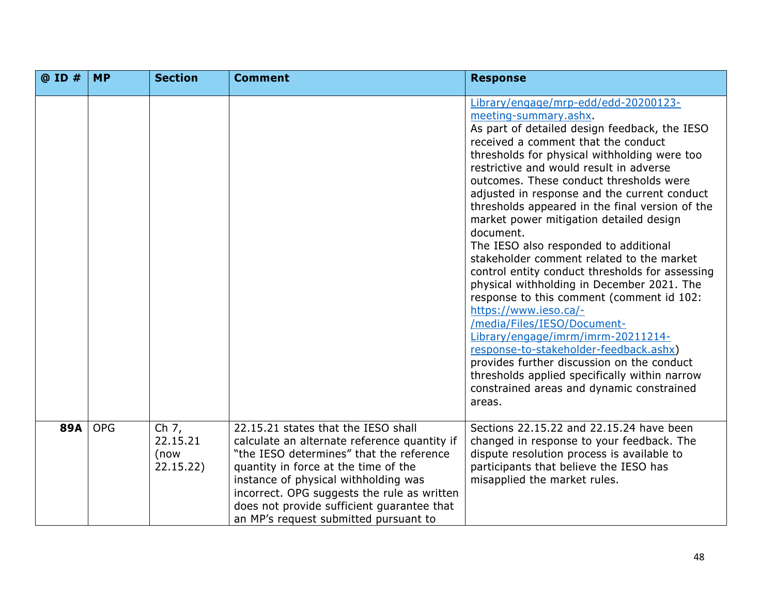| @ ID #     | <b>MP</b>  | <b>Section</b>                           | <b>Comment</b>                                                                                                                                                                                                                                                                                                                                        | <b>Response</b>                                                                                                                                                                                                                                                                                                                                                                                                                                                                                                                                                                                                                                                                                                                                                                                                                                                                                                                                                                          |
|------------|------------|------------------------------------------|-------------------------------------------------------------------------------------------------------------------------------------------------------------------------------------------------------------------------------------------------------------------------------------------------------------------------------------------------------|------------------------------------------------------------------------------------------------------------------------------------------------------------------------------------------------------------------------------------------------------------------------------------------------------------------------------------------------------------------------------------------------------------------------------------------------------------------------------------------------------------------------------------------------------------------------------------------------------------------------------------------------------------------------------------------------------------------------------------------------------------------------------------------------------------------------------------------------------------------------------------------------------------------------------------------------------------------------------------------|
|            |            |                                          |                                                                                                                                                                                                                                                                                                                                                       | Library/engage/mrp-edd/edd-20200123-<br>meeting-summary.ashx.<br>As part of detailed design feedback, the IESO<br>received a comment that the conduct<br>thresholds for physical withholding were too<br>restrictive and would result in adverse<br>outcomes. These conduct thresholds were<br>adjusted in response and the current conduct<br>thresholds appeared in the final version of the<br>market power mitigation detailed design<br>document.<br>The IESO also responded to additional<br>stakeholder comment related to the market<br>control entity conduct thresholds for assessing<br>physical withholding in December 2021. The<br>response to this comment (comment id 102:<br>https://www.ieso.ca/-<br>/media/Files/IESO/Document-<br>Library/engage/imrm/imrm-20211214-<br>response-to-stakeholder-feedback.ashx)<br>provides further discussion on the conduct<br>thresholds applied specifically within narrow<br>constrained areas and dynamic constrained<br>areas. |
| <b>89A</b> | <b>OPG</b> | Ch $7,$<br>22.15.21<br>(now<br>22.15.22) | 22.15.21 states that the IESO shall<br>calculate an alternate reference quantity if<br>"the IESO determines" that the reference<br>quantity in force at the time of the<br>instance of physical withholding was<br>incorrect. OPG suggests the rule as written<br>does not provide sufficient guarantee that<br>an MP's request submitted pursuant to | Sections 22.15.22 and 22.15.24 have been<br>changed in response to your feedback. The<br>dispute resolution process is available to<br>participants that believe the IESO has<br>misapplied the market rules.                                                                                                                                                                                                                                                                                                                                                                                                                                                                                                                                                                                                                                                                                                                                                                            |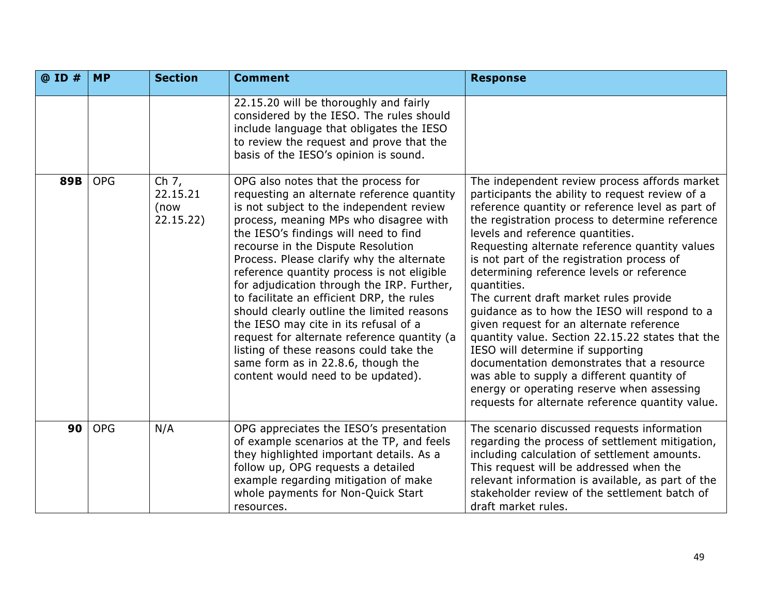| @ ID # | <b>MP</b>  | <b>Section</b>                           | <b>Comment</b>                                                                                                                                                                                                                                                                                                                                                                                                                                                                                                                                                                                                                                                                                            | <b>Response</b>                                                                                                                                                                                                                                                                                                                                                                                                                                                                                                                                                                                                                                                                                                                                                                                                                       |
|--------|------------|------------------------------------------|-----------------------------------------------------------------------------------------------------------------------------------------------------------------------------------------------------------------------------------------------------------------------------------------------------------------------------------------------------------------------------------------------------------------------------------------------------------------------------------------------------------------------------------------------------------------------------------------------------------------------------------------------------------------------------------------------------------|---------------------------------------------------------------------------------------------------------------------------------------------------------------------------------------------------------------------------------------------------------------------------------------------------------------------------------------------------------------------------------------------------------------------------------------------------------------------------------------------------------------------------------------------------------------------------------------------------------------------------------------------------------------------------------------------------------------------------------------------------------------------------------------------------------------------------------------|
|        |            |                                          | 22.15.20 will be thoroughly and fairly<br>considered by the IESO. The rules should<br>include language that obligates the IESO<br>to review the request and prove that the<br>basis of the IESO's opinion is sound.                                                                                                                                                                                                                                                                                                                                                                                                                                                                                       |                                                                                                                                                                                                                                                                                                                                                                                                                                                                                                                                                                                                                                                                                                                                                                                                                                       |
| 89B    | <b>OPG</b> | Ch $7,$<br>22.15.21<br>(now<br>22.15.22) | OPG also notes that the process for<br>requesting an alternate reference quantity<br>is not subject to the independent review<br>process, meaning MPs who disagree with<br>the IESO's findings will need to find<br>recourse in the Dispute Resolution<br>Process. Please clarify why the alternate<br>reference quantity process is not eligible<br>for adjudication through the IRP. Further,<br>to facilitate an efficient DRP, the rules<br>should clearly outline the limited reasons<br>the IESO may cite in its refusal of a<br>request for alternate reference quantity (a<br>listing of these reasons could take the<br>same form as in 22.8.6, though the<br>content would need to be updated). | The independent review process affords market<br>participants the ability to request review of a<br>reference quantity or reference level as part of<br>the registration process to determine reference<br>levels and reference quantities.<br>Requesting alternate reference quantity values<br>is not part of the registration process of<br>determining reference levels or reference<br>quantities.<br>The current draft market rules provide<br>guidance as to how the IESO will respond to a<br>given request for an alternate reference<br>quantity value. Section 22.15.22 states that the<br>IESO will determine if supporting<br>documentation demonstrates that a resource<br>was able to supply a different quantity of<br>energy or operating reserve when assessing<br>requests for alternate reference quantity value. |
| 90     | <b>OPG</b> | N/A                                      | OPG appreciates the IESO's presentation<br>of example scenarios at the TP, and feels<br>they highlighted important details. As a<br>follow up, OPG requests a detailed<br>example regarding mitigation of make<br>whole payments for Non-Quick Start<br>resources.                                                                                                                                                                                                                                                                                                                                                                                                                                        | The scenario discussed requests information<br>regarding the process of settlement mitigation,<br>including calculation of settlement amounts.<br>This request will be addressed when the<br>relevant information is available, as part of the<br>stakeholder review of the settlement batch of<br>draft market rules.                                                                                                                                                                                                                                                                                                                                                                                                                                                                                                                |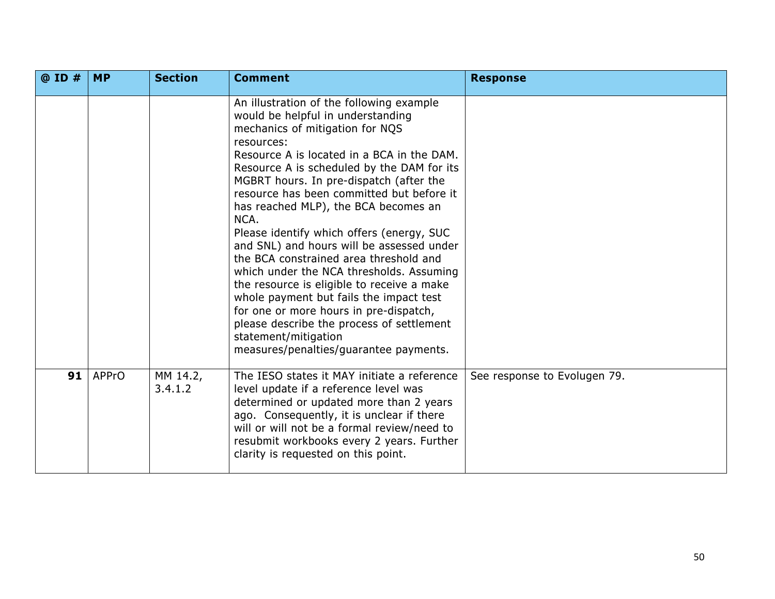| @ ID # | <b>MP</b>    | <b>Section</b>      | <b>Comment</b>                                                                                                                                                                                                                                                                                                                                                                                                                                                                                                                                                                                                                                                                                                                                                                                       | <b>Response</b>              |
|--------|--------------|---------------------|------------------------------------------------------------------------------------------------------------------------------------------------------------------------------------------------------------------------------------------------------------------------------------------------------------------------------------------------------------------------------------------------------------------------------------------------------------------------------------------------------------------------------------------------------------------------------------------------------------------------------------------------------------------------------------------------------------------------------------------------------------------------------------------------------|------------------------------|
|        |              |                     | An illustration of the following example<br>would be helpful in understanding<br>mechanics of mitigation for NQS<br>resources:<br>Resource A is located in a BCA in the DAM.<br>Resource A is scheduled by the DAM for its<br>MGBRT hours. In pre-dispatch (after the<br>resource has been committed but before it<br>has reached MLP), the BCA becomes an<br>NCA.<br>Please identify which offers (energy, SUC<br>and SNL) and hours will be assessed under<br>the BCA constrained area threshold and<br>which under the NCA thresholds. Assuming<br>the resource is eligible to receive a make<br>whole payment but fails the impact test<br>for one or more hours in pre-dispatch,<br>please describe the process of settlement<br>statement/mitigation<br>measures/penalties/guarantee payments. |                              |
| 91     | <b>APPrO</b> | MM 14.2,<br>3.4.1.2 | The IESO states it MAY initiate a reference<br>level update if a reference level was<br>determined or updated more than 2 years<br>ago. Consequently, it is unclear if there<br>will or will not be a formal review/need to<br>resubmit workbooks every 2 years. Further<br>clarity is requested on this point.                                                                                                                                                                                                                                                                                                                                                                                                                                                                                      | See response to Evolugen 79. |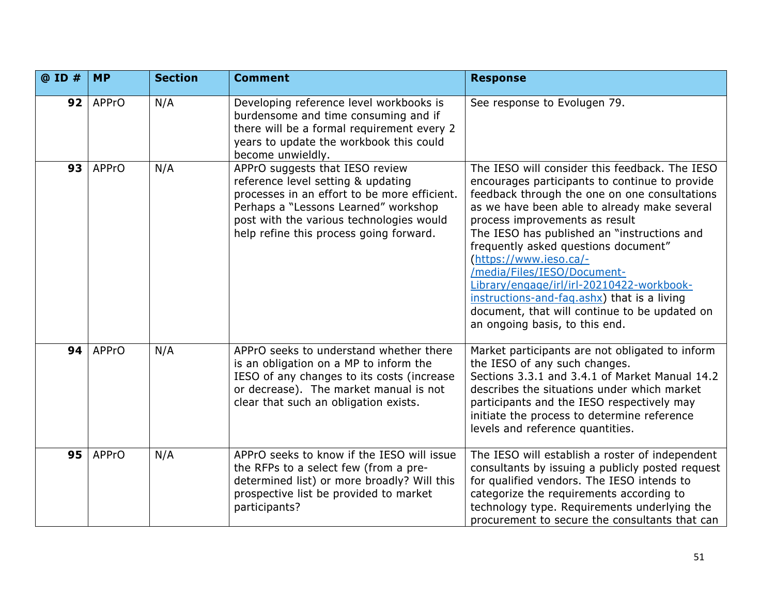| @ ID # | <b>MP</b>    | <b>Section</b> | <b>Comment</b>                                                                                                                                                                                                                                       | <b>Response</b>                                                                                                                                                                                                                                                                                                                                                                                                                                                                                                                                                    |
|--------|--------------|----------------|------------------------------------------------------------------------------------------------------------------------------------------------------------------------------------------------------------------------------------------------------|--------------------------------------------------------------------------------------------------------------------------------------------------------------------------------------------------------------------------------------------------------------------------------------------------------------------------------------------------------------------------------------------------------------------------------------------------------------------------------------------------------------------------------------------------------------------|
| 92     | <b>APPrO</b> | N/A            | Developing reference level workbooks is<br>burdensome and time consuming and if<br>there will be a formal requirement every 2<br>years to update the workbook this could<br>become unwieldly.                                                        | See response to Evolugen 79.                                                                                                                                                                                                                                                                                                                                                                                                                                                                                                                                       |
| 93     | <b>APPrO</b> | N/A            | APPrO suggests that IESO review<br>reference level setting & updating<br>processes in an effort to be more efficient.<br>Perhaps a "Lessons Learned" workshop<br>post with the various technologies would<br>help refine this process going forward. | The IESO will consider this feedback. The IESO<br>encourages participants to continue to provide<br>feedback through the one on one consultations<br>as we have been able to already make several<br>process improvements as result<br>The IESO has published an "instructions and<br>frequently asked questions document"<br>(https://www.ieso.ca/-<br>/media/Files/IESO/Document-<br>Library/engage/irl/irl-20210422-workbook-<br>instructions-and-faq.ashx) that is a living<br>document, that will continue to be updated on<br>an ongoing basis, to this end. |
| 94     | <b>APPrO</b> | N/A            | APPrO seeks to understand whether there<br>is an obligation on a MP to inform the<br>IESO of any changes to its costs (increase<br>or decrease). The market manual is not<br>clear that such an obligation exists.                                   | Market participants are not obligated to inform<br>the IESO of any such changes.<br>Sections 3.3.1 and 3.4.1 of Market Manual 14.2<br>describes the situations under which market<br>participants and the IESO respectively may<br>initiate the process to determine reference<br>levels and reference quantities.                                                                                                                                                                                                                                                 |
| 95     | <b>APPrO</b> | N/A            | APPrO seeks to know if the IESO will issue<br>the RFPs to a select few (from a pre-<br>determined list) or more broadly? Will this<br>prospective list be provided to market<br>participants?                                                        | The IESO will establish a roster of independent<br>consultants by issuing a publicly posted request<br>for qualified vendors. The IESO intends to<br>categorize the requirements according to<br>technology type. Requirements underlying the<br>procurement to secure the consultants that can                                                                                                                                                                                                                                                                    |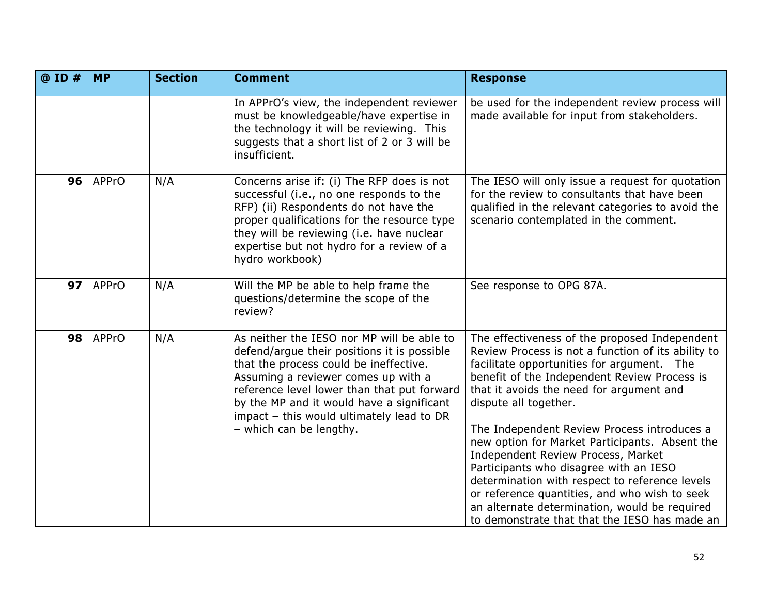| @ ID # | <b>MP</b>    | <b>Section</b> | <b>Comment</b>                                                                                                                                                                                                                                                                                                                                 | <b>Response</b>                                                                                                                                                                                                                                                                                                                                                                                                                                                                                                                                                                                                                                              |
|--------|--------------|----------------|------------------------------------------------------------------------------------------------------------------------------------------------------------------------------------------------------------------------------------------------------------------------------------------------------------------------------------------------|--------------------------------------------------------------------------------------------------------------------------------------------------------------------------------------------------------------------------------------------------------------------------------------------------------------------------------------------------------------------------------------------------------------------------------------------------------------------------------------------------------------------------------------------------------------------------------------------------------------------------------------------------------------|
|        |              |                | In APPrO's view, the independent reviewer<br>must be knowledgeable/have expertise in<br>the technology it will be reviewing. This<br>suggests that a short list of 2 or 3 will be<br>insufficient.                                                                                                                                             | be used for the independent review process will<br>made available for input from stakeholders.                                                                                                                                                                                                                                                                                                                                                                                                                                                                                                                                                               |
| 96     | <b>APPrO</b> | N/A            | Concerns arise if: (i) The RFP does is not<br>successful (i.e., no one responds to the<br>RFP) (ii) Respondents do not have the<br>proper qualifications for the resource type<br>they will be reviewing (i.e. have nuclear<br>expertise but not hydro for a review of a<br>hydro workbook)                                                    | The IESO will only issue a request for quotation<br>for the review to consultants that have been<br>qualified in the relevant categories to avoid the<br>scenario contemplated in the comment.                                                                                                                                                                                                                                                                                                                                                                                                                                                               |
| 97     | <b>APPrO</b> | N/A            | Will the MP be able to help frame the<br>questions/determine the scope of the<br>review?                                                                                                                                                                                                                                                       | See response to OPG 87A.                                                                                                                                                                                                                                                                                                                                                                                                                                                                                                                                                                                                                                     |
| 98     | <b>APPrO</b> | N/A            | As neither the IESO nor MP will be able to<br>defend/argue their positions it is possible<br>that the process could be ineffective.<br>Assuming a reviewer comes up with a<br>reference level lower than that put forward<br>by the MP and it would have a significant<br>impact - this would ultimately lead to DR<br>- which can be lengthy. | The effectiveness of the proposed Independent<br>Review Process is not a function of its ability to<br>facilitate opportunities for argument. The<br>benefit of the Independent Review Process is<br>that it avoids the need for argument and<br>dispute all together.<br>The Independent Review Process introduces a<br>new option for Market Participants. Absent the<br>Independent Review Process, Market<br>Participants who disagree with an IESO<br>determination with respect to reference levels<br>or reference quantities, and who wish to seek<br>an alternate determination, would be required<br>to demonstrate that that the IESO has made an |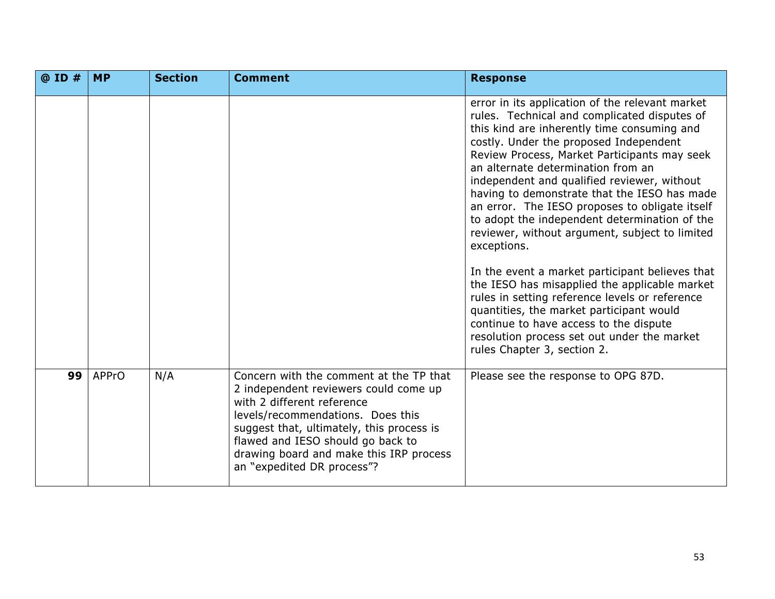| $@$ ID $#$ | <b>MP</b>    | <b>Section</b> | <b>Comment</b>                                                                                                                                                                                                                                                                                                 | <b>Response</b>                                                                                                                                                                                                                                                                                                                                                                                                                                                                                                                                                                                                                                                                                                                                                                                                                                                             |
|------------|--------------|----------------|----------------------------------------------------------------------------------------------------------------------------------------------------------------------------------------------------------------------------------------------------------------------------------------------------------------|-----------------------------------------------------------------------------------------------------------------------------------------------------------------------------------------------------------------------------------------------------------------------------------------------------------------------------------------------------------------------------------------------------------------------------------------------------------------------------------------------------------------------------------------------------------------------------------------------------------------------------------------------------------------------------------------------------------------------------------------------------------------------------------------------------------------------------------------------------------------------------|
|            |              |                |                                                                                                                                                                                                                                                                                                                | error in its application of the relevant market<br>rules. Technical and complicated disputes of<br>this kind are inherently time consuming and<br>costly. Under the proposed Independent<br>Review Process, Market Participants may seek<br>an alternate determination from an<br>independent and qualified reviewer, without<br>having to demonstrate that the IESO has made<br>an error. The IESO proposes to obligate itself<br>to adopt the independent determination of the<br>reviewer, without argument, subject to limited<br>exceptions.<br>In the event a market participant believes that<br>the IESO has misapplied the applicable market<br>rules in setting reference levels or reference<br>quantities, the market participant would<br>continue to have access to the dispute<br>resolution process set out under the market<br>rules Chapter 3, section 2. |
| 99         | <b>APPrO</b> | N/A            | Concern with the comment at the TP that<br>2 independent reviewers could come up<br>with 2 different reference<br>levels/recommendations. Does this<br>suggest that, ultimately, this process is<br>flawed and IESO should go back to<br>drawing board and make this IRP process<br>an "expedited DR process"? | Please see the response to OPG 87D.                                                                                                                                                                                                                                                                                                                                                                                                                                                                                                                                                                                                                                                                                                                                                                                                                                         |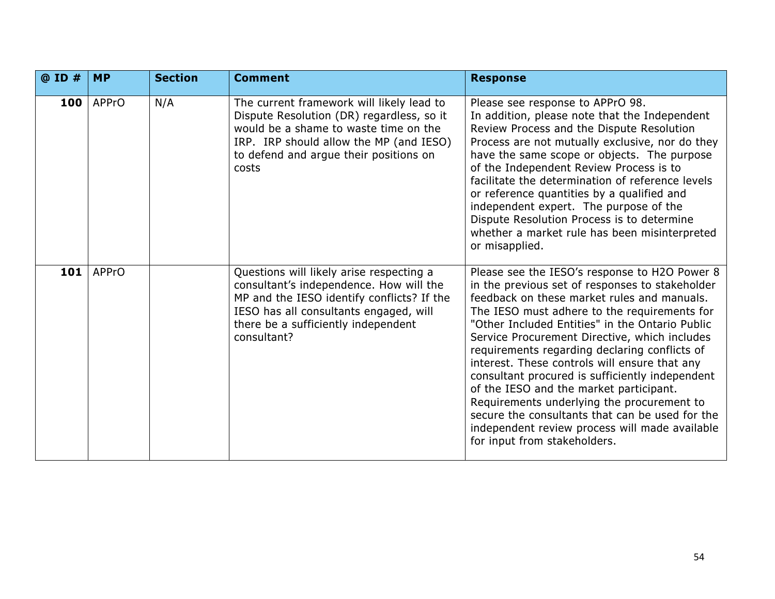| @ ID # | <b>MP</b>    | <b>Section</b> | <b>Comment</b>                                                                                                                                                                                                                    | <b>Response</b>                                                                                                                                                                                                                                                                                                                                                                                                                                                                                                                                                                                                                                                                        |
|--------|--------------|----------------|-----------------------------------------------------------------------------------------------------------------------------------------------------------------------------------------------------------------------------------|----------------------------------------------------------------------------------------------------------------------------------------------------------------------------------------------------------------------------------------------------------------------------------------------------------------------------------------------------------------------------------------------------------------------------------------------------------------------------------------------------------------------------------------------------------------------------------------------------------------------------------------------------------------------------------------|
| 100    | APPrO        | N/A            | The current framework will likely lead to<br>Dispute Resolution (DR) regardless, so it<br>would be a shame to waste time on the<br>IRP. IRP should allow the MP (and IESO)<br>to defend and argue their positions on<br>costs     | Please see response to APPrO 98.<br>In addition, please note that the Independent<br>Review Process and the Dispute Resolution<br>Process are not mutually exclusive, nor do they<br>have the same scope or objects. The purpose<br>of the Independent Review Process is to<br>facilitate the determination of reference levels<br>or reference quantities by a qualified and<br>independent expert. The purpose of the<br>Dispute Resolution Process is to determine<br>whether a market rule has been misinterpreted<br>or misapplied.                                                                                                                                               |
| 101    | <b>APPrO</b> |                | Questions will likely arise respecting a<br>consultant's independence. How will the<br>MP and the IESO identify conflicts? If the<br>IESO has all consultants engaged, will<br>there be a sufficiently independent<br>consultant? | Please see the IESO's response to H2O Power 8<br>in the previous set of responses to stakeholder<br>feedback on these market rules and manuals.<br>The IESO must adhere to the requirements for<br>"Other Included Entities" in the Ontario Public<br>Service Procurement Directive, which includes<br>requirements regarding declaring conflicts of<br>interest. These controls will ensure that any<br>consultant procured is sufficiently independent<br>of the IESO and the market participant.<br>Requirements underlying the procurement to<br>secure the consultants that can be used for the<br>independent review process will made available<br>for input from stakeholders. |